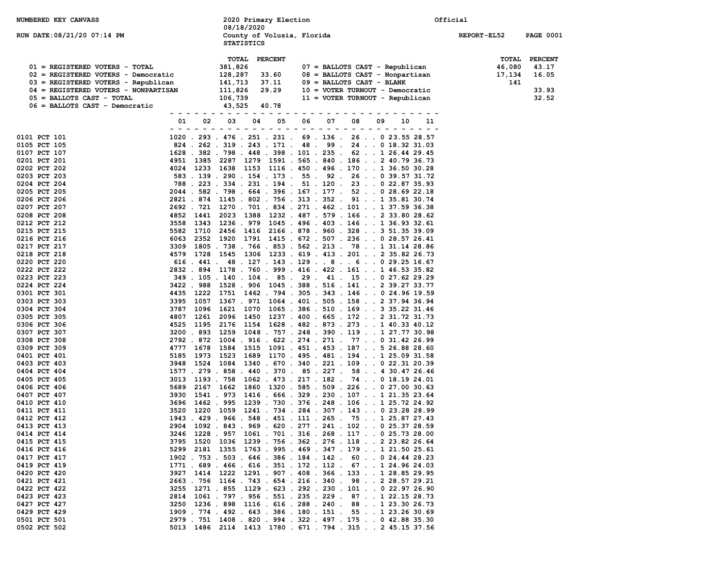| NUMBERED KEY CANVASS                                                  |                     | 2020 Primary Election                           |                |    |                                                                                                                            | Official           |                  |
|-----------------------------------------------------------------------|---------------------|-------------------------------------------------|----------------|----|----------------------------------------------------------------------------------------------------------------------------|--------------------|------------------|
|                                                                       |                     | 08/18/2020                                      |                |    |                                                                                                                            |                    |                  |
| RUN DATE: 08/21/20 07:14 PM                                           |                     | County of Volusia, Florida<br><b>STATISTICS</b> |                |    |                                                                                                                            | <b>REPORT-EL52</b> | <b>PAGE 0001</b> |
|                                                                       |                     |                                                 |                |    |                                                                                                                            |                    |                  |
|                                                                       |                     | <b>TOTAL</b>                                    | <b>PERCENT</b> |    |                                                                                                                            | <b>TOTAL</b>       | PERCENT          |
| 01 = REGISTERED VOTERS - TOTAL<br>02 = REGISTERED VOTERS - Democratic |                     | 381,826<br>128,287                              | 33.60          |    | 07 = BALLOTS CAST - Republican<br>$08$ = BALLOTS CAST - Nonpartisan                                                        | 46,080<br>17,134   | 43.17            |
| 03 = REGISTERED VOTERS - Republican                                   |                     | 141,713                                         | 37.11          |    | $09 = BALLOTS CAST - BLANK$                                                                                                | 141                | 16.05            |
| 04 = REGISTERED VOTERS - NONPARTISAN                                  |                     | 111,826                                         | 29.29          |    | 10 = VOTER TURNOUT - Democratic                                                                                            |                    | 33.93            |
| 05 = BALLOTS CAST - TOTAL                                             |                     | 106,739                                         |                |    | 11 = VOTER TURNOUT - Republican                                                                                            |                    | 32.52            |
| 06 = BALLOTS CAST - Democratic                                        |                     | 43,525                                          | 40.78          |    |                                                                                                                            |                    |                  |
|                                                                       | - - - - - - - - - - |                                                 |                |    | - - - - - - - - - - - - - - - -                                                                                            |                    |                  |
|                                                                       | 01<br>02            | 03<br>04                                        | 05             | 06 | 07<br>08<br>09<br>10<br>11                                                                                                 |                    |                  |
| 0101 PCT 101                                                          |                     |                                                 |                |    | 1020 . 293 . 476 . 251 . 231 . 69 . 136 . 26 0 23.55 28.57                                                                 |                    |                  |
| 0105 PCT 105                                                          |                     |                                                 |                |    | 824 . 262 . 319 . 243 . 171 . 48 . 99 . 24 0 18.32 31.03                                                                   |                    |                  |
| 0107 PCT 107                                                          |                     |                                                 |                |    | 1628 . 382 . 798 . 448 . 398 . 101 . 235 . 62 1 26.44 29.45                                                                |                    |                  |
| 0201 PCT 201                                                          |                     |                                                 |                |    | 4951 1385 2287 1279 1591 . 565 . 840 . 186 2 40.79 36.73                                                                   |                    |                  |
| 0202 PCT 202                                                          |                     |                                                 |                |    | 4024 1233 1638 1153 1116 . 450 . 496 . 170 1 36.50 30.28                                                                   |                    |                  |
| 0203 PCT 203                                                          |                     |                                                 |                |    | 583 . 139 . 290 . 154 . 173 . 55 . 92 . 26 0 39.57 31.72                                                                   |                    |                  |
| 0204 PCT 204                                                          |                     |                                                 |                |    | 788 . 223 . 334 . 231 . 194 . 51 . 120 . 23 0 22.87 35.93                                                                  |                    |                  |
| 0205 PCT 205                                                          |                     |                                                 |                |    | 2044 . 582 . 798 . 664 . 396 . 167 . 177 . 52 0 28.69 22.18                                                                |                    |                  |
| 0206 PCT 206                                                          |                     |                                                 |                |    | 2821 . 874 1145 . 802 . 756 . 313 . 352 . 91 1 35.81 30.74                                                                 |                    |                  |
| 0207 PCT 207                                                          |                     |                                                 |                |    | 2692 . 721 1270 . 701 . 834 . 271 . 462 . 101 1 37.59 36.38                                                                |                    |                  |
| 0208 PCT 208<br>0212 PCT 212                                          | 4852 1441           |                                                 |                |    | 2023 1388 1232 . 487 . 579 . 166 2 33.80 28.62<br>1343 1236 . 979 1045 . 496 . 403 . 146 1 36.93 32.61                     |                    |                  |
| 0215 PCT 215                                                          | 3558<br>5582        |                                                 |                |    | 1710  2456  1416  2166  .  878  .  960  .  328  .  .  3  51.35  39.09                                                      |                    |                  |
| 0216 PCT 216                                                          | 6063<br>2352        |                                                 |                |    | 1920 1791 1415 . 672 . 507 . 236 0 28.57 26.41                                                                             |                    |                  |
| 0217 PCT 217                                                          | 3309                |                                                 |                |    | 1805 . 738 . 766 . 853 . 562 . 213 . 78 1 31.14 28.86                                                                      |                    |                  |
| 0218 PCT 218                                                          |                     |                                                 |                |    | 4579 1728 1545 1306 1233 .619 .413 .201 2 35.82 26.73                                                                      |                    |                  |
| 0220 PCT 220                                                          |                     |                                                 |                |    | 616 . 441 . 48 . 127 . 143 . 129 8 6 0 29.25 16.67                                                                         |                    |                  |
| 0222 PCT 222                                                          |                     |                                                 |                |    | 2832 . 894 1178 . 760 . 999 . 416 . 422 . 161 1 46.53 35.82                                                                |                    |                  |
| 0223 PCT 223                                                          |                     |                                                 |                |    | 349 . 105 . 140 . 104 . 85 . 29 . 41 . 15 0 27.62 29.29                                                                    |                    |                  |
| 0224 PCT 224                                                          |                     |                                                 |                |    | 3422 . 988 1528 . 906 1045 . 388 . 516 . 141 2 39.27 33.77                                                                 |                    |                  |
| 0301 PCT 301                                                          |                     |                                                 |                |    | 4435 1222 1751 1462 . 794 . 305 . 343 . 146 0 24.96 19.59                                                                  |                    |                  |
| 0303 PCT 303<br>0304 PCT 304                                          | 3395 1057           |                                                 |                |    | 1367 . 971 1064 . 401 . 505 . 158 2 37.94 36.94                                                                            |                    |                  |
| 0305 PCT 305                                                          | 3787<br>4807 1261   |                                                 |                |    | 1096 1621 1070 1065 .386 .510 .169 335.2231.46<br>2096 1450 1237 . 400 . 665 . 172 2 31.72 31.73                           |                    |                  |
| 0306 PCT 306                                                          | 4525<br>1195        |                                                 |                |    | 2176 1154 1628 . 482 . 873 . 273 1 40.33 40.12                                                                             |                    |                  |
| 0307 PCT 307                                                          | 3200.893            |                                                 |                |    | 1259 1048 . 757 . 248 . 390 . 119 1 27.77 30.98                                                                            |                    |                  |
| 0308 PCT 308                                                          | 2792.872            |                                                 |                |    | 1004 . 916 . 622 . 274 . 271 . 77 0 31.42 26.99                                                                            |                    |                  |
| 0309 PCT 309                                                          | 4777<br>1678        |                                                 |                |    | 1584 1515 1091 . 451 . 453 . 187 5 26.88 28.60                                                                             |                    |                  |
| 0401 PCT 401                                                          | 5185                |                                                 |                |    | 1973 1523 1689 1170 . 495 . 481 . 194 1 25.09 31.58                                                                        |                    |                  |
| 0403 PCT 403                                                          | 3948                |                                                 |                |    | 1524 1084 1340 . 670 . 340 . 221 . 109 0 22.31 20.39                                                                       |                    |                  |
| 0404 PCT 404                                                          |                     |                                                 |                |    | 1577 . 279 . 858 . 440 . 370 . 85 . 227 . 58 4 30.47 26.46                                                                 |                    |                  |
| 0405 PCT 405<br>0406 PCT 406                                          | 3013<br>5689        |                                                 |                |    | 1193 . 758 1062 . 473 . 217 . 182 . 74 0 18.19 24.01<br>2167 1662 1860 1320 . 585 . 509 . 226 0 27.00 30.63                |                    |                  |
| 0407 PCT 407                                                          | 3930                |                                                 |                |    | 1541 . 973 1416 . 666 . 329 . 230 . 107 1 21.35 23.64                                                                      |                    |                  |
| 0410 PCT 410                                                          | 3696                |                                                 |                |    | 1462 . 995 1239 . 730 . 376 . 248 . 106 1 25.72 24.92                                                                      |                    |                  |
| 0411 PCT 411                                                          |                     |                                                 |                |    | 3520 1220 1059 1241 . 734 . 284 . 307 . 143 0 23.28 28.99                                                                  |                    |                  |
| 0412 PCT 412                                                          |                     |                                                 |                |    | 1943 . 429 . 966 . 548 . 451 . 111 . 265 . 75 1 25.87 27.43                                                                |                    |                  |
| 0413 PCT 413                                                          |                     |                                                 |                |    | 2904 1092 . 843 . 969 . 620 . 277 . 241 . 102 0 25.37 28.59                                                                |                    |                  |
| 0414 PCT 414                                                          |                     |                                                 |                |    | 3246 1228 . 957 1061 . 701 . 316 . 268 . 117 0 25.73 28.00                                                                 |                    |                  |
| 0415 PCT 415                                                          |                     |                                                 |                |    | 3795 1520 1036 1239 . 756 . 362 . 276 . 118 2 23.82 26.64                                                                  |                    |                  |
| 0416 PCT 416                                                          |                     |                                                 |                |    | 5299 2181 1355 1763 . 995 . 469 . 347 . 179 1 21.50 25.61                                                                  |                    |                  |
| 0417 PCT 417<br>0419 PCT 419                                          |                     |                                                 |                |    | 1902 . 753 . 503 . 646 . 386 . 184 . 142 . 60 0 24.44 28.23<br>1771 . 689 . 466 . 616 . 351 . 172 . 112 . 67 1 24.96 24.03 |                    |                  |
| 0420 PCT 420                                                          |                     |                                                 |                |    | 3927 1414 1222 1291 . 907 . 408 . 366 . 133 1 28.85 29.95                                                                  |                    |                  |
| 0421 PCT 421                                                          |                     |                                                 |                |    | 2663 . 756 1164 . 743 . 654 . 216 . 340 . 98 2 28.57 29.21                                                                 |                    |                  |
| 0422 PCT 422                                                          | 3255                |                                                 |                |    | 1271 . 855 1129 . 623 . 292 . 230 . 101 0 22.97 26.90                                                                      |                    |                  |
| 0423 PCT 423                                                          |                     |                                                 |                |    | 2814 1061 . 797 . 956 . 551 . 235 . 229 . 87 1 22.15 28.73                                                                 |                    |                  |
| 0427 PCT 427                                                          |                     |                                                 |                |    | 3250 1236 . 898 1116 . 616 . 288 . 240 . 88 1 23.30 26.73                                                                  |                    |                  |
| 0429 PCT 429                                                          |                     |                                                 |                |    | 1909 . 774 . 492 . 643 . 386 . 180 . 151 . 55 1 23.26 30.69                                                                |                    |                  |
| 0501 PCT 501                                                          |                     |                                                 |                |    | 2979 . 751 1408 . 820 . 994 . 322 . 497 . 175 0 42.88 35.30                                                                |                    |                  |
| 0502 PCT 502                                                          |                     |                                                 |                |    | 5013 1486 2114 1413 1780 . 671 . 794 . 315 2 45.15 37.56                                                                   |                    |                  |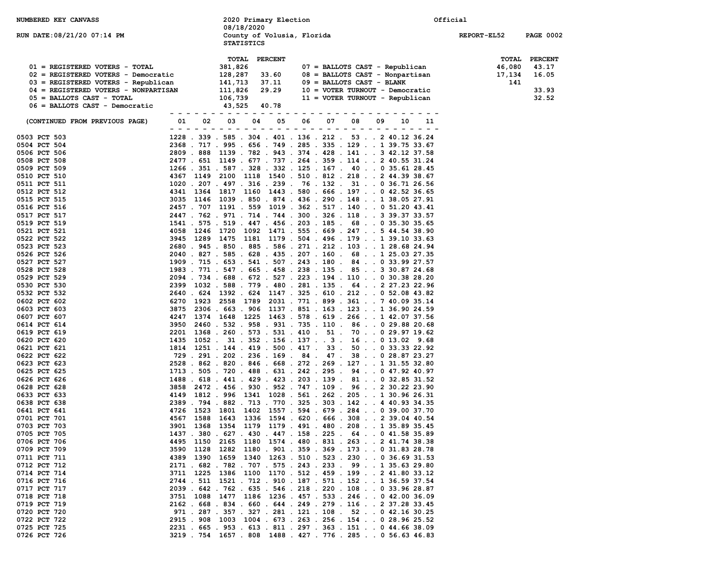| NUMBERED KEY CANVASS                 |                                                                                                                            |              | 08/18/2020        | 2020 Primary Election |                            |    |                                                 |          |  | Official           |                  |
|--------------------------------------|----------------------------------------------------------------------------------------------------------------------------|--------------|-------------------|-----------------------|----------------------------|----|-------------------------------------------------|----------|--|--------------------|------------------|
| RUN DATE: 08/21/20 07:14 PM          |                                                                                                                            |              | <b>STATISTICS</b> |                       | County of Volusia, Florida |    |                                                 |          |  | <b>REPORT-EL52</b> | <b>PAGE 0002</b> |
|                                      |                                                                                                                            | <b>TOTAL</b> |                   | <b>PERCENT</b>        |                            |    |                                                 |          |  | TOTAL              | <b>PERCENT</b>   |
| 01 = REGISTERED VOTERS - TOTAL       |                                                                                                                            | 381,826      |                   |                       |                            |    | 07 = BALLOTS CAST - Republican                  |          |  | 46,080             | 43.17            |
| 02 = REGISTERED VOTERS - Democratic  |                                                                                                                            | 128,287      |                   | 33.60                 |                            |    | 08 = BALLOTS CAST - Nonpartisan                 |          |  | 17,134             | 16.05            |
| 03 = REGISTERED VOTERS - Republican  |                                                                                                                            | 141,713      |                   | 37.11                 |                            |    | $09 = BALLOTS CAST - BLANK$                     |          |  | 141                |                  |
| 04 = REGISTERED VOTERS - NONPARTISAN |                                                                                                                            | 111,826      |                   | 29.29                 |                            |    | 10 = VOTER TURNOUT - Democratic                 |          |  |                    | 33.93            |
| $05 = BALLOTS CAST - TOTAL$          |                                                                                                                            | 106,739      |                   |                       |                            |    | 11 = VOTER TURNOUT - Republican                 |          |  |                    | 32.52            |
| 06 = BALLOTS CAST - Democratic       |                                                                                                                            | 43,525       |                   | 40.78                 |                            |    |                                                 |          |  |                    |                  |
|                                      |                                                                                                                            |              |                   |                       |                            |    |                                                 |          |  |                    |                  |
| (CONTINUED FROM PREVIOUS PAGE)       | 01<br>02                                                                                                                   | 03           | 04                | 05                    | 06 -                       | 07 |                                                 | 08 09 10 |  |                    |                  |
| 0503 PCT 503                         | 1228 . 339 . 585 . 304 . 401 . 136 . 212 . 53 2 40.12 36.24                                                                |              |                   |                       |                            |    |                                                 |          |  |                    |                  |
| 0504 PCT 504                         | 2368 . 717 . 995 . 656 . 749 . 285 . 335 . 129 1 39.75 33.67                                                               |              |                   |                       |                            |    |                                                 |          |  |                    |                  |
| 0506 PCT 506                         | 2809 . 888 1139 . 782 . 943 . 374 . 428 . 141 3 42.12 37.58                                                                |              |                   |                       |                            |    |                                                 |          |  |                    |                  |
| 0508 PCT 508                         | 2477 . 651 1149 . 677 . 737 . 264 . 359 . 114 2 40.55 31.24                                                                |              |                   |                       |                            |    |                                                 |          |  |                    |                  |
| 0509 PCT 509                         | 1266 . 351 . 587 . 328 . 332 . 125 . 167 . 40 0 35.61 28.45                                                                |              |                   |                       |                            |    |                                                 |          |  |                    |                  |
| 0510 PCT 510                         | 4367 1149 2100 1118 1540 . 510 . 812 . 218 2 44.39 38.67                                                                   |              |                   |                       |                            |    |                                                 |          |  |                    |                  |
| 0511 PCT 511                         | 1020 . 207 . 497 . 316 . 239 . 76 . 132 . 31 0 36.71 26.56                                                                 |              |                   |                       |                            |    |                                                 |          |  |                    |                  |
| 0512 PCT 512                         | 4341 1364 1817 1160 1443 .580 .666 .197 0 42.52 36.65                                                                      |              |                   |                       |                            |    |                                                 |          |  |                    |                  |
| 0515 PCT 515                         | 3035 1146 1039 . 850 . 874 . 436 . 290 . 148 1 38.05 27.91                                                                 |              |                   |                       |                            |    |                                                 |          |  |                    |                  |
| 0516 PCT 516                         | 2457 . 707 1191 . 559 1019 . 362 . 517 . 140 0 51.20 43.41                                                                 |              |                   |                       |                            |    |                                                 |          |  |                    |                  |
| 0517 PCT 517                         | 2447 . 762 . 971 . 714 . 744 . 300 . 326 . 118 3 39.37 33.57                                                               |              |                   |                       |                            |    |                                                 |          |  |                    |                  |
| 0519 PCT 519                         | 1541 . 575 . 519 . 447 . 456 . 203 . 185 . 68 0 35.30 35.65                                                                |              |                   |                       |                            |    |                                                 |          |  |                    |                  |
| 0521 PCT 521                         | 4058 1246 1720 1092 1471 . 555 . 669 . 247 5 44.54 38.90                                                                   |              |                   |                       |                            |    |                                                 |          |  |                    |                  |
| 0522 PCT 522                         | 3945 1289 1475 1181 1179 . 504 . 496 . 179 1 39.10 33.63                                                                   |              |                   |                       |                            |    |                                                 |          |  |                    |                  |
| 0523 PCT 523                         | 2680 . 945 . 850 . 885 . 586 . 271 . 212 . 103 1 28.68 24.94                                                               |              |                   |                       |                            |    |                                                 |          |  |                    |                  |
| 0526 PCT 526                         | 2040 . 827 . 585 . 628 . 435 . 207 . 160 . 68 1 25.03 27.35                                                                |              |                   |                       |                            |    |                                                 |          |  |                    |                  |
| 0527 PCT 527                         | 1909 . 715 . 653 . 541 . 507 . 243 . 180 . 84 0 33.99 27.57                                                                |              |                   |                       |                            |    |                                                 |          |  |                    |                  |
| 0528 PCT 528                         | 1983 . 771 . 547 . 665 . 458 . 238 . 135 . 85 3 30.87 24.68                                                                |              |                   |                       |                            |    |                                                 |          |  |                    |                  |
| 0529 PCT 529                         | 2094 . 734 . 688 . 672 . 527 . 223 . 194 . 110 0 30.38 28.20<br>2399 1032 . 588 . 779 . 480 . 281 . 135 . 64 2 27.23 22.96 |              |                   |                       |                            |    |                                                 |          |  |                    |                  |
| 0530 PCT 530<br>0532 PCT 532         | 2640 . 624 1392 . 624 1147 . 325 . 610 . 212 0 52.08 43.82                                                                 |              |                   |                       |                            |    |                                                 |          |  |                    |                  |
| 0602 PCT 602                         | 6270 1923 2558 1789 2031 . 771 . 899 . 361 7 40.09 35.14                                                                   |              |                   |                       |                            |    |                                                 |          |  |                    |                  |
| 0603 PCT 603                         | 3875 2306 . 663 . 906 1137 . 851 . 163 . 123 1 36.90 24.59                                                                 |              |                   |                       |                            |    |                                                 |          |  |                    |                  |
| 0607 PCT 607                         | 4247 1374 1648 1225 1463 .578 .619 .266 1 42.07 37.56                                                                      |              |                   |                       |                            |    |                                                 |          |  |                    |                  |
| 0614 PCT 614                         | 3950 2460 . 532 . 958 . 931 . 735 . 110 . 86 0 29.88 20.68                                                                 |              |                   |                       |                            |    |                                                 |          |  |                    |                  |
| 0619 PCT 619                         | 2201 1368 . 260 . 573 . 531 . 410 . 51 . 70 0 29.97 19.62                                                                  |              |                   |                       |                            |    |                                                 |          |  |                    |                  |
| 0620 PCT 620                         | 1435 1052 . 31 . 352 . 156 . 137 3 . 16 0 13.02 9.68                                                                       |              |                   |                       |                            |    |                                                 |          |  |                    |                  |
| 0621 PCT 621                         | 1814 1251 . 144 . 419 . 500 . 417 . 33 . 50 0 33.33 22.92                                                                  |              |                   |                       |                            |    |                                                 |          |  |                    |                  |
| 0622 PCT 622                         | 729 . 291 . 202 . 236 . 169 . 84 . 47 . 38 0 28.87 23.27                                                                   |              |                   |                       |                            |    |                                                 |          |  |                    |                  |
| 0623 PCT 623                         | 2528 . 862 . 820 . 846 . 668 . 272 . 269 . 127 1 31.55 32.80                                                               |              |                   |                       |                            |    |                                                 |          |  |                    |                  |
| 0625 PCT 625                         | 1713 . 505 . 720 . 488 . 631 . 242 . 295 . 94 0 47.92 40.97                                                                |              |                   |                       |                            |    |                                                 |          |  |                    |                  |
| 0626 PCT 626                         | 1488 . 618 . 441 . 429 . 423 . 203 . 139 . 81 0 32.85 31.52                                                                |              |                   |                       |                            |    |                                                 |          |  |                    |                  |
| 0628 PCT 628                         | 3858 2472 . 456 . 930 . 952 . 747 . 109 . 96 2 30.22 23.90                                                                 |              |                   |                       |                            |    |                                                 |          |  |                    |                  |
| 0633 PCT 633                         | 4149 1812 . 996 1341 1028 . 561 . 262 . 205 1 30.96 26.31                                                                  |              |                   |                       |                            |    |                                                 |          |  |                    |                  |
| 0638 PCT 638                         | 2389 . 794 . 882 . 713 . 770 . 325 . 303 . 142 4 40.93 34.35                                                               |              |                   |                       |                            |    |                                                 |          |  |                    |                  |
| 0641 PCT 641                         | 4726 1523                                                                                                                  |              |                   |                       |                            |    | 1801 1402 1557 . 594 . 679 . 284 0 39.00 37.70  |          |  |                    |                  |
| 0701 PCT 701                         | 4567 1588 1643 1336 1594 .620 .666 .308 2 39.04 40.54                                                                      |              |                   |                       |                            |    |                                                 |          |  |                    |                  |
| 0703 PCT 703                         | 3901 1368 1354 1179 1179 . 491 . 480 . 208 1 35.89 35.45                                                                   |              |                   |                       |                            |    |                                                 |          |  |                    |                  |
| 0705 PCT 705                         | 1437 . 380 . 627 . 430 . 447 . 158 . 225 . 64 0 41.58 35.89                                                                |              |                   |                       |                            |    |                                                 |          |  |                    |                  |
| 0706 PCT 706                         | 4495 1150 2165 1180 1574 .480 .831 .263 241.7438.38                                                                        |              |                   |                       |                            |    | 1282 1180 . 901 . 359 . 369 . 173 0 31.83 28.78 |          |  |                    |                  |
| 0709 PCT 709<br>0711 PCT 711         | 1128<br>3590<br>4389 1390                                                                                                  |              |                   |                       |                            |    | 1659 1340 1263 . 510 . 523 . 230 0 36.69 31.53  |          |  |                    |                  |
| 0712 PCT 712                         | 2171 . 682 . 782 . 707 . 575 . 243 . 233 . 99 1 35.63 29.80                                                                |              |                   |                       |                            |    |                                                 |          |  |                    |                  |
| 0714 PCT 714                         | 3711 1225                                                                                                                  |              |                   |                       |                            |    | 1386 1100 1170 . 512 . 459 . 199 2 41.80 33.12  |          |  |                    |                  |
| 0716 PCT 716                         | 2744 . 511 1521 . 712 . 910 . 187 . 571 . 152 1 36.59 37.54                                                                |              |                   |                       |                            |    |                                                 |          |  |                    |                  |
| 0717 PCT 717                         | 2039 . 642 . 762 . 635 . 546 . 218 . 220 . 108 0 33.96 28.87                                                               |              |                   |                       |                            |    |                                                 |          |  |                    |                  |
| 0718 PCT 718                         | 3751 1088 1477 1186 1236 . 457 . 533 . 246 0 42.00 36.09                                                                   |              |                   |                       |                            |    |                                                 |          |  |                    |                  |
| 0719 PCT 719                         | 2162 . 668 . 834 . 660 . 644 . 249 . 279 . 116 2 37.28 33.45                                                               |              |                   |                       |                            |    |                                                 |          |  |                    |                  |
| 0720 PCT 720                         | 971 . 287 . 357 . 327 . 281 . 121 . 108 . 52 0 42.16 30.25                                                                 |              |                   |                       |                            |    |                                                 |          |  |                    |                  |
| 0722 PCT 722                         | 2915 . 908 1003 1004 . 673 . 263 . 256 . 154 0 28.96 25.52                                                                 |              |                   |                       |                            |    |                                                 |          |  |                    |                  |
| 0725 PCT 725                         | 2231 . 665 . 953 . 613 . 811 . 297 . 363 . 151 0 44.66 38.09                                                               |              |                   |                       |                            |    |                                                 |          |  |                    |                  |
| 0726 PCT 726                         | 3219 . 754 1657 . 808 1488 . 427 . 776 . 285 0 56.63 46.83                                                                 |              |                   |                       |                            |    |                                                 |          |  |                    |                  |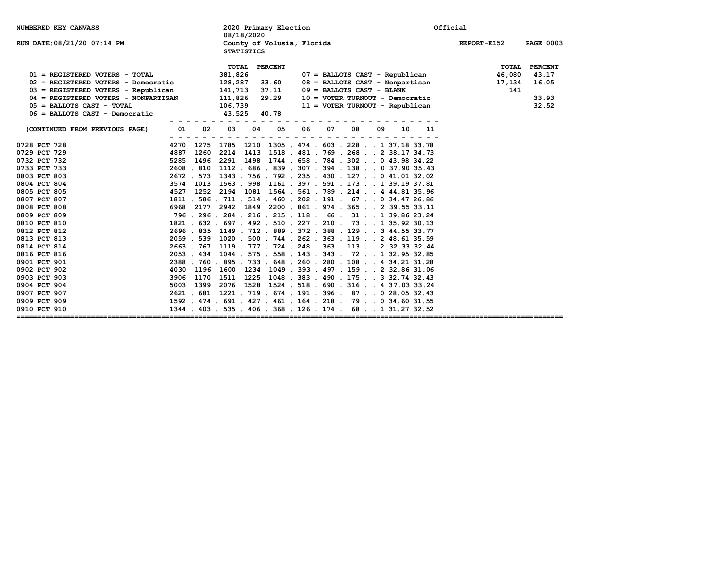| <b>NUMBERED KEY CANVASS</b>                         |      | 2020 Primary Election<br>08/18/2020             |                                                                    | Official                        |
|-----------------------------------------------------|------|-------------------------------------------------|--------------------------------------------------------------------|---------------------------------|
| RUN DATE:08/21/20 07:14 PM                          |      | County of Volusia, Florida<br><b>STATISTICS</b> |                                                                    | REPORT-EL52<br><b>PAGE 0003</b> |
|                                                     |      | <b>PERCENT</b><br>TOTAL                         |                                                                    | TOTAL<br><b>PERCENT</b>         |
| 01 = REGISTERED VOTERS - TOTAL                      |      | 381,826                                         | 07 = BALLOTS CAST - Republican                                     | 46,080<br>43.17                 |
| 02 = REGISTERED VOTERS - Democratic                 |      | 128,287 33.60                                   | 08 = BALLOTS CAST - Nonpartisan                                    | 16.05<br>17,134                 |
| $03$ = REGISTERED VOTERS - Republican 141,713 37.11 |      |                                                 | $09 = BALLOTS CAST - BLANK$                                        | 141                             |
| 04 = REGISTERED VOTERS - NONPARTISAN 111,826 29.29  |      |                                                 |                                                                    | 33.93                           |
| $05$ = BALLOTS CAST - TOTAL                         |      |                                                 | 10 = VOTER TURNOUT - Democratic<br>11 = VOTER TURNOUT - Republican | 32.52                           |
| $06$ = BALLOTS CAST - Democratic                    |      | 106,739<br>43,525 40.78                         |                                                                    |                                 |
| (CONTINUED FROM PREVIOUS PAGE)                      |      | 04<br>05                                        | 06<br>07<br>08<br>09<br>10<br>11                                   |                                 |
|                                                     |      |                                                 |                                                                    |                                 |
| 0728 PCT 728                                        |      |                                                 | 4270 1275 1785 1210 1305 . 474 . 603 . 228 1 37.18 33.78           |                                 |
| 0729 PCT 729                                        | 4887 |                                                 | 1260 2214 1413 1518 . 481 . 769 . 268 2 38.17 34.73                |                                 |
| 0732 PCT 732                                        | 5285 |                                                 | 1496 2291 1498 1744 .658 .784 .302 0 43.98 34.22                   |                                 |
| 0733 PCT 733                                        |      |                                                 | 2608 . 810 1112 . 686 . 839 . 307 . 394 . 138 0 37.90 35.43        |                                 |
| 0803 PCT 803                                        |      |                                                 | 2672 . 573 1343 . 756 . 792 . 235 . 430 . 127 0 41.01 32.02        |                                 |
| 0804 PCT 804                                        |      |                                                 | 3574 1013 1563 . 998 1161 . 397 . 591 . 173 1 39.19 37.81          |                                 |
| 0805 PCT 805                                        | 4527 |                                                 | 1252 2194 1081 1564 . 561 . 789 . 214 4 44.81 35.96                |                                 |
| 0807 PCT 807                                        |      |                                                 | 1811 . 586 . 711 . 514 . 460 . 202 . 191 . 67 0 34.47 26.86        |                                 |
| 0808 PCT 808                                        |      |                                                 | 6968 2177 2942 1849 2200 .861 .974 .365  2 39.55 33.11             |                                 |
| 0809 PCT 809                                        |      |                                                 | 796 . 296 . 284 . 216 . 215 . 118 . 66 . 31 1 39.86 23.24          |                                 |
| 0810 PCT 810                                        |      |                                                 | 1821 . 632 . 697 . 492 . 510 . 227 . 210 . 73 1 35.92 30.13        |                                 |
| 0812 PCT 812                                        |      |                                                 | 2696 . 835 1149 . 712 . 889 . 372 . 388 . 129 3 44.55 33.77        |                                 |
| 0813 PCT 813                                        |      |                                                 | 2059 . 539 1020 . 500 . 744 . 262 . 363 . 119 2 48.61 35.59        |                                 |
| 0814 PCT 814                                        |      |                                                 | 2663 . 767 1119 . 777 . 724 . 248 . 363 . 113 2 32.33 32.44        |                                 |
| 0816 PCT 816                                        |      |                                                 | 2053 . 434 1044 . 575 . 558 . 143 . 343 . 72 1 32.95 32.85         |                                 |
| 0901 PCT 901                                        |      |                                                 | 2388 . 760 . 895 . 733 . 648 . 260 . 280 . 108 4 34.21 31.28       |                                 |
| 0902 PCT 902                                        | 4030 |                                                 | 1196 1600 1234 1049 .393 .497 .159 2 32.86 31.06                   |                                 |
| 0903 PCT 903                                        | 3906 |                                                 | 1170 1511 1225 1048 .383 .490 .175332.7432.43                      |                                 |
| 0904 PCT 904                                        | 5003 |                                                 | 1399 2076 1528 1524 .518 .690 .316 4 37.03 33.24                   |                                 |
| 0907 PCT 907                                        |      |                                                 | 2621 . 681 1221 . 719 . 674 . 191 . 396 . 87 0 28.05 32.43         |                                 |
| 0909 PCT 909                                        |      |                                                 | 1592 . 474 . 691 . 427 . 461 . 164 . 218 . 79 0 34.60 31.55        |                                 |
| 0910 PCT 910                                        |      |                                                 | 1344 . 403 . 535 . 406 . 368 . 126 . 174 . 68 1 31.27 32.52        |                                 |
| =============                                       |      |                                                 |                                                                    |                                 |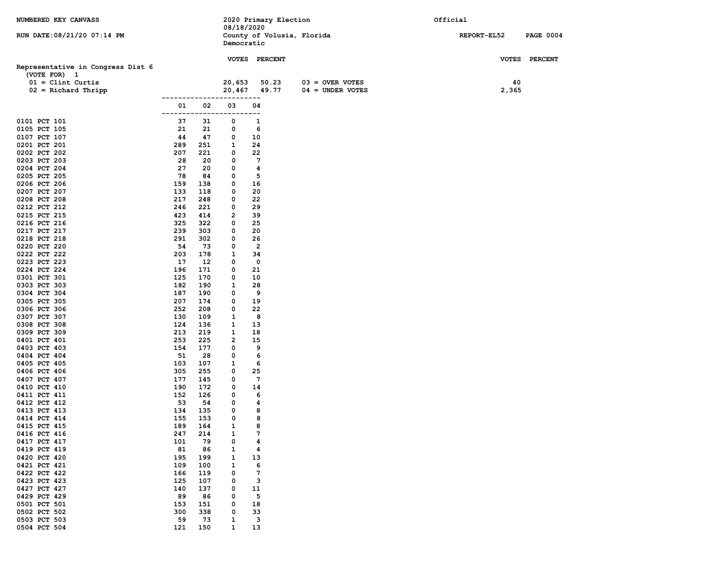| RUN DATE: 08/21/20 07:14 PM<br>County of Volusia, Florida<br>REPORT-EL52<br>Democratic<br><b>VOTES</b><br>VOTES PERCENT<br><b>PERCENT</b><br>Representative in Congress Dist 6<br>(VOTE FOR) 1<br>40<br>$01 =$ Clint Curtis<br>20,653<br>50.23<br>$03 =$ OVER VOTES<br>49.77<br>$04 = UNDER VOTES$<br>$02$ = Richard Thripp<br>20,467<br>2,365<br>----<br>----------<br>-----<br>02<br>03<br>04<br>01<br>$ -$<br>0101 PCT 101<br>37<br>31<br>1<br>0<br>0105 PCT 105<br>21<br>21<br>0<br>6<br>0107 PCT 107<br>44<br>47<br>0<br>10<br>0201 PCT 201<br>289<br>251<br>1<br>24 | <b>PAGE 0004</b> |
|---------------------------------------------------------------------------------------------------------------------------------------------------------------------------------------------------------------------------------------------------------------------------------------------------------------------------------------------------------------------------------------------------------------------------------------------------------------------------------------------------------------------------------------------------------------------------|------------------|
|                                                                                                                                                                                                                                                                                                                                                                                                                                                                                                                                                                           |                  |
|                                                                                                                                                                                                                                                                                                                                                                                                                                                                                                                                                                           |                  |
|                                                                                                                                                                                                                                                                                                                                                                                                                                                                                                                                                                           |                  |
|                                                                                                                                                                                                                                                                                                                                                                                                                                                                                                                                                                           |                  |
|                                                                                                                                                                                                                                                                                                                                                                                                                                                                                                                                                                           |                  |
|                                                                                                                                                                                                                                                                                                                                                                                                                                                                                                                                                                           |                  |
|                                                                                                                                                                                                                                                                                                                                                                                                                                                                                                                                                                           |                  |
|                                                                                                                                                                                                                                                                                                                                                                                                                                                                                                                                                                           |                  |
|                                                                                                                                                                                                                                                                                                                                                                                                                                                                                                                                                                           |                  |
|                                                                                                                                                                                                                                                                                                                                                                                                                                                                                                                                                                           |                  |
|                                                                                                                                                                                                                                                                                                                                                                                                                                                                                                                                                                           |                  |
| 0202 PCT 202<br>207<br>221<br>0<br>22                                                                                                                                                                                                                                                                                                                                                                                                                                                                                                                                     |                  |
| 28<br>$7\phantom{.0}$<br>0203 PCT 203<br>20<br>0                                                                                                                                                                                                                                                                                                                                                                                                                                                                                                                          |                  |
| 27<br>0204 PCT 204<br>20<br>0<br>4<br>78<br>5<br>0205 PCT 205<br>0<br>84                                                                                                                                                                                                                                                                                                                                                                                                                                                                                                  |                  |
| 16<br>0206 PCT 206<br>159<br>138<br>0                                                                                                                                                                                                                                                                                                                                                                                                                                                                                                                                     |                  |
| 0207 PCT 207<br>133<br>118<br>0<br>20                                                                                                                                                                                                                                                                                                                                                                                                                                                                                                                                     |                  |
| 22<br>0208 PCT 208<br>217<br>248<br>0                                                                                                                                                                                                                                                                                                                                                                                                                                                                                                                                     |                  |
| 29<br>0212 PCT 212<br>246<br>221<br>0                                                                                                                                                                                                                                                                                                                                                                                                                                                                                                                                     |                  |
| 423<br>39<br>0215 PCT 215<br>414<br>2                                                                                                                                                                                                                                                                                                                                                                                                                                                                                                                                     |                  |
| 0216 PCT 216<br>325<br>322<br>0<br>25                                                                                                                                                                                                                                                                                                                                                                                                                                                                                                                                     |                  |
| 0217 PCT 217<br>239<br>303<br>0<br>20                                                                                                                                                                                                                                                                                                                                                                                                                                                                                                                                     |                  |
| 291<br>0218 PCT 218<br>302<br>0<br>26                                                                                                                                                                                                                                                                                                                                                                                                                                                                                                                                     |                  |
| $\overline{2}$<br>0220 PCT 220<br>54<br>73<br>0                                                                                                                                                                                                                                                                                                                                                                                                                                                                                                                           |                  |
| 203<br>34<br>0222 PCT 222<br>178<br>1                                                                                                                                                                                                                                                                                                                                                                                                                                                                                                                                     |                  |
| 0223 PCT 223<br>17<br>12<br>0<br>0<br>0224 PCT 224<br>196<br>171<br>0<br>21                                                                                                                                                                                                                                                                                                                                                                                                                                                                                               |                  |
| 125<br>0301 PCT 301<br>170<br>0<br>10                                                                                                                                                                                                                                                                                                                                                                                                                                                                                                                                     |                  |
| 0303 PCT 303<br>182<br>190<br>1<br>28                                                                                                                                                                                                                                                                                                                                                                                                                                                                                                                                     |                  |
| 0304 PCT 304<br>187<br>9<br>190<br>0                                                                                                                                                                                                                                                                                                                                                                                                                                                                                                                                      |                  |
| 207<br>19<br>0305 PCT 305<br>174<br>0                                                                                                                                                                                                                                                                                                                                                                                                                                                                                                                                     |                  |
| 252<br>22<br>0306 PCT 306<br>208<br>0                                                                                                                                                                                                                                                                                                                                                                                                                                                                                                                                     |                  |
| 8<br>0307 PCT 307<br>130<br>109<br>1                                                                                                                                                                                                                                                                                                                                                                                                                                                                                                                                      |                  |
| 124<br>0308 PCT 308<br>136<br>1<br>13                                                                                                                                                                                                                                                                                                                                                                                                                                                                                                                                     |                  |
| 213<br>0309 PCT 309<br>219<br>1<br>18<br>253<br>225<br>2<br>15<br>0401 PCT 401                                                                                                                                                                                                                                                                                                                                                                                                                                                                                            |                  |
| 154<br>9<br>0403 PCT 403<br>177<br>0                                                                                                                                                                                                                                                                                                                                                                                                                                                                                                                                      |                  |
| 51<br>0404 PCT 404<br>28<br>0<br>6                                                                                                                                                                                                                                                                                                                                                                                                                                                                                                                                        |                  |
| 0405 PCT 405<br>103<br>107<br>1<br>6                                                                                                                                                                                                                                                                                                                                                                                                                                                                                                                                      |                  |
| 305<br>255<br>25<br>0406 PCT 406<br>0                                                                                                                                                                                                                                                                                                                                                                                                                                                                                                                                     |                  |
| $7\phantom{.0}$<br>0407 PCT 407<br>177<br>0<br>145                                                                                                                                                                                                                                                                                                                                                                                                                                                                                                                        |                  |
| 190<br>172<br>14<br>0410 PCT 410<br>0                                                                                                                                                                                                                                                                                                                                                                                                                                                                                                                                     |                  |
| 152<br>0411 PCT 411<br>126<br>0<br>6                                                                                                                                                                                                                                                                                                                                                                                                                                                                                                                                      |                  |
| 53<br>0412 PCT 412<br>54<br>4<br>0<br>134<br>135<br>0<br>8<br>0413 PCT 413                                                                                                                                                                                                                                                                                                                                                                                                                                                                                                |                  |
| 153<br>0<br>8<br>0414 PCT 414<br>155                                                                                                                                                                                                                                                                                                                                                                                                                                                                                                                                      |                  |
| 189<br>$\mathbf{1}$<br>8<br>0415 PCT 415<br>164                                                                                                                                                                                                                                                                                                                                                                                                                                                                                                                           |                  |
| 214<br>$7\phantom{.0}$<br>0416 PCT 416<br>247<br>1                                                                                                                                                                                                                                                                                                                                                                                                                                                                                                                        |                  |
| 0417 PCT 417<br>101<br>79<br>0<br>4                                                                                                                                                                                                                                                                                                                                                                                                                                                                                                                                       |                  |
| 0419 PCT 419<br>81<br>86<br>1<br>4                                                                                                                                                                                                                                                                                                                                                                                                                                                                                                                                        |                  |
| 0420 PCT 420<br>195<br>199<br>1<br>13                                                                                                                                                                                                                                                                                                                                                                                                                                                                                                                                     |                  |
| 0421 PCT 421<br>109<br>100<br>6<br>1                                                                                                                                                                                                                                                                                                                                                                                                                                                                                                                                      |                  |
| 0422 PCT 422<br>$7\phantom{.0}$<br>166<br>119<br>0<br>3<br>0423 PCT 423<br>125<br>107<br>0                                                                                                                                                                                                                                                                                                                                                                                                                                                                                |                  |
| 0427 PCT 427<br>140<br>137<br>11<br>0                                                                                                                                                                                                                                                                                                                                                                                                                                                                                                                                     |                  |
| 0429 PCT 429<br>89<br>86<br>5<br>0                                                                                                                                                                                                                                                                                                                                                                                                                                                                                                                                        |                  |
| 0501 PCT 501<br>153<br>151<br>0<br>18                                                                                                                                                                                                                                                                                                                                                                                                                                                                                                                                     |                  |
| 0502 PCT 502<br>300<br>338<br>0<br>33                                                                                                                                                                                                                                                                                                                                                                                                                                                                                                                                     |                  |
| 0503 PCT 503<br>59<br>73<br>1<br>3                                                                                                                                                                                                                                                                                                                                                                                                                                                                                                                                        |                  |
| 121<br>150<br>13<br>0504 PCT 504<br>$\mathbf{1}$                                                                                                                                                                                                                                                                                                                                                                                                                                                                                                                          |                  |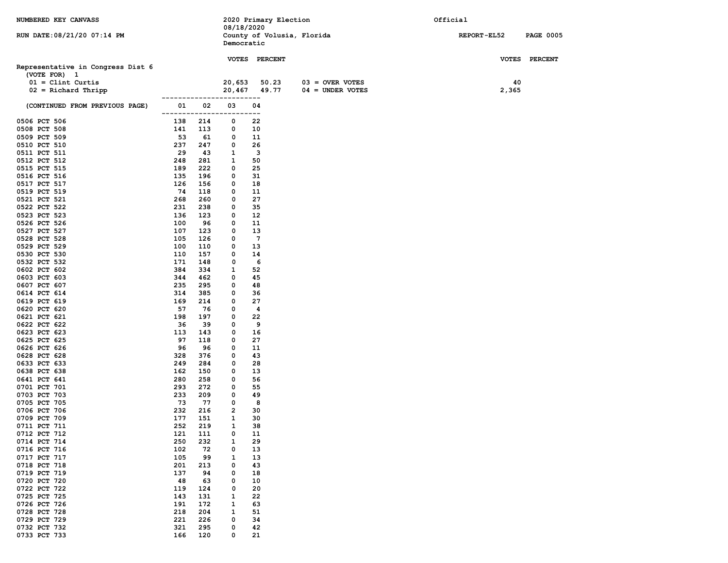| NUMBERED KEY CANVASS              |            |            |                       | 2020 Primary Election      |                    | Official           |                  |
|-----------------------------------|------------|------------|-----------------------|----------------------------|--------------------|--------------------|------------------|
|                                   |            |            | 08/18/2020            |                            |                    |                    |                  |
| RUN DATE: 08/21/20 07:14 PM       |            |            | Democratic            | County of Volusia, Florida |                    | <b>REPORT-EL52</b> | <b>PAGE 0005</b> |
|                                   |            |            |                       |                            |                    |                    |                  |
|                                   |            |            |                       | VOTES PERCENT              |                    |                    | VOTES PERCENT    |
| Representative in Congress Dist 6 |            |            |                       |                            |                    |                    |                  |
| (VOTE FOR) 1                      |            |            |                       |                            |                    |                    |                  |
| $01 =$ Clint Curtis               |            |            | 20,653                | 50.23                      | $03 =$ OVER VOTES  | 40                 |                  |
| $02$ = Richard Thripp             |            |            | --------------------- | 20,467 49.77               | $04 = UNDER VOTES$ | 2,365              |                  |
| (CONTINUED FROM PREVIOUS PAGE)    | 01         | 02         | 03                    | 04<br>.                    |                    |                    |                  |
| 0506 PCT 506                      | 138        | 214        | 0                     | 22                         |                    |                    |                  |
| 0508 PCT 508                      | 141        | 113        | 0                     | 10                         |                    |                    |                  |
| 0509 PCT 509                      | 53         | 61         | 0                     | 11                         |                    |                    |                  |
| 0510 PCT 510                      | 237        | 247        | 0                     | 26                         |                    |                    |                  |
| 0511 PCT 511                      | 29         | 43         | 1                     | 3                          |                    |                    |                  |
| 0512 PCT 512<br>0515 PCT 515      | 248<br>189 | 281<br>222 | 1<br>0                | 50<br>25                   |                    |                    |                  |
| 0516 PCT 516                      | 135        | 196        | 0                     | 31                         |                    |                    |                  |
| 0517 PCT 517                      | 126        | 156        | 0                     | 18                         |                    |                    |                  |
| 0519 PCT 519                      | 74         | 118        | 0                     | 11                         |                    |                    |                  |
| 0521 PCT 521                      | 268        | 260        | 0                     | 27                         |                    |                    |                  |
| 0522 PCT 522                      | 231        | 238        | 0                     | 35                         |                    |                    |                  |
| 0523 PCT 523                      | 136        | 123        | 0                     | 12                         |                    |                    |                  |
| 0526 PCT 526                      | 100        | 96         | 0                     | 11                         |                    |                    |                  |
| 0527 PCT 527                      | 107        | 123        | 0                     | 13                         |                    |                    |                  |
| 0528 PCT 528                      | 105        | 126        | 0                     | $7\phantom{.0}$            |                    |                    |                  |
| 0529 PCT 529                      | 100        | 110        | 0                     | 13                         |                    |                    |                  |
| 0530 PCT 530<br>0532 PCT 532      | 110<br>171 | 157<br>148 | 0<br>0                | 14<br>6                    |                    |                    |                  |
| 0602 PCT 602                      | 384        | 334        | 1                     | 52                         |                    |                    |                  |
| 0603 PCT 603                      | 344        | 462        | 0                     | 45                         |                    |                    |                  |
| 0607 PCT 607                      | 235        | 295        | 0                     | 48                         |                    |                    |                  |
| 0614 PCT 614                      | 314        | 385        | 0                     | 36                         |                    |                    |                  |
| 0619 PCT 619                      | 169        | 214        | 0                     | 27                         |                    |                    |                  |
| 0620 PCT 620                      | 57         | 76         | 0                     | $\overline{\mathbf{4}}$    |                    |                    |                  |
| 0621 PCT 621                      | 198        | 197        | 0                     | 22                         |                    |                    |                  |
| 0622 PCT 622                      | 36         | 39         | 0                     | 9                          |                    |                    |                  |
| 0623 PCT 623                      | 113        | 143        | 0                     | 16                         |                    |                    |                  |
| 0625 PCT 625<br>0626 PCT 626      | 97<br>96   | 118<br>96  | 0<br>0                | 27<br>11                   |                    |                    |                  |
| 0628 PCT 628                      | 328        | 376        | 0                     | 43                         |                    |                    |                  |
| 0633 PCT 633                      | 249        | 284        | 0                     | 28                         |                    |                    |                  |
| 0638 PCT 638                      | 162        | 150        | 0                     | 13                         |                    |                    |                  |
| 0641 PCT 641                      | 280        | 258        | 0                     | 56                         |                    |                    |                  |
| 0701 PCT 701                      | 293        | 272        | 0                     | 55                         |                    |                    |                  |
| 0703 PCT 703                      | 233        | 209        | 0                     | 49                         |                    |                    |                  |
| 0705 PCT 705                      | 73         | 77         | 0                     | 8                          |                    |                    |                  |
| 0706 PCT 706                      | 232<br>177 | 216        | 2                     | 30<br>30                   |                    |                    |                  |
| 0709 PCT 709                      | 252        | 151<br>219 | 1<br>$\mathbf{1}$     | 38                         |                    |                    |                  |
| 0711 PCT 711<br>0712 PCT 712      | 121        | 111        | 0                     | 11                         |                    |                    |                  |
| 0714 PCT 714                      | 250        | 232        | 1                     | 29                         |                    |                    |                  |
| 0716 PCT 716                      | 102        | 72         | 0                     | 13                         |                    |                    |                  |
| 0717 PCT 717                      | 105        | 99         | 1                     | 13                         |                    |                    |                  |
| 0718 PCT 718                      | 201        | 213        | 0                     | 43                         |                    |                    |                  |
| 0719 PCT 719                      | 137        | 94         | 0                     | 18                         |                    |                    |                  |
| 0720 PCT 720                      | 48         | 63         | 0                     | 10                         |                    |                    |                  |
| 0722 PCT 722                      | 119        | 124        | 0                     | 20                         |                    |                    |                  |
| 0725 PCT 725<br>0726 PCT 726      | 143        | 131<br>172 | 1                     | 22                         |                    |                    |                  |
| 0728 PCT 728                      | 191<br>218 | 204        | 1<br>1                | 63<br>51                   |                    |                    |                  |
| 0729 PCT 729                      | 221        | 226        | 0                     | 34                         |                    |                    |                  |
| 0732 PCT 732                      | 321        | 295        | 0                     | 42                         |                    |                    |                  |
| 0733 PCT 733                      | 166        | 120        | 0                     | 21                         |                    |                    |                  |
|                                   |            |            |                       |                            |                    |                    |                  |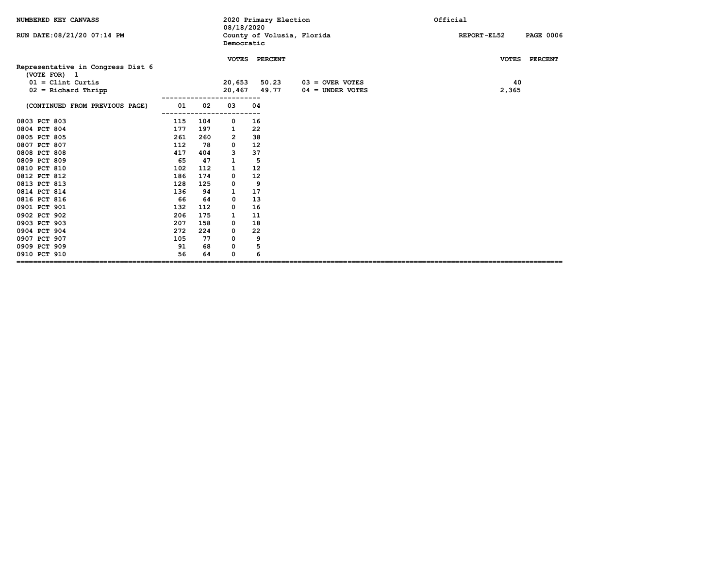| NUMBERED KEY CANVASS                              |            |     | 08/18/2020 | 2020 Primary Election      |                    | Official                               |  |  |  |
|---------------------------------------------------|------------|-----|------------|----------------------------|--------------------|----------------------------------------|--|--|--|
| RUN DATE: 08/21/20 07:14 PM                       |            |     | Democratic | County of Volusia, Florida |                    | <b>REPORT-EL52</b><br><b>PAGE 0006</b> |  |  |  |
|                                                   |            |     |            | VOTES PERCENT              |                    | VOTES PERCENT                          |  |  |  |
| Representative in Congress Dist 6<br>(VOTE FOR) 1 |            |     |            |                            |                    |                                        |  |  |  |
| $01 =$ Clint Curtis                               |            |     | 20,653     | 50.23                      | $03 =$ OVER VOTES  | 40                                     |  |  |  |
| $02$ = Richard Thripp                             |            |     |            | 20,467 49.77               | $04 =$ UNDER VOTES | 2,365                                  |  |  |  |
| (CONTINUED FROM PREVIOUS PAGE)                    | 01<br>---- | 02  | 03         | 04                         |                    |                                        |  |  |  |
| 0803 PCT 803                                      | 115        | 104 | 0          | 16                         |                    |                                        |  |  |  |
| 0804 PCT 804                                      | 177        | 197 | 1          | 22                         |                    |                                        |  |  |  |
| 0805 PCT 805                                      | 261        | 260 | 2          | 38                         |                    |                                        |  |  |  |
| 0807 PCT 807                                      | 112        | 78  | 0          | 12                         |                    |                                        |  |  |  |
| 0808 PCT 808                                      | 417        | 404 | 3          | 37                         |                    |                                        |  |  |  |
| 0809 PCT 809                                      | 65         | 47  | 1          | 5                          |                    |                                        |  |  |  |
| 0810 PCT 810                                      | 102        | 112 | 1          | 12                         |                    |                                        |  |  |  |
| 0812 PCT 812                                      | 186        | 174 | 0          | 12                         |                    |                                        |  |  |  |
| 0813 PCT 813                                      | 128        | 125 | 0          | 9                          |                    |                                        |  |  |  |
| 0814 PCT 814                                      | 136        | 94  | 1          | 17                         |                    |                                        |  |  |  |
| 0816 PCT 816                                      | 66         | 64  | 0          | 13                         |                    |                                        |  |  |  |
| 0901 PCT 901                                      | 132        | 112 | 0          | 16                         |                    |                                        |  |  |  |
| 0902 PCT 902                                      | 206        | 175 | 1          | 11                         |                    |                                        |  |  |  |
| 0903 PCT 903                                      | 207        | 158 | 0          | 18                         |                    |                                        |  |  |  |
| 0904 PCT 904                                      | 272        | 224 | 0          | 22                         |                    |                                        |  |  |  |
| 0907 PCT 907                                      | 105        | 77  | 0          | 9                          |                    |                                        |  |  |  |
| 0909 PCT 909                                      | 91         | 68  | 0          | 5                          |                    |                                        |  |  |  |
| 0910 PCT 910                                      | 56         | 64  | 0          | 6                          |                    |                                        |  |  |  |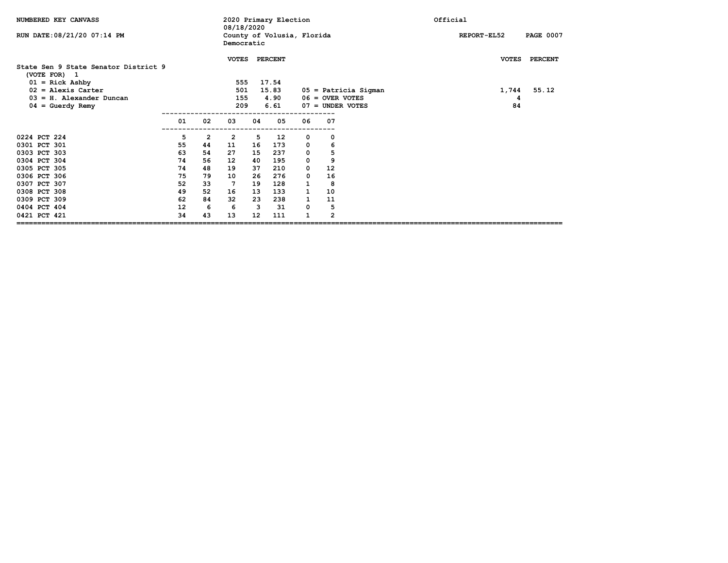| NUMBERED KEY CANVASS                                 |    |    | 2020 Primary Election<br>08/18/2020 |    |                            |              |                    |                      | Official |              |                  |
|------------------------------------------------------|----|----|-------------------------------------|----|----------------------------|--------------|--------------------|----------------------|----------|--------------|------------------|
| RUN DATE: 08/21/20 07:14 PM                          |    |    | Democratic                          |    | County of Volusia, Florida |              |                    |                      |          | REPORT-EL52  | <b>PAGE 0007</b> |
| State Sen 9 State Senator District 9<br>(VOTE FOR) 1 |    |    | <b>VOTES</b>                        |    | <b>PERCENT</b>             |              |                    |                      |          | <b>VOTES</b> | <b>PERCENT</b>   |
| $01 =$ Rick Ashby                                    |    |    | 555                                 |    | 17.54                      |              |                    |                      |          |              |                  |
| $02$ = Alexis Carter                                 |    |    | 501                                 |    | 15.83                      |              |                    | 05 = Patricia Sigman |          | 1,744        | 55.12            |
| $03 = H$ . Alexander Duncan                          |    |    | 155                                 |    | 4.90                       |              | $06 =$ OVER VOTES  |                      |          | 4            |                  |
| $04 =$ Guerdy Remy                                   |    |    | 209                                 |    | 6.61                       |              | $07 =$ UNDER VOTES |                      |          | 84           |                  |
|                                                      | 01 | 02 | 03                                  | 04 | 05                         | 06           | 07                 |                      |          |              |                  |
| 0224 PCT 224                                         | 5  | 2  | $\overline{2}$                      | 5  | 12                         | 0            | 0                  |                      |          |              |                  |
| 0301 PCT 301                                         | 55 | 44 | 11                                  | 16 | 173                        | 0            | 6                  |                      |          |              |                  |
| 0303 PCT 303                                         | 63 | 54 | 27                                  | 15 | 237                        | 0            | 5                  |                      |          |              |                  |
| 0304 PCT 304                                         | 74 | 56 | 12                                  | 40 | 195                        | 0            | 9                  |                      |          |              |                  |
| 0305 PCT 305                                         | 74 | 48 | 19                                  | 37 | 210                        | 0            | 12                 |                      |          |              |                  |
| 0306 PCT 306                                         | 75 | 79 | 10                                  | 26 | 276                        | 0            | 16                 |                      |          |              |                  |
| 0307 PCT 307                                         | 52 | 33 | $7\phantom{.0}$                     | 19 | 128                        | $\mathbf{1}$ | 8                  |                      |          |              |                  |
| 0308 PCT 308                                         | 49 | 52 | 16                                  | 13 | 133                        | 1            | 10                 |                      |          |              |                  |
| 0309 PCT 309                                         | 62 | 84 | 32                                  | 23 | 238                        | $\mathbf{1}$ | 11                 |                      |          |              |                  |
| 0404 PCT 404                                         | 12 | 6  | 6                                   | 3  | 31                         | 0            | 5                  |                      |          |              |                  |
| 0421 PCT 421                                         | 34 | 43 | 13                                  | 12 | 111                        |              | $\overline{2}$     |                      |          |              |                  |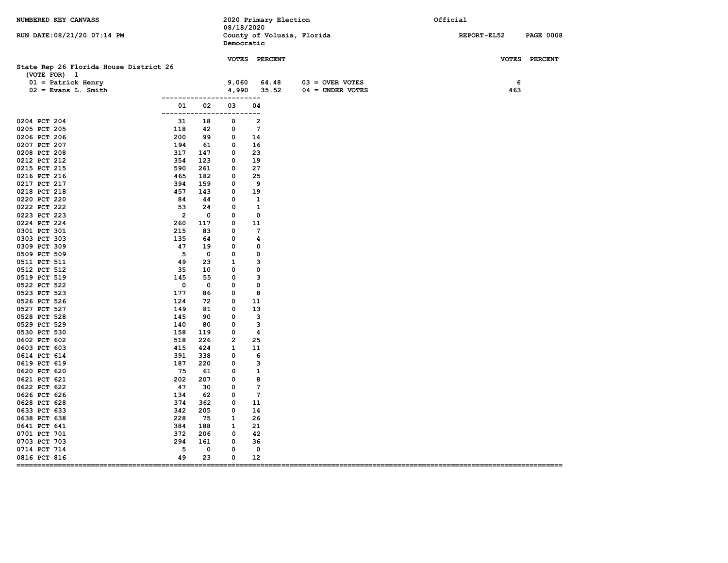| NUMBERED KEY CANVASS                                   |                   | 08/18/2020                   | 2020 Primary Election      |                    | Official                        |
|--------------------------------------------------------|-------------------|------------------------------|----------------------------|--------------------|---------------------------------|
| RUN DATE: 08/21/20 07:14 PM                            |                   | Democratic                   | County of Volusia, Florida |                    | REPORT-EL52<br><b>PAGE 0008</b> |
|                                                        |                   |                              | VOTES PERCENT              |                    | VOTES PERCENT                   |
| State Rep 26 Florida House District 26<br>(VOTE FOR) 1 |                   |                              |                            |                    |                                 |
| $01 =$ Patrick Henry                                   |                   | 9,060                        | 64.48                      | $03 =$ OVER VOTES  | 6                               |
| $02 =$ Evans L. Smith                                  |                   | 4,990                        | 35.52                      | $04 = UNDER VOTES$ | 463                             |
| --------------<br>01<br>--------------                 | 02                | ---------<br>03<br>--------- | 04                         |                    |                                 |
| 0204 PCT 204<br>31                                     | 18                | 0                            | $\overline{2}$             |                    |                                 |
| 0205 PCT 205<br>118                                    | 42                | 0                            | $7\phantom{.0}$            |                    |                                 |
| 0206 PCT 206<br>200                                    | 99                | 0                            | 14                         |                    |                                 |
| 0207 PCT 207<br>194                                    | 61                | 0                            | 16                         |                    |                                 |
| 317<br>0208 PCT 208                                    | 147               | $\mathbf{o}$                 | 23                         |                    |                                 |
| 354<br>0212 PCT 212                                    | 123               | 0                            | 19<br>27                   |                    |                                 |
| 0215 PCT 215<br>590<br>0216 PCT 216<br>465             | 261<br>182        | $\mathbf{o}$<br>0            | 25                         |                    |                                 |
| 394<br>0217 PCT 217                                    | 159               | 0                            | 9                          |                    |                                 |
| 457<br>0218 PCT 218                                    | 143               | $\mathbf{o}$                 | 19                         |                    |                                 |
| 0220 PCT 220<br>84                                     | 44                | 0                            | 1                          |                    |                                 |
| 0222 PCT 222<br>53                                     | 24                | 0                            | 1                          |                    |                                 |
| $\overline{2}$<br>0223 PCT 223                         | 0                 | 0                            | 0                          |                    |                                 |
| 0224 PCT 224<br>260                                    | 117               | 0                            | 11                         |                    |                                 |
| 215<br>0301 PCT 301                                    | 83                | 0                            | $7\phantom{.0}$            |                    |                                 |
| 0303 PCT 303<br>135                                    | 64                | 0                            | 4                          |                    |                                 |
| 47<br>0309 PCT 309                                     | 19                | 0                            | 0                          |                    |                                 |
| 5<br>0509 PCT 509                                      | $\mathbf 0$       | 0                            | 0                          |                    |                                 |
| 0511 PCT 511<br>49                                     | 23                | $\mathbf{1}$                 | з                          |                    |                                 |
| 0512 PCT 512<br>35                                     | 10                | 0                            | 0                          |                    |                                 |
| 0519 PCT 519<br>145<br>0                               | 55<br>$\mathbf 0$ | 0<br>0                       | з<br>0                     |                    |                                 |
| 0522 PCT 522<br>177<br>0523 PCT 523                    | 86                | 0                            | 8                          |                    |                                 |
| 0526 PCT 526<br>124                                    | 72                | 0                            | 11                         |                    |                                 |
| 0527 PCT 527<br>149                                    | 81                | 0                            | 13                         |                    |                                 |
| 0528 PCT 528<br>145                                    | 90                | 0                            | з                          |                    |                                 |
| 0529 PCT 529<br>140                                    | 80                | 0                            | 3                          |                    |                                 |
| 0530 PCT 530<br>158                                    | 119               | $\mathbf 0$                  | $\overline{\mathbf{4}}$    |                    |                                 |
| 0602 PCT 602<br>518                                    | 226               | $\overline{2}$               | 25                         |                    |                                 |
| 415<br>0603 PCT 603                                    | 424               | 1                            | 11                         |                    |                                 |
| 0614 PCT 614<br>391                                    | 338               | 0                            | 6                          |                    |                                 |
| 187<br>0619 PCT 619                                    | 220               | 0                            | 3                          |                    |                                 |
| 75<br>0620 PCT 620                                     | 61                | 0                            | 1                          |                    |                                 |
| 0621 PCT 621<br>202                                    | 207               | 0                            | 8                          |                    |                                 |
| 47<br>0622 PCT 622                                     | 30                | 0                            | $7\phantom{.0}$            |                    |                                 |
| 0626 PCT 626<br>134                                    | 62                | 0                            | $7\phantom{.0}$            |                    |                                 |
| 374<br>0628 PCT 628<br>342<br>0633 PCT 633             | 362<br>205        | 0<br>0                       | 11<br>14                   |                    |                                 |
| 228<br>0638 PCT 638                                    | 75                | 1                            | 26                         |                    |                                 |
| 0641 PCT 641<br>384                                    | 188               | 1                            | 21                         |                    |                                 |
| 0701 PCT 701<br>372                                    | 206               | 0                            | 42                         |                    |                                 |
| 294<br>0703 PCT 703                                    | 161               | 0                            | 36                         |                    |                                 |
| 0714 PCT 714<br>5                                      | 0                 | 0                            | 0                          |                    |                                 |
| 49<br>0816 PCT 816<br>===================              | 23                | 0                            | 12                         |                    |                                 |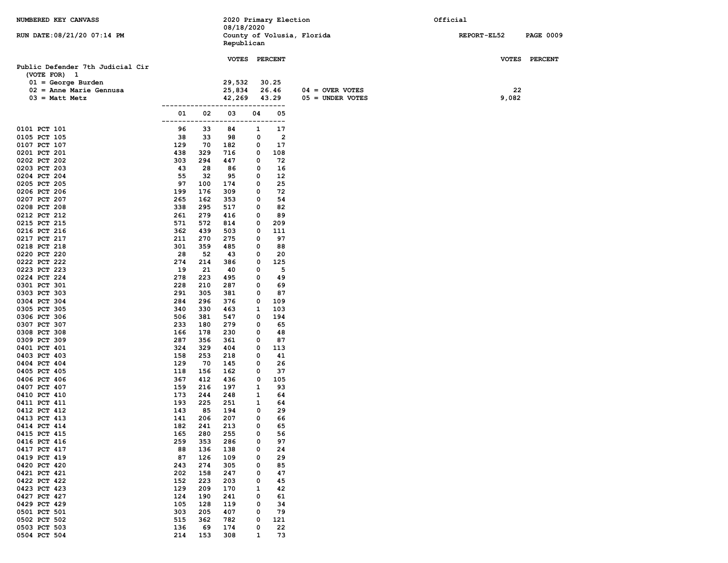| NUMBERED KEY CANVASS             |            |            |               |        | 2020 Primary Election |                            | Official           |                  |
|----------------------------------|------------|------------|---------------|--------|-----------------------|----------------------------|--------------------|------------------|
| RUN DATE: 08/21/20 07:14 PM      |            |            | 08/18/2020    |        |                       | County of Volusia, Florida | <b>REPORT-EL52</b> | <b>PAGE 0009</b> |
|                                  |            |            | Republican    |        |                       |                            |                    |                  |
|                                  |            |            |               |        |                       |                            |                    |                  |
| Public Defender 7th Judicial Cir |            |            | VOTES PERCENT |        |                       |                            |                    | VOTES PERCENT    |
| (VOTE FOR) 1                     |            |            |               |        |                       |                            |                    |                  |
| $01 = George Burden$             |            |            | 29,532        |        | 30.25                 |                            |                    |                  |
| $02$ = Anne Marie Gennusa        |            |            | 25,834        |        | 26.46                 | $04 =$ OVER VOTES          | 22                 |                  |
| $03$ = Matt Metz                 |            |            | 42,269        |        | 43.29                 | $05 =$ UNDER VOTES         | 9,082              |                  |
|                                  |            |            |               |        | -----                 |                            |                    |                  |
|                                  | 01         | 02         | 03            | 04     | 05<br>.               |                            |                    |                  |
| 0101 PCT 101                     | 96         | 33         | 84            | 1      | 17                    |                            |                    |                  |
| 0105 PCT 105                     | 38         | 33         | 98            | 0      | $\overline{2}$        |                            |                    |                  |
| 0107 PCT 107                     | 129        | 70         | 182           | 0      | 17                    |                            |                    |                  |
| 0201 PCT 201<br>0202 PCT 202     | 438<br>303 | 329<br>294 | 716<br>447    | 0<br>0 | 108<br>72             |                            |                    |                  |
| 0203 PCT 203                     | 43         | 28         | 86            | 0      | 16                    |                            |                    |                  |
| 0204 PCT 204                     | 55         | 32         | 95            | 0      | 12                    |                            |                    |                  |
| 0205 PCT 205                     | 97         | 100        | 174           | 0      | 25                    |                            |                    |                  |
| 0206 PCT 206                     | 199        | 176        | 309           | 0      | 72                    |                            |                    |                  |
| 0207 PCT 207                     | 265        | 162        | 353           | 0      | 54                    |                            |                    |                  |
| 0208 PCT 208                     | 338<br>261 | 295<br>279 | 517           | 0      | 82<br>89              |                            |                    |                  |
| 0212 PCT 212<br>0215 PCT 215     | 571        | 572        | 416<br>814    | 0<br>0 | 209                   |                            |                    |                  |
| 0216 PCT 216                     | 362        | 439        | 503           | 0      | 111                   |                            |                    |                  |
| 0217 PCT 217                     | 211        | 270        | 275           | 0      | 97                    |                            |                    |                  |
| 0218 PCT 218                     | 301        | 359        | 485           | 0      | 88                    |                            |                    |                  |
| 0220 PCT 220                     | 28         | 52         | 43            | 0      | 20                    |                            |                    |                  |
| 0222 PCT 222                     | 274        | 214        | 386           | 0      | 125                   |                            |                    |                  |
| 0223 PCT 223<br>0224 PCT 224     | 19<br>278  | 21<br>223  | 40<br>495     | 0<br>0 | 5<br>49               |                            |                    |                  |
| 0301 PCT 301                     | 228        | 210        | 287           | 0      | 69                    |                            |                    |                  |
| 0303 PCT 303                     | 291        | 305        | 381           | 0      | 87                    |                            |                    |                  |
| 0304 PCT 304                     | 284        | 296        | 376           | 0      | 109                   |                            |                    |                  |
| 0305 PCT 305                     | 340        | 330        | 463           | 1      | 103                   |                            |                    |                  |
| 0306 PCT 306                     | 506        | 381        | 547           | 0      | 194                   |                            |                    |                  |
| 0307 PCT 307                     | 233        | 180        | 279           | 0      | 65                    |                            |                    |                  |
| 0308 PCT 308<br>0309 PCT 309     | 166<br>287 | 178<br>356 | 230<br>361    | 0<br>0 | 48<br>87              |                            |                    |                  |
| 0401 PCT 401                     | 324        | 329        | 404           | 0      | 113                   |                            |                    |                  |
| 0403 PCT 403                     | 158        | 253        | 218           | 0      | 41                    |                            |                    |                  |
| 0404 PCT 404                     | 129        | 70         | 145           | 0      | 26                    |                            |                    |                  |
| 0405 PCT 405                     | 118        | 156        | 162           | 0      | 37                    |                            |                    |                  |
| 0406 PCT 406                     | 367        | 412        | 436           | 0      | 105                   |                            |                    |                  |
| 0407 PCT 407<br>0410 PCT 410     | 159<br>173 | 216<br>244 | 197<br>248    | 1<br>1 | 93<br>64              |                            |                    |                  |
| 0411 PCT 411                     | 193        | 225        | 251           | 1      | 64                    |                            |                    |                  |
| 0412 PCT 412                     | 143        | 85         | 194           | 0      | 29                    |                            |                    |                  |
| 0413 PCT 413                     | 141        | 206        | 207           | 0      | 66                    |                            |                    |                  |
| 0414 PCT 414                     | 182        | 241        | 213           | 0      | 65                    |                            |                    |                  |
| 0415 PCT 415                     | 165        | 280        | 255           | 0      | 56                    |                            |                    |                  |
| 0416 PCT 416                     | 259        | 353        | 286           | 0      | 97                    |                            |                    |                  |
| 0417 PCT 417<br>0419 PCT 419     | 88<br>87   | 136<br>126 | 138<br>109    | 0<br>0 | 24<br>29              |                            |                    |                  |
| 0420 PCT 420                     | 243        | 274        | 305           | 0      | 85                    |                            |                    |                  |
| 0421 PCT 421                     | 202        | 158        | 247           | 0      | 47                    |                            |                    |                  |
| 0422 PCT 422                     | 152        | 223        | 203           | 0      | 45                    |                            |                    |                  |
| 0423 PCT 423                     | 129        | 209        | 170           | 1      | 42                    |                            |                    |                  |
| 0427 PCT 427                     | 124        | 190        | 241           | 0      | 61                    |                            |                    |                  |
| 0429 PCT 429                     | 105        | 128        | 119           | 0      | 34                    |                            |                    |                  |
| 0501 PCT 501<br>0502 PCT 502     | 303<br>515 | 205<br>362 | 407<br>782    | 0<br>0 | 79<br>121             |                            |                    |                  |
| 0503 PCT 503                     | 136        | 69         | 174           | 0      | 22                    |                            |                    |                  |
| 0504 PCT 504                     | 214        | 153        | 308           | 1      | 73                    |                            |                    |                  |
|                                  |            |            |               |        |                       |                            |                    |                  |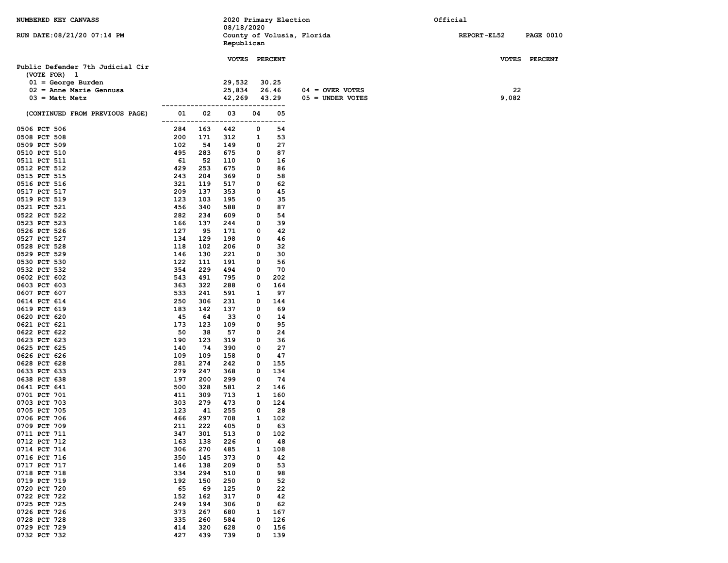| NUMBERED KEY CANVASS                              |            |            |                          |        | 2020 Primary Election |                            | Official           |                  |
|---------------------------------------------------|------------|------------|--------------------------|--------|-----------------------|----------------------------|--------------------|------------------|
| RUN DATE: 08/21/20 07:14 PM                       |            |            | 08/18/2020<br>Republican |        |                       | County of Volusia, Florida | <b>REPORT-EL52</b> | <b>PAGE 0010</b> |
|                                                   |            |            | VOTES PERCENT            |        |                       |                            |                    | VOTES PERCENT    |
| Public Defender 7th Judicial Cir                  |            |            |                          |        |                       |                            |                    |                  |
| (VOTE FOR) 1                                      |            |            |                          |        |                       |                            |                    |                  |
| $01 = George Burden$<br>$02$ = Anne Marie Gennusa |            |            | 29,532<br>25,834         |        | 30.25<br>26.46        | $04 =$ OVER VOTES          | 22                 |                  |
| $03 = \text{Matt}$ Metz                           |            |            | 42,269                   |        | 43.29                 | $05 =$ UNDER VOTES         | 9,082              |                  |
|                                                   |            |            |                          |        | -------               |                            |                    |                  |
| (CONTINUED FROM PREVIOUS PAGE)                    | 01         | 02         | 03                       | 04     | 05<br>--              |                            |                    |                  |
| 0506 PCT 506                                      | 284        | 163        | 442                      | 0      | 54                    |                            |                    |                  |
| 0508 PCT 508                                      | 200        | 171        | 312                      | 1      | 53                    |                            |                    |                  |
| 0509 PCT 509                                      | 102<br>495 | 54         | 149                      | 0      | 27                    |                            |                    |                  |
| 0510 PCT 510<br>0511 PCT 511                      | 61         | 283<br>52  | 675<br>110               | 0<br>0 | 87<br>16              |                            |                    |                  |
| 0512 PCT 512                                      | 429        | 253        | 675                      | 0      | 86                    |                            |                    |                  |
| 0515 PCT 515                                      | 243        | 204        | 369                      | 0      | 58                    |                            |                    |                  |
| 0516 PCT 516                                      | 321        | 119        | 517                      | 0      | 62                    |                            |                    |                  |
| 0517 PCT 517                                      | 209        | 137        | 353                      | 0      | 45                    |                            |                    |                  |
| 0519 PCT 519                                      | 123        | 103        | 195                      | 0      | 35                    |                            |                    |                  |
| 0521 PCT 521                                      | 456        | 340        | 588                      | 0      | 87                    |                            |                    |                  |
| 0522 PCT 522                                      | 282        | 234        | 609                      | 0      | 54                    |                            |                    |                  |
| 0523 PCT 523<br>0526 PCT 526                      | 166<br>127 | 137<br>95  | 244<br>171               | 0<br>0 | 39<br>42              |                            |                    |                  |
| 0527 PCT 527                                      | 134        | 129        | 198                      | 0      | 46                    |                            |                    |                  |
| 0528 PCT 528                                      | 118        | 102        | 206                      | 0      | 32                    |                            |                    |                  |
| 0529 PCT 529                                      | 146        | 130        | 221                      | 0      | 30                    |                            |                    |                  |
| 0530 PCT 530                                      | 122        | 111        | 191                      | 0      | 56                    |                            |                    |                  |
| 0532 PCT 532                                      | 354        | 229        | 494                      | 0      | 70                    |                            |                    |                  |
| 0602 PCT 602                                      | 543        | 491        | 795                      | 0      | 202                   |                            |                    |                  |
| 0603 PCT 603                                      | 363        | 322        | 288                      | 0      | 164                   |                            |                    |                  |
| 0607 PCT 607                                      | 533        | 241        | 591                      | 1<br>0 | 97                    |                            |                    |                  |
| 0614 PCT 614<br>0619 PCT 619                      | 250<br>183 | 306<br>142 | 231<br>137               | 0      | 144<br>69             |                            |                    |                  |
| 0620 PCT 620                                      | 45         | 64         | 33                       | 0      | 14                    |                            |                    |                  |
| 0621 PCT 621                                      | 173        | 123        | 109                      | 0      | 95                    |                            |                    |                  |
| 0622 PCT 622                                      | 50         | 38         | 57                       | 0      | 24                    |                            |                    |                  |
| 0623 PCT 623                                      | 190        | 123        | 319                      | 0      | 36                    |                            |                    |                  |
| 0625 PCT 625                                      | 140        | 74         | 390                      | 0      | 27                    |                            |                    |                  |
| 0626 PCT 626                                      | 109        | 109        | 158                      | 0      | 47                    |                            |                    |                  |
| 0628 PCT 628                                      | 281<br>279 | 274        | 242                      | 0<br>0 | 155                   |                            |                    |                  |
| 0633 PCT 633<br>0638 PCT 638                      | 197        | 247<br>200 | 368<br>299               | 0      | 134<br>74             |                            |                    |                  |
| 0641 PCT 641                                      | 500        | 328        | 581                      | 2      | 146                   |                            |                    |                  |
| 0701 PCT 701                                      | 411        | 309        | 713                      | 1      | 160                   |                            |                    |                  |
| 0703 PCT 703                                      | 303        | 279        | 473                      | 0      | 124                   |                            |                    |                  |
| 0705 PCT 705                                      | 123        | 41         | 255                      | 0      | 28                    |                            |                    |                  |
| 0706 PCT 706                                      | 466        | 297        | 708                      | 1      | 102                   |                            |                    |                  |
| 0709 PCT 709                                      | 211        | 222        | 405                      | 0      | 63                    |                            |                    |                  |
| 0711 PCT 711<br>0712 PCT 712                      | 347<br>163 | 301<br>138 | 513<br>226               | 0<br>0 | 102<br>48             |                            |                    |                  |
| 0714 PCT 714                                      | 306        | 270        | 485                      | 1      | 108                   |                            |                    |                  |
| 0716 PCT 716                                      | 350        | 145        | 373                      | 0      | 42                    |                            |                    |                  |
| 0717 PCT 717                                      | 146        | 138        | 209                      | 0      | 53                    |                            |                    |                  |
| 0718 PCT 718                                      | 334        | 294        | 510                      | 0      | 98                    |                            |                    |                  |
| 0719 PCT 719                                      | 192        | 150        | 250                      | 0      | 52                    |                            |                    |                  |
| 0720 PCT 720                                      | 65         | 69         | 125                      | 0      | 22                    |                            |                    |                  |
| 0722 PCT 722                                      | 152        | 162        | 317                      | 0      | 42                    |                            |                    |                  |
| 0725 PCT 725                                      | 249        | 194        | 306                      | 0      | 62                    |                            |                    |                  |
| 0726 PCT 726<br>0728 PCT 728                      | 373<br>335 | 267<br>260 | 680                      | 1<br>0 | 167<br>126            |                            |                    |                  |
| 0729 PCT 729                                      | 414        | 320        | 584<br>628               | 0      | 156                   |                            |                    |                  |
| 0732 PCT 732                                      | 427        | 439        | 739                      | 0      | 139                   |                            |                    |                  |
|                                                   |            |            |                          |        |                       |                            |                    |                  |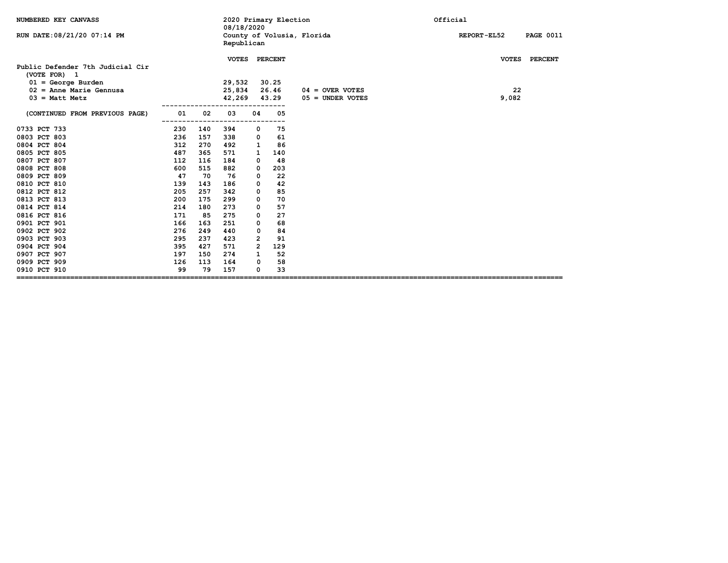| NUMBERED KEY CANVASS                           |     |     | 08/18/2020   |                | 2020 Primary Election |                            | Official                        |
|------------------------------------------------|-----|-----|--------------|----------------|-----------------------|----------------------------|---------------------------------|
| RUN DATE: 08/21/20 07:14 PM                    |     |     | Republican   |                |                       | County of Volusia, Florida | REPORT-EL52<br><b>PAGE 0011</b> |
| Public Defender 7th Judicial Cir               |     |     | <b>VOTES</b> |                | <b>PERCENT</b>        |                            | <b>VOTES</b><br><b>PERCENT</b>  |
| (VOTE FOR) 1                                   |     |     |              |                |                       |                            |                                 |
| $01 = George Burden$                           |     |     | 29,532       |                | 30.25                 |                            |                                 |
| $02$ = Anne Marie Gennusa                      |     |     | 25,834       |                | 26.46                 | $04 =$ OVER VOTES          | 22                              |
| $03 = \text{Matt Metz}$                        |     |     | 42,269       |                | 43.29                 | $05 =$ UNDER VOTES         | 9,082                           |
| (CONTINUED FROM PREVIOUS PAGE)                 | 01  | 02  | 03           | 04             | 05                    |                            |                                 |
| 0733 PCT 733                                   | 230 | 140 | -----<br>394 | 0              | 75                    |                            |                                 |
| 0803 PCT 803                                   | 236 | 157 | 338          | 0              | 61                    |                            |                                 |
| 0804 PCT 804                                   | 312 | 270 | 492          | 1              | 86                    |                            |                                 |
| 0805 PCT 805                                   | 487 | 365 | 571          | 1              | 140                   |                            |                                 |
| 0807 PCT 807                                   | 112 | 116 | 184          | 0              | 48                    |                            |                                 |
| 0808 PCT 808                                   | 600 | 515 | 882          | 0              | 203                   |                            |                                 |
| 0809 PCT 809                                   | 47  | 70  | 76           | 0              | 22                    |                            |                                 |
| 0810 PCT 810                                   | 139 | 143 | 186          | 0              | 42                    |                            |                                 |
| 0812 PCT 812                                   | 205 | 257 | 342          | 0              | 85                    |                            |                                 |
| 0813 PCT 813                                   | 200 | 175 | 299          | 0              | 70                    |                            |                                 |
| 0814 PCT 814                                   | 214 | 180 | 273          | 0              | 57                    |                            |                                 |
| 0816 PCT 816                                   | 171 | 85  | 275          | 0              | 27                    |                            |                                 |
| 0901 PCT 901                                   | 166 | 163 | 251          | 0              | 68                    |                            |                                 |
| 0902 PCT 902                                   | 276 | 249 | 440          | 0              | 84                    |                            |                                 |
| 0903 PCT 903                                   | 295 | 237 | 423          | $\overline{2}$ | 91                    |                            |                                 |
| 0904 PCT 904                                   | 395 | 427 | 571          | $\overline{2}$ | 129                   |                            |                                 |
| 0907 PCT 907                                   | 197 | 150 | 274          | $\mathbf{1}$   | 52                    |                            |                                 |
| 0909 PCT 909                                   | 126 | 113 | 164          | 0              | 58                    |                            |                                 |
| 0910 PCT 910<br>============================== | 99  | 79  | 157          | 0              | 33                    |                            |                                 |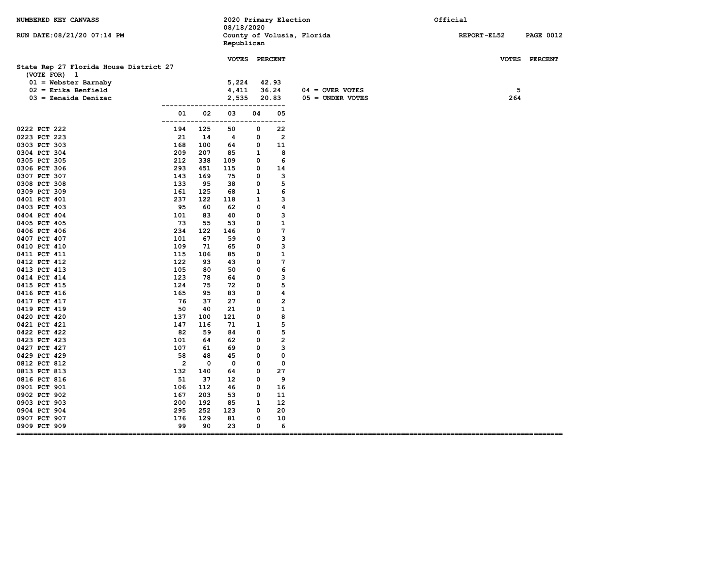| NUMBERED KEY CANVASS                                   |                |           | 08/18/2020  | 2020 Primary Election        |                    | Official                               |
|--------------------------------------------------------|----------------|-----------|-------------|------------------------------|--------------------|----------------------------------------|
| RUN DATE: 08/21/20 07:14 PM                            |                |           | Republican  | County of Volusia, Florida   |                    | <b>REPORT-EL52</b><br><b>PAGE 0012</b> |
|                                                        |                |           |             | VOTES PERCENT                |                    | VOTES PERCENT                          |
| State Rep 27 Florida House District 27<br>(VOTE FOR) 1 |                |           |             |                              |                    |                                        |
| $01 =$ Webster Barnaby                                 |                |           | 5,224       | 42.93                        |                    |                                        |
| $02$ = Erika Benfield                                  |                |           | 4,411       | 36.24                        | $04 =$ OVER VOTES  | 5                                      |
| $03 =$ Zenaida Denizac                                 |                |           | 2,535       | 20.83                        | $05 =$ UNDER VOTES | 264                                    |
|                                                        |                |           |             |                              |                    |                                        |
|                                                        | 01<br>------   | 02        | 03          | 05<br>04<br>$---$            |                    |                                        |
| 0222 PCT 222                                           | 194            | 125       | 50          | 0<br>22                      |                    |                                        |
| 0223 PCT 223                                           | 21             | 14        | 4           | $\overline{2}$<br>0          |                    |                                        |
| 0303 PCT 303                                           | 168            | 100       | 64          | 0<br>11                      |                    |                                        |
| 0304 PCT 304                                           | 209            | 207       | 85          | $\mathbf{1}$<br>8            |                    |                                        |
| 0305 PCT 305                                           | 212            | 338       | 109         | 6<br>0                       |                    |                                        |
| 0306 PCT 306                                           | 293            | 451       | 115         | 0<br>14                      |                    |                                        |
| 0307 PCT 307                                           | 143            | 169       | 75          | 3<br>0                       |                    |                                        |
| 0308 PCT 308                                           | 133            | 95        | 38          | 5<br>0                       |                    |                                        |
| 0309 PCT 309                                           | 161            | 125       | 68          | $\mathbf{1}$<br>6            |                    |                                        |
| 0401 PCT 401                                           | 237            | 122       | 118         | 3<br>1                       |                    |                                        |
| 0403 PCT 403                                           | 95             | 60        | 62          | 0<br>4                       |                    |                                        |
| 0404 PCT 404                                           | 101            | 83        | 40          | 3<br>0                       |                    |                                        |
| 0405 PCT 405                                           | 73<br>234      | 55        | 53          | ${\bf 1}$<br>0<br>7          |                    |                                        |
| 0406 PCT 406<br>0407 PCT 407                           | 101            | 122<br>67 | 146<br>59   | 0<br>3<br>0                  |                    |                                        |
| 0410 PCT 410                                           | 109            | 71        | 65          | 3<br>0                       |                    |                                        |
| 0411 PCT 411                                           | 115            | 106       | 85          | 0<br>1                       |                    |                                        |
| 0412 PCT 412                                           | 122            | 93        | 43          | 7<br>0                       |                    |                                        |
| 0413 PCT 413                                           | 105            | 80        | 50          | 0<br>6                       |                    |                                        |
| 0414 PCT 414                                           | 123            | 78        | 64          | 0<br>3                       |                    |                                        |
| 0415 PCT 415                                           | 124            | 75        | 72          | 5<br>0                       |                    |                                        |
| 0416 PCT 416                                           | 165            | 95        | 83          | 0<br>4                       |                    |                                        |
| 0417 PCT 417                                           | 76             | 37        | 27          | $\overline{\mathbf{c}}$<br>0 |                    |                                        |
| 0419 PCT 419                                           | 50             | 40        | 21          | 1<br>0                       |                    |                                        |
| 0420 PCT 420                                           | 137            | 100       | 121         | 8<br>0                       |                    |                                        |
| 0421 PCT 421                                           | 147            | 116       | 71          | 5<br>1                       |                    |                                        |
| 0422 PCT 422                                           | 82             | 59        | 84          | 0<br>5                       |                    |                                        |
| 0423 PCT 423                                           | 101            | 64        | 62          | 0<br>2                       |                    |                                        |
| 0427 PCT 427                                           | 107            | 61        | 69          | 3<br>0                       |                    |                                        |
| 0429 PCT 429                                           | 58             | 48        | 45          | 0<br>0                       |                    |                                        |
| 0812 PCT 812                                           | $\overline{2}$ | 0         | $\mathbf 0$ | 0<br>0                       |                    |                                        |
| 0813 PCT 813<br>0816 PCT 816                           | 132<br>51      | 140<br>37 | 64<br>12    | 27<br>0<br>0<br>9            |                    |                                        |
| 0901 PCT 901                                           | 106            | 112       | 46          | 0<br>16                      |                    |                                        |
| 0902 PCT 902                                           | 167            | 203       | 53          | 0<br>11                      |                    |                                        |
| 0903 PCT 903                                           | 200            | 192       | 85          | $\mathbf{1}$<br>12           |                    |                                        |
| 0904 PCT 904                                           | 295            | 252       | 123         | 20<br>0                      |                    |                                        |
| 0907 PCT 907                                           | 176            | 129       | 81          | 0<br>10                      |                    |                                        |
| 0909 PCT 909<br>===                                    | 99             | 90        | 23          | 0<br>6                       |                    |                                        |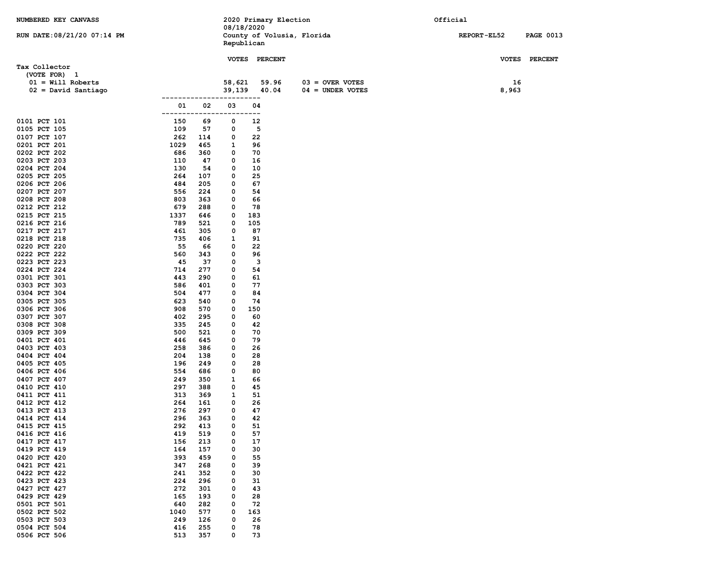| NUMBERED KEY CANVASS         |            |            |        | 2020 Primary Election                    |                    | Official    |                  |
|------------------------------|------------|------------|--------|------------------------------------------|--------------------|-------------|------------------|
|                              |            |            |        | 08/18/2020                               |                    |             |                  |
| RUN DATE: 08/21/20 07:14 PM  |            |            |        | County of Volusia, Florida<br>Republican |                    | REPORT-EL52 | <b>PAGE 0013</b> |
|                              |            |            |        |                                          |                    |             |                  |
|                              |            |            |        | VOTES PERCENT                            |                    |             | VOTES PERCENT    |
| Tax Collector                |            |            |        |                                          |                    |             |                  |
| (VOTE FOR) 1                 |            |            |        |                                          |                    |             |                  |
| $01 = Will Roberts$          |            |            | 58,621 | 59.96                                    | $03 =$ OVER VOTES  | 16          |                  |
| $02 =$ David Santiago        | ---------- |            | 39,139 | 40.04<br>----                            | $04 = UNDER VOTES$ | 8,963       |                  |
|                              | 01         | 02         | 03     | 04                                       |                    |             |                  |
|                              |            |            |        | $- -$                                    |                    |             |                  |
| 0101 PCT 101                 | 150        | 69         | 0      | 12                                       |                    |             |                  |
| 0105 PCT 105                 | 109        | 57         | 0      | 5                                        |                    |             |                  |
| 0107 PCT 107                 | 262        | 114        | 0      | 22                                       |                    |             |                  |
| 0201 PCT 201                 | 1029       | 465        | 1      | 96                                       |                    |             |                  |
| 0202 PCT 202<br>0203 PCT 203 | 686<br>110 | 360<br>47  | 0<br>0 | 70<br>16                                 |                    |             |                  |
| 0204 PCT 204                 | 130        | 54         | 0      | 10                                       |                    |             |                  |
| 0205 PCT 205                 | 264        | 107        | 0      | 25                                       |                    |             |                  |
| 0206 PCT 206                 | 484        | 205        | 0      | 67                                       |                    |             |                  |
| 0207 PCT 207                 | 556        | 224        | 0      | 54                                       |                    |             |                  |
| 0208 PCT 208                 | 803        | 363        | 0      | 66                                       |                    |             |                  |
| 0212 PCT 212                 | 679        | 288        | 0      | 78                                       |                    |             |                  |
| 0215 PCT 215                 | 1337       | 646        | 0      | 183                                      |                    |             |                  |
| 0216 PCT 216<br>0217 PCT 217 | 789<br>461 | 521<br>305 | 0<br>0 | 105<br>87                                |                    |             |                  |
| 0218 PCT 218                 | 735        | 406        | 1      | 91                                       |                    |             |                  |
| 0220 PCT 220                 | 55         | 66         | 0      | 22                                       |                    |             |                  |
| 0222 PCT 222                 | 560        | 343        | 0      | 96                                       |                    |             |                  |
| 0223 PCT 223                 | 45         | 37         | 0      | 3                                        |                    |             |                  |
| 0224 PCT 224                 | 714        | 277        | 0      | 54                                       |                    |             |                  |
| 0301 PCT 301                 | 443        | 290        | 0      | 61                                       |                    |             |                  |
| 0303 PCT 303<br>0304 PCT 304 | 586<br>504 | 401<br>477 | 0<br>0 | 77<br>84                                 |                    |             |                  |
| 0305 PCT 305                 | 623        | 540        | 0      | 74                                       |                    |             |                  |
| 0306 PCT 306                 | 908        | 570        | 0      | 150                                      |                    |             |                  |
| 0307 PCT 307                 | 402        | 295        | 0      | 60                                       |                    |             |                  |
| 0308 PCT 308                 | 335        | 245        | 0      | 42                                       |                    |             |                  |
| 0309 PCT 309                 | 500        | 521        | 0      | 70                                       |                    |             |                  |
| 0401 PCT 401                 | 446        | 645        | 0      | 79                                       |                    |             |                  |
| 0403 PCT 403<br>0404 PCT 404 | 258<br>204 | 386<br>138 | 0<br>0 | 26<br>28                                 |                    |             |                  |
| 0405 PCT 405                 | 196        | 249        | 0      | 28                                       |                    |             |                  |
| 0406 PCT 406                 | 554        | 686        | 0      | 80                                       |                    |             |                  |
| 0407 PCT 407                 | 249        | 350        | 1      | 66                                       |                    |             |                  |
| 0410 PCT 410                 | 297        | 388        | 0      | 45                                       |                    |             |                  |
| 0411 PCT 411                 | 313        | 369        | 1      | 51                                       |                    |             |                  |
| 0412 PCT 412<br>0413 PCT 413 | 264<br>276 | 161<br>297 | 0<br>0 | 26<br>47                                 |                    |             |                  |
| 0414 PCT 414                 | 296        | 363        | 0      | 42                                       |                    |             |                  |
| 0415 PCT 415                 | 292        | 413        | 0      | 51                                       |                    |             |                  |
| 0416 PCT 416                 | 419        | 519        | 0      | 57                                       |                    |             |                  |
| 0417 PCT 417                 | 156        | 213        | 0      | 17                                       |                    |             |                  |
| 0419 PCT 419                 | 164        | 157        | 0      | 30                                       |                    |             |                  |
| 0420 PCT 420                 | 393        | 459        | 0      | 55                                       |                    |             |                  |
| 0421 PCT 421<br>0422 PCT 422 | 347<br>241 | 268<br>352 | 0<br>0 | 39<br>30                                 |                    |             |                  |
| 0423 PCT 423                 | 224        | 296        | 0      | 31                                       |                    |             |                  |
| 0427 PCT 427                 | 272        | 301        | 0      | 43                                       |                    |             |                  |
| 0429 PCT 429                 | 165        | 193        | 0      | 28                                       |                    |             |                  |
| 0501 PCT 501                 | 640        | 282        | 0      | 72                                       |                    |             |                  |
| 0502 PCT 502                 | 1040       | 577        | 0      | 163                                      |                    |             |                  |
| 0503 PCT 503                 | 249        | 126        | 0      | 26                                       |                    |             |                  |
| 0504 PCT 504<br>0506 PCT 506 | 416<br>513 | 255<br>357 | 0<br>0 | 78<br>73                                 |                    |             |                  |
|                              |            |            |        |                                          |                    |             |                  |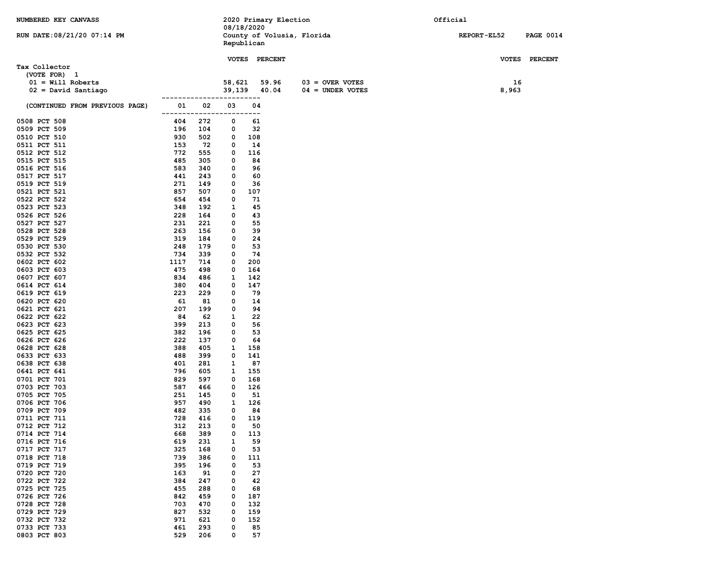| NUMBERED KEY CANVASS           |             |            |            |            | 2020 Primary Election      |                    | Official |                    |                  |
|--------------------------------|-------------|------------|------------|------------|----------------------------|--------------------|----------|--------------------|------------------|
|                                |             |            | 08/18/2020 |            |                            |                    |          |                    |                  |
| RUN DATE: 08/21/20 07:14 PM    |             |            | Republican |            | County of Volusia, Florida |                    |          | <b>REPORT-EL52</b> | <b>PAGE 0014</b> |
|                                |             |            |            |            |                            |                    |          |                    |                  |
|                                |             |            |            |            | VOTES PERCENT              |                    |          |                    | VOTES PERCENT    |
| Tax Collector                  |             |            |            |            |                            |                    |          |                    |                  |
| (VOTE FOR) 1                   |             |            |            |            |                            |                    |          |                    |                  |
| $01 = Will Roberts$            |             |            | 58,621     |            | 59.96                      | $03 =$ OVER VOTES  |          | 16                 |                  |
| $02 =$ David Santiago          |             |            | 39,139     |            | 40.04                      | $04 =$ UNDER VOTES |          | 8,963              |                  |
|                                | ----------- |            | ------     | -----      |                            |                    |          |                    |                  |
| (CONTINUED FROM PREVIOUS PAGE) | 01          | 02         | 03         | 04         |                            |                    |          |                    |                  |
| 0508 PCT 508                   | -------     | -----      | ----       | ---        |                            |                    |          |                    |                  |
| 0509 PCT 509                   | 404<br>196  | 272<br>104 | 0<br>0     | 61<br>32   |                            |                    |          |                    |                  |
| 0510 PCT 510                   | 930         | 502        | 0          | 108        |                            |                    |          |                    |                  |
| 0511 PCT 511                   | 153         | 72         | 0          | 14         |                            |                    |          |                    |                  |
| 0512 PCT 512                   | 772         | 555        | 0          | 116        |                            |                    |          |                    |                  |
| 0515 PCT 515                   | 485         | 305        | 0          | 84         |                            |                    |          |                    |                  |
| 0516 PCT 516                   | 583         | 340        | 0          | 96         |                            |                    |          |                    |                  |
| 0517 PCT 517                   | 441         | 243        | 0          | 60         |                            |                    |          |                    |                  |
| 0519 PCT 519                   | 271         | 149        | 0          | 36         |                            |                    |          |                    |                  |
| 0521 PCT 521                   | 857         | 507        | 0          | 107        |                            |                    |          |                    |                  |
| 0522 PCT 522                   | 654         | 454        | 0          | 71         |                            |                    |          |                    |                  |
| 0523 PCT 523<br>0526 PCT 526   | 348<br>228  | 192<br>164 | 1<br>0     | 45<br>43   |                            |                    |          |                    |                  |
| 0527 PCT 527                   | 231         | 221        | 0          | 55         |                            |                    |          |                    |                  |
| 0528 PCT 528                   | 263         | 156        | 0          | 39         |                            |                    |          |                    |                  |
| 0529 PCT 529                   | 319         | 184        | 0          | 24         |                            |                    |          |                    |                  |
| 0530 PCT 530                   | 248         | 179        | 0          | 53         |                            |                    |          |                    |                  |
| 0532 PCT 532                   | 734         | 339        | 0          | 74         |                            |                    |          |                    |                  |
| 0602 PCT 602                   | 1117        | 714        | 0          | 200        |                            |                    |          |                    |                  |
| 0603 PCT 603                   | 475         | 498        | 0          | 164        |                            |                    |          |                    |                  |
| 0607 PCT 607                   | 834         | 486        | 1          | 142        |                            |                    |          |                    |                  |
| 0614 PCT 614                   | 380         | 404        | 0          | 147        |                            |                    |          |                    |                  |
| 0619 PCT 619                   | 223         | 229        | 0          | 79         |                            |                    |          |                    |                  |
| 0620 PCT 620<br>0621 PCT 621   | 61<br>207   | 81<br>199  | 0<br>0     | 14<br>94   |                            |                    |          |                    |                  |
| 0622 PCT 622                   | 84          | 62         | 1          | 22         |                            |                    |          |                    |                  |
| 0623 PCT 623                   | 399         | 213        | 0          | 56         |                            |                    |          |                    |                  |
| 0625 PCT 625                   | 382         | 196        | 0          | 53         |                            |                    |          |                    |                  |
| 0626 PCT 626                   | 222         | 137        | 0          | 64         |                            |                    |          |                    |                  |
| 0628 PCT 628                   | 388         | 405        | 1          | 158        |                            |                    |          |                    |                  |
| 0633 PCT 633                   | 488         | 399        | 0          | 141        |                            |                    |          |                    |                  |
| 0638 PCT 638                   | 401         | 281        | 1          | 87         |                            |                    |          |                    |                  |
| 0641 PCT 641                   | 796         | 605        | 1          | 155        |                            |                    |          |                    |                  |
| 0701 PCT 701<br>0703 PCT 703   | 829<br>587  | 597<br>466 | 0<br>0     | 168<br>126 |                            |                    |          |                    |                  |
| 0705 PCT 705                   | 251         | 145        | 0          | 51         |                            |                    |          |                    |                  |
| 0706 PCT 706                   | 957         | 490        | 1          | 126        |                            |                    |          |                    |                  |
| 0709 PCT 709                   | 482         | 335        | 0          | 84         |                            |                    |          |                    |                  |
| 0711 PCT 711                   | 728         | 416        | 0          | 119        |                            |                    |          |                    |                  |
| 0712 PCT 712                   | 312         | 213        | $\Omega$   | 50         |                            |                    |          |                    |                  |
| 0714 PCT 714                   | 668         | 389        | 0          | 113        |                            |                    |          |                    |                  |
| 0716 PCT 716                   | 619         | 231        | 1          | 59         |                            |                    |          |                    |                  |
| 0717 PCT 717                   | 325         | 168        | 0          | 53         |                            |                    |          |                    |                  |
| 0718 PCT 718                   | 739         | 386        | 0          | 111        |                            |                    |          |                    |                  |
| 0719 PCT 719<br>0720 PCT 720   | 395<br>163  | 196<br>91  | 0<br>0     | 53<br>27   |                            |                    |          |                    |                  |
| 0722 PCT 722                   | 384         | 247        | 0          | 42         |                            |                    |          |                    |                  |
| 0725 PCT 725                   | 455         | 288        | 0          | 68         |                            |                    |          |                    |                  |
| 0726 PCT 726                   | 842         | 459        | 0          | 187        |                            |                    |          |                    |                  |
| 0728 PCT 728                   | 703         | 470        | 0          | 132        |                            |                    |          |                    |                  |
| 0729 PCT 729                   | 827         | 532        | 0          | 159        |                            |                    |          |                    |                  |
| 0732 PCT 732                   | 971         | 621        | 0          | 152        |                            |                    |          |                    |                  |
| 0733 PCT 733                   | 461         | 293        | 0          | 85         |                            |                    |          |                    |                  |
| 0803 PCT 803                   | 529         | 206        | 0          | 57         |                            |                    |          |                    |                  |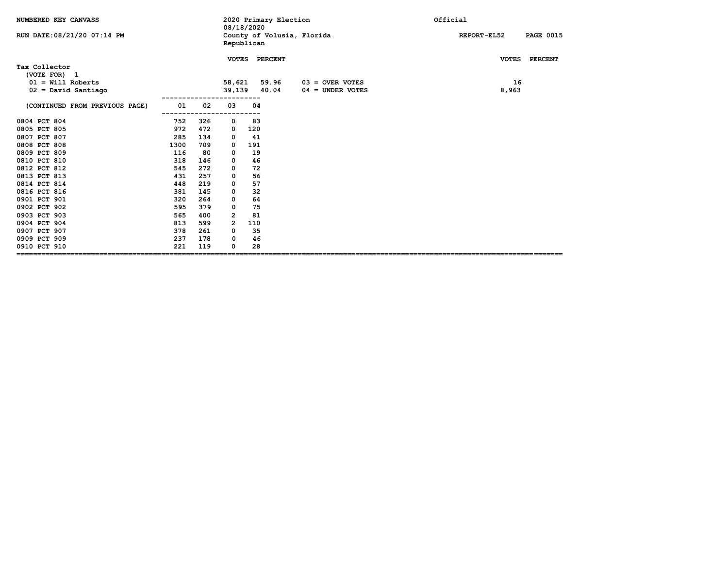| NUMBERED KEY CANVASS<br>RUN DATE: 08/21/20 07:14 PM |      |     | 2020 Primary Election<br>08/18/2020<br>County of Volusia, Florida |     |                |                                         | Official<br>REPORT-EL52<br><b>PAGE 0015</b> |
|-----------------------------------------------------|------|-----|-------------------------------------------------------------------|-----|----------------|-----------------------------------------|---------------------------------------------|
|                                                     |      |     | Republican                                                        |     |                |                                         |                                             |
| Tax Collector<br>(VOTE FOR) 1                       |      |     | <b>VOTES</b>                                                      |     | <b>PERCENT</b> |                                         | <b>VOTES</b><br><b>PERCENT</b>              |
| $01 = Will Roberts$<br>$02 =$ David Santiago        |      |     | 58,621<br>39,139                                                  |     | 59.96<br>40.04 | $03 =$ OVER VOTES<br>$04 =$ UNDER VOTES | 16<br>8,963                                 |
|                                                     |      |     |                                                                   |     |                |                                         |                                             |
| (CONTINUED FROM PREVIOUS PAGE)                      | 01   | 02  | 03                                                                | 04  |                |                                         |                                             |
| 0804 PCT 804                                        | 752  | 326 | $\mathbf 0$                                                       | 83  |                |                                         |                                             |
| 0805 PCT 805                                        | 972  | 472 | 0                                                                 | 120 |                |                                         |                                             |
| 0807 PCT 807                                        | 285  | 134 | 0                                                                 | 41  |                |                                         |                                             |
| 0808 PCT 808                                        | 1300 | 709 | 0                                                                 | 191 |                |                                         |                                             |
| 0809 PCT 809                                        | 116  | 80  | 0                                                                 | 19  |                |                                         |                                             |
| 0810 PCT 810                                        | 318  | 146 | 0                                                                 | 46  |                |                                         |                                             |
| 0812 PCT 812                                        | 545  | 272 | 0                                                                 | 72  |                |                                         |                                             |
| 0813 PCT 813                                        | 431  | 257 | 0                                                                 | 56  |                |                                         |                                             |
| 0814 PCT 814                                        | 448  | 219 | 0                                                                 | 57  |                |                                         |                                             |
| 0816 PCT 816                                        | 381  | 145 | 0                                                                 | 32  |                |                                         |                                             |
| 0901 PCT 901                                        | 320  | 264 | 0                                                                 | 64  |                |                                         |                                             |
| 0902 PCT 902                                        | 595  | 379 | 0                                                                 | 75  |                |                                         |                                             |
| 0903 PCT 903                                        | 565  | 400 | $\mathbf{2}$                                                      | 81  |                |                                         |                                             |
| 0904 PCT 904                                        | 813  | 599 | $\overline{2}$                                                    | 110 |                |                                         |                                             |
| 0907 PCT 907                                        | 378  | 261 | 0                                                                 | 35  |                |                                         |                                             |
| 0909 PCT 909                                        | 237  | 178 | 0                                                                 | 46  |                |                                         |                                             |
| 0910 PCT 910                                        | 221  | 119 | 0                                                                 | 28  |                |                                         |                                             |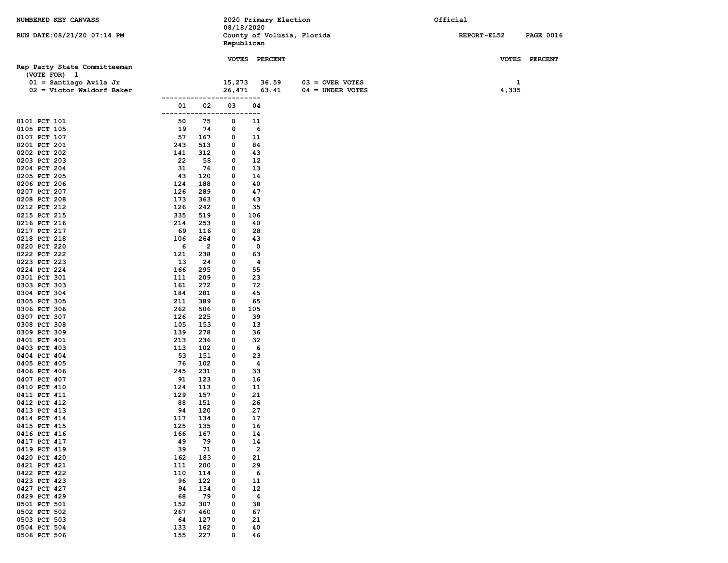| NUMBERED KEY CANVASS         |            |                       |        |                         | 2020 Primary Election |                            | Official    |                  |
|------------------------------|------------|-----------------------|--------|-------------------------|-----------------------|----------------------------|-------------|------------------|
|                              |            |                       |        | 08/18/2020              |                       |                            |             |                  |
| RUN DATE: 08/21/20 07:14 PM  |            |                       |        | Republican              |                       | County of Volusia, Florida | REPORT-EL52 | <b>PAGE 0016</b> |
|                              |            |                       |        |                         |                       |                            |             |                  |
|                              |            |                       |        | <b>VOTES PERCENT</b>    |                       |                            |             | VOTES PERCENT    |
| Rep Party State Committeeman |            |                       |        |                         |                       |                            |             |                  |
| (VOTE FOR) 1                 |            |                       |        |                         |                       |                            |             |                  |
| $01 =$ Santiago Avila Jr     |            |                       | 15,273 |                         | 36.59                 | $03 =$ OVER VOTES          |             | 1                |
| $02 =$ Victor Waldorf Baker  |            |                       | 26,471 |                         | 63.41                 | $04 = UNDER VOTES$         | 4,335       |                  |
|                              |            | -----------           | -----  | $---$                   |                       |                            |             |                  |
|                              | 01         | 02                    | 03     | 04                      |                       |                            |             |                  |
|                              |            |                       | ---    | $ -$                    |                       |                            |             |                  |
| 0101 PCT 101                 | 50         | 75                    | 0      | 11                      |                       |                            |             |                  |
| 0105 PCT 105<br>0107 PCT 107 | 19         | 74                    | 0      | 6                       |                       |                            |             |                  |
| 0201 PCT 201                 | 57<br>243  | 167<br>513            | 0<br>0 | 11<br>84                |                       |                            |             |                  |
| 0202 PCT 202                 | 141        | 312                   | 0      | 43                      |                       |                            |             |                  |
| 0203 PCT 203                 | 22         | 58                    | 0      | 12                      |                       |                            |             |                  |
| 0204 PCT 204                 | 31         | 76                    | 0      | 13                      |                       |                            |             |                  |
| 0205 PCT 205                 | 43         | 120                   | 0      | 14                      |                       |                            |             |                  |
| 0206 PCT 206                 | 124        | 188                   | 0      | 40                      |                       |                            |             |                  |
| 0207 PCT 207                 | 126        | 289                   | 0      | 47                      |                       |                            |             |                  |
| 0208 PCT 208                 | 173        | 363                   | 0      | 43                      |                       |                            |             |                  |
| 0212 PCT 212                 | 126        | 242                   | 0      | 35                      |                       |                            |             |                  |
| 0215 PCT 215                 | 335        | 519                   | 0      | 106                     |                       |                            |             |                  |
| 0216 PCT 216                 | 214        | 253                   | 0      | 40                      |                       |                            |             |                  |
| 0217 PCT 217                 | 69         | 116                   | 0      | 28                      |                       |                            |             |                  |
| 0218 PCT 218<br>0220 PCT 220 | 106<br>6   | 264<br>$\overline{2}$ | 0<br>0 | 43<br>0                 |                       |                            |             |                  |
| 0222 PCT 222                 | 121        | 238                   | 0      | 63                      |                       |                            |             |                  |
| 0223 PCT 223                 | 13         | 24                    | 0      | 4                       |                       |                            |             |                  |
| 0224 PCT 224                 | 166        | 295                   | 0      | 55                      |                       |                            |             |                  |
| 0301 PCT 301                 | 111        | 209                   | 0      | 23                      |                       |                            |             |                  |
| 0303 PCT 303                 | 161        | 272                   | 0      | 72                      |                       |                            |             |                  |
| 0304 PCT 304                 | 184        | 281                   | 0      | 45                      |                       |                            |             |                  |
| 0305 PCT 305                 | 211        | 389                   | 0      | 65                      |                       |                            |             |                  |
| 0306 PCT 306                 | 262        | 506                   | 0      | 105                     |                       |                            |             |                  |
| 0307 PCT 307                 | 126        | 225                   | 0      | 39                      |                       |                            |             |                  |
| 0308 PCT 308                 | 105        | 153                   | 0      | 13                      |                       |                            |             |                  |
| 0309 PCT 309                 | 139<br>213 | 278<br>236            | 0<br>0 | 36<br>32                |                       |                            |             |                  |
| 0401 PCT 401<br>0403 PCT 403 | 113        | 102                   | 0      | 6                       |                       |                            |             |                  |
| 0404 PCT 404                 | 53         | 151                   | 0      | 23                      |                       |                            |             |                  |
| 0405 PCT 405                 | 76         | 102                   | 0      | 4                       |                       |                            |             |                  |
| 0406 PCT 406                 | 245        | 231                   | 0      | 33                      |                       |                            |             |                  |
| 0407 PCT 407                 | 91         | 123                   | 0      | 16                      |                       |                            |             |                  |
| 0410 PCT 410                 | 124        | 113                   | 0      | 11                      |                       |                            |             |                  |
| 0411 PCT 411                 | 129        | 157                   | 0      | 21                      |                       |                            |             |                  |
| 0412 PCT 412                 | 88         | 151                   | 0      | 26                      |                       |                            |             |                  |
| 0413 PCT 413                 | 94         | 120                   | 0      | 27                      |                       |                            |             |                  |
| 0414 PCT 414                 | 117        | 134                   | 0<br>0 | 17                      |                       |                            |             |                  |
| 0415 PCT 415<br>0416 PCT 416 | 125<br>166 | 135<br>167            | 0      | 16<br>14                |                       |                            |             |                  |
| 0417 PCT 417                 | 49         | 79                    | 0      | 14                      |                       |                            |             |                  |
| 0419 PCT 419                 | 39         | 71                    | 0      | $\overline{\mathbf{2}}$ |                       |                            |             |                  |
| 0420 PCT 420                 | 162        | 183                   | 0      | 21                      |                       |                            |             |                  |
| 0421 PCT 421                 | 111        | 200                   | 0      | 29                      |                       |                            |             |                  |
| 0422 PCT 422                 | 110        | 114                   | 0      | 6                       |                       |                            |             |                  |
| 0423 PCT 423                 | 96         | 122                   | 0      | 11                      |                       |                            |             |                  |
| 0427 PCT 427                 | 94         | 134                   | 0      | 12                      |                       |                            |             |                  |
| 0429 PCT 429                 | 68         | 79                    | 0      | 4                       |                       |                            |             |                  |
| 0501 PCT 501                 | 152        | 307                   | 0      | 38                      |                       |                            |             |                  |
| 0502 PCT 502                 | 267        | 460                   | 0      | 67                      |                       |                            |             |                  |
| 0503 PCT 503<br>0504 PCT 504 | 64         | 127                   | 0      | 21                      |                       |                            |             |                  |
| 0506 PCT 506                 | 133<br>155 | 162<br>227            | 0<br>0 | 40<br>46                |                       |                            |             |                  |
|                              |            |                       |        |                         |                       |                            |             |                  |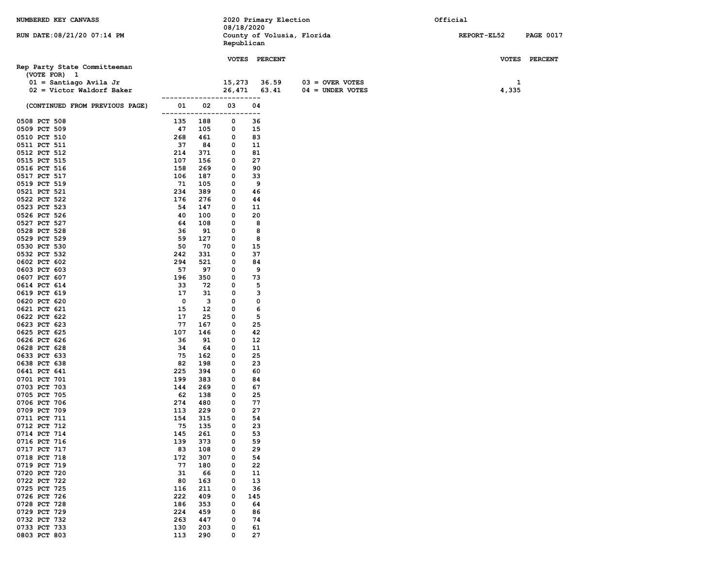| NUMBERED KEY CANVASS           |                            |            |            | 2020 Primary Election      |                    | Official           |                  |
|--------------------------------|----------------------------|------------|------------|----------------------------|--------------------|--------------------|------------------|
|                                |                            |            | 08/18/2020 |                            |                    |                    |                  |
| RUN DATE: 08/21/20 07:14 PM    |                            |            | Republican | County of Volusia, Florida |                    | <b>REPORT-EL52</b> | <b>PAGE 0017</b> |
|                                |                            |            |            |                            |                    |                    |                  |
|                                |                            |            |            | <b>VOTES PERCENT</b>       |                    |                    | VOTES PERCENT    |
| Rep Party State Committeeman   |                            |            |            |                            |                    |                    |                  |
| (VOTE FOR) 1                   |                            |            |            |                            |                    |                    |                  |
| $01 =$ Santiago Avila Jr       |                            |            | 15,273     | 36.59                      | $03 =$ OVER VOTES  | $\mathbf{1}$       |                  |
| $02 =$ Victor Waldorf Baker    |                            |            | 26,471     | 63.41                      | $04 = UNDER VOTES$ | 4,335              |                  |
|                                | ------------------------   |            |            |                            |                    |                    |                  |
| (CONTINUED FROM PREVIOUS PAGE) | 01                         | 02         | 03         | 04                         |                    |                    |                  |
| 0508 PCT 508                   | -------------------<br>135 | 188        | 0          | ---<br>36                  |                    |                    |                  |
| 0509 PCT 509                   | 47                         | 105        | 0          | 15                         |                    |                    |                  |
| 0510 PCT 510                   | 268                        | 461        | 0          | 83                         |                    |                    |                  |
| 0511 PCT 511                   | 37                         | 84         | 0          | 11                         |                    |                    |                  |
| 0512 PCT 512                   | 214                        | 371        | 0          | 81                         |                    |                    |                  |
| 0515 PCT 515                   | 107                        | 156        | 0          | 27                         |                    |                    |                  |
| 0516 PCT 516                   | 158                        | 269        | 0          | 90                         |                    |                    |                  |
| 0517 PCT 517                   | 106                        | 187        | 0          | 33                         |                    |                    |                  |
| 0519 PCT 519                   | 71                         | 105        | 0          | 9                          |                    |                    |                  |
| 0521 PCT 521                   | 234                        | 389        | 0          | 46                         |                    |                    |                  |
| 0522 PCT 522<br>0523 PCT 523   | 176<br>54                  | 276<br>147 | 0<br>0     | 44<br>11                   |                    |                    |                  |
| 0526 PCT 526                   | 40                         | 100        | 0          | 20                         |                    |                    |                  |
| 0527 PCT 527                   | 64                         | 108        | 0          | 8                          |                    |                    |                  |
| 0528 PCT 528                   | 36                         | 91         | 0          | 8                          |                    |                    |                  |
| 0529 PCT 529                   | 59                         | 127        | 0          | 8                          |                    |                    |                  |
| 0530 PCT 530                   | 50                         | 70         | 0          | 15                         |                    |                    |                  |
| 0532 PCT 532                   | 242                        | 331        | 0          | 37                         |                    |                    |                  |
| 0602 PCT 602                   | 294                        | 521        | 0          | 84                         |                    |                    |                  |
| 0603 PCT 603                   | 57                         | 97         | 0          | 9                          |                    |                    |                  |
| 0607 PCT 607                   | 196                        | 350        | 0          | 73                         |                    |                    |                  |
| 0614 PCT 614<br>0619 PCT 619   | 33<br>17                   | 72<br>31   | 0<br>0     | 5<br>3                     |                    |                    |                  |
| 0620 PCT 620                   | $\mathbf{o}$               | 3          | 0          | 0                          |                    |                    |                  |
| 0621 PCT 621                   | 15                         | 12         | 0          | 6                          |                    |                    |                  |
| 0622 PCT 622                   | 17                         | 25         | 0          | 5                          |                    |                    |                  |
| 0623 PCT 623                   | 77                         | 167        | 0          | 25                         |                    |                    |                  |
| 0625 PCT 625                   | 107                        | 146        | 0          | 42                         |                    |                    |                  |
| 0626 PCT 626                   | 36                         | 91         | 0          | 12                         |                    |                    |                  |
| 0628 PCT 628                   | 34                         | 64         | 0          | 11                         |                    |                    |                  |
| 0633 PCT 633                   | 75                         | 162        | 0          | 25                         |                    |                    |                  |
| 0638 PCT 638<br>0641 PCT 641   | 82<br>225                  | 198<br>394 | 0<br>0     | 23<br>60                   |                    |                    |                  |
| 0701 PCT 701                   | 199                        | 383        | 0          | 84                         |                    |                    |                  |
| 0703 PCT 703                   | 144                        | 269        | 0          | 67                         |                    |                    |                  |
| 0705 PCT 705                   | 62                         | 138        | 0          | 25                         |                    |                    |                  |
| 0706 PCT 706                   | 274                        | 480        | 0          | 77                         |                    |                    |                  |
| 0709 PCT 709                   | 113                        | 229        | 0          | 27                         |                    |                    |                  |
| 0711 PCT 711                   | 154                        | 315        | 0          | 54                         |                    |                    |                  |
| 0712 PCT 712                   | 75                         | 135        | $\Omega$   | 23                         |                    |                    |                  |
| 0714 PCT 714                   | 145                        | 261        | 0          | 53                         |                    |                    |                  |
| 0716 PCT 716<br>0717 PCT 717   | 139<br>83                  | 373<br>108 | 0<br>0     | 59<br>29                   |                    |                    |                  |
| 0718 PCT 718                   | 172                        | 307        | 0          | 54                         |                    |                    |                  |
| 0719 PCT 719                   | 77                         | 180        | 0          | 22                         |                    |                    |                  |
| 0720 PCT 720                   | 31                         | 66         | 0          | 11                         |                    |                    |                  |
| 0722 PCT 722                   | 80                         | 163        | 0          | 13                         |                    |                    |                  |
| 0725 PCT 725                   | 116                        | 211        | 0          | 36                         |                    |                    |                  |
| 0726 PCT 726                   | 222                        | 409        | 0          | 145                        |                    |                    |                  |
| 0728 PCT 728                   | 186                        | 353        | 0          | 64                         |                    |                    |                  |
| 0729 PCT 729                   | 224                        | 459        | 0          | 86                         |                    |                    |                  |
| 0732 PCT 732                   | 263                        | 447        | 0          | 74                         |                    |                    |                  |
| 0733 PCT 733<br>0803 PCT 803   | 130<br>113                 | 203<br>290 | 0<br>0     | 61<br>27                   |                    |                    |                  |
|                                |                            |            |            |                            |                    |                    |                  |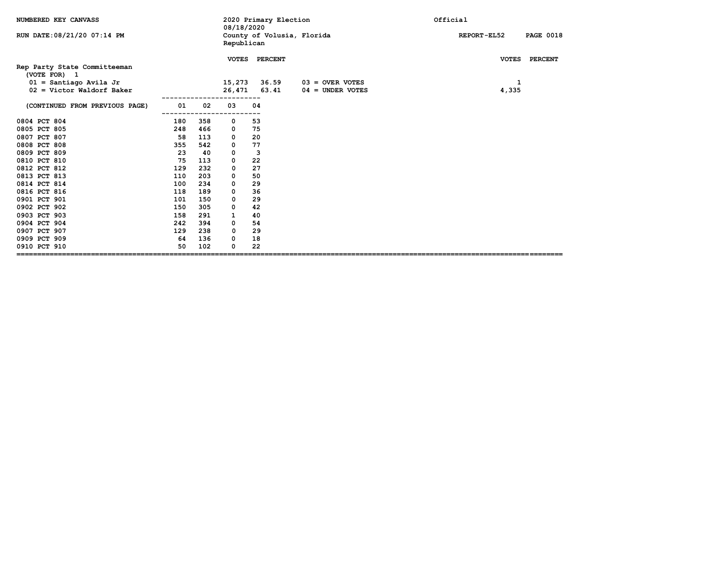| NUMBERED KEY CANVASS                                    |     |     | 08/18/2020       | 2020 Primary Election   |                            | Official                               |
|---------------------------------------------------------|-----|-----|------------------|-------------------------|----------------------------|----------------------------------------|
| RUN DATE: 08/21/20 07:14 PM                             |     |     | Republican       |                         | County of Volusia, Florida | <b>REPORT-EL52</b><br><b>PAGE 0018</b> |
| Rep Party State Committeeman<br>(VOTE FOR) 1            |     |     | <b>VOTES</b>     | <b>PERCENT</b><br>36.59 | $03 =$ OVER VOTES          | VOTES PERCENT                          |
| $01 =$ Santiago Avila Jr<br>$02 =$ Victor Waldorf Baker |     |     | 15,273<br>26,471 | 63.41                   | $04 =$ UNDER VOTES         | 1<br>4,335                             |
| (CONTINUED FROM PREVIOUS PAGE)                          | 01  | 02  | 03               | 04                      |                            |                                        |
| 0804 PCT 804                                            | 180 | 358 | 0                | 53                      |                            |                                        |
| 0805 PCT 805                                            | 248 | 466 | 0                | 75                      |                            |                                        |
| 0807 PCT 807                                            | 58  | 113 | 0                | 20                      |                            |                                        |
| 0808 PCT 808                                            | 355 | 542 | 0                | 77                      |                            |                                        |
| 0809 PCT 809                                            | 23  | 40  | 0                | 3                       |                            |                                        |
| 0810 PCT 810                                            | 75  | 113 | 0                | 22                      |                            |                                        |
| 0812 PCT 812                                            | 129 | 232 | 0                | 27                      |                            |                                        |
| 0813 PCT 813                                            | 110 | 203 | 0                | 50                      |                            |                                        |
| 0814 PCT 814                                            | 100 | 234 | 0                | 29                      |                            |                                        |
| 0816 PCT 816                                            | 118 | 189 | 0                | 36                      |                            |                                        |
| 0901 PCT 901                                            | 101 | 150 | 0                | 29                      |                            |                                        |
| 0902 PCT 902                                            | 150 | 305 | 0                | 42                      |                            |                                        |
| 0903 PCT 903                                            | 158 | 291 | 1                | 40                      |                            |                                        |
| 0904 PCT 904                                            | 242 | 394 | 0                | 54                      |                            |                                        |
| 0907 PCT 907                                            | 129 | 238 | 0                | 29                      |                            |                                        |
| 0909 PCT 909                                            | 64  | 136 | 0                | 18                      |                            |                                        |
| 0910 PCT 910                                            | 50  | 102 | O                | 22                      |                            |                                        |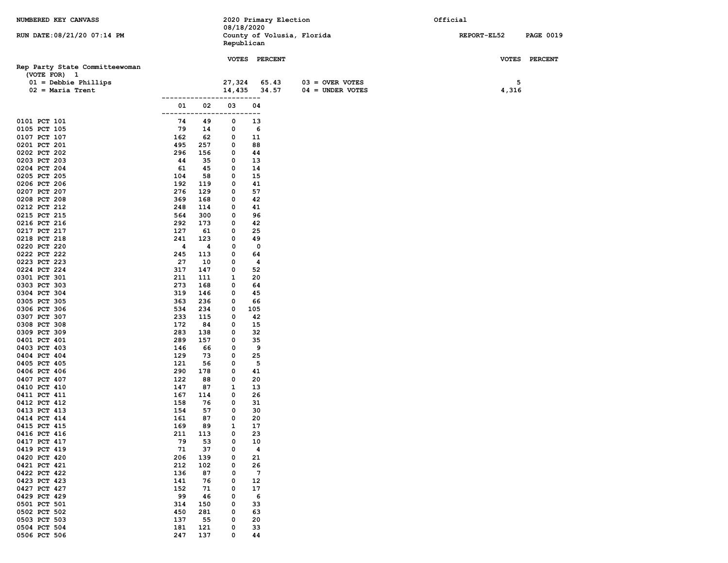| NUMBERED KEY CANVASS           |            |                   |            | 2020 Primary Election      |                    | Official    |                  |
|--------------------------------|------------|-------------------|------------|----------------------------|--------------------|-------------|------------------|
|                                |            |                   | 08/18/2020 |                            |                    |             |                  |
| RUN DATE: 08/21/20 07:14 PM    |            |                   | Republican | County of Volusia, Florida |                    | REPORT-EL52 | <b>PAGE 0019</b> |
|                                |            |                   |            |                            |                    |             |                  |
|                                |            |                   |            | VOTES PERCENT              |                    |             | VOTES PERCENT    |
| Rep Party State Committeewoman |            |                   |            |                            |                    |             |                  |
| (VOTE FOR) 1                   |            |                   |            |                            |                    |             |                  |
| $01 =$ Debbie Phillips         |            |                   | 27,324     | 65.43                      | $03 =$ OVER VOTES  | 5           |                  |
| $02$ = Maria Trent             |            |                   | 14,435     | 34.57                      | $04 = UNDER VOTES$ | 4,316       |                  |
|                                |            | -----------<br>02 | 03         | ----<br>04                 |                    |             |                  |
|                                | 01         |                   | ---        | --                         |                    |             |                  |
| 0101 PCT 101                   | 74         | 49                | 0          | 13                         |                    |             |                  |
| 0105 PCT 105                   | 79         | 14                | 0          | 6                          |                    |             |                  |
| 0107 PCT 107                   | 162        | 62                | 0          | 11                         |                    |             |                  |
| 0201 PCT 201                   | 495        | 257               | 0          | 88                         |                    |             |                  |
| 0202 PCT 202                   | 296        | 156               | 0          | 44                         |                    |             |                  |
| 0203 PCT 203                   | 44         | 35                | 0          | 13                         |                    |             |                  |
| 0204 PCT 204<br>0205 PCT 205   | 61<br>104  | 45<br>58          | 0<br>0     | 14<br>15                   |                    |             |                  |
| 0206 PCT 206                   | 192        | 119               | 0          | 41                         |                    |             |                  |
| 0207 PCT 207                   | 276        | 129               | 0          | 57                         |                    |             |                  |
| 0208 PCT 208                   | 369        | 168               | 0          | 42                         |                    |             |                  |
| 0212 PCT 212                   | 248        | 114               | 0          | 41                         |                    |             |                  |
| 0215 PCT 215                   | 564        | 300               | 0          | 96                         |                    |             |                  |
| 0216 PCT 216                   | 292        | 173               | 0          | 42                         |                    |             |                  |
| 0217 PCT 217                   | 127        | 61                | 0          | 25                         |                    |             |                  |
| 0218 PCT 218                   | 241<br>4   | 123               | 0          | 49                         |                    |             |                  |
| 0220 PCT 220<br>0222 PCT 222   | 245        | 4<br>113          | 0<br>0     | 0<br>64                    |                    |             |                  |
| 0223 PCT 223                   | 27         | 10                | 0          | 4                          |                    |             |                  |
| 0224 PCT 224                   | 317        | 147               | 0          | 52                         |                    |             |                  |
| 0301 PCT 301                   | 211        | 111               | 1          | 20                         |                    |             |                  |
| 0303 PCT 303                   | 273        | 168               | 0          | 64                         |                    |             |                  |
| 0304 PCT 304                   | 319        | 146               | 0          | 45                         |                    |             |                  |
| 0305 PCT 305                   | 363        | 236               | 0          | 66                         |                    |             |                  |
| 0306 PCT 306<br>0307 PCT 307   | 534<br>233 | 234<br>115        | 0<br>0     | 105<br>42                  |                    |             |                  |
| 0308 PCT 308                   | 172        | 84                | 0          | 15                         |                    |             |                  |
| 0309 PCT 309                   | 283        | 138               | 0          | 32                         |                    |             |                  |
| 0401 PCT 401                   | 289        | 157               | 0          | 35                         |                    |             |                  |
| 0403 PCT 403                   | 146        | 66                | 0          | 9                          |                    |             |                  |
| 0404 PCT 404                   | 129        | 73                | 0          | 25                         |                    |             |                  |
| 0405 PCT 405                   | 121        | 56                | 0          | 5                          |                    |             |                  |
| 0406 PCT 406<br>0407 PCT 407   | 290<br>122 | 178<br>88         | 0<br>0     | 41<br>20                   |                    |             |                  |
| 0410 PCT 410                   | 147        | 87                | 1          | 13                         |                    |             |                  |
| 0411 PCT 411                   | 167        | 114               | 0          | 26                         |                    |             |                  |
| 0412 PCT 412                   | 158        | 76                | 0          | 31                         |                    |             |                  |
| 0413 PCT 413                   | 154        | 57                | 0          | 30                         |                    |             |                  |
| 0414 PCT 414                   | 161        | 87                | 0          | 20                         |                    |             |                  |
| 0415 PCT 415                   | 169        | 89                | 1          | 17                         |                    |             |                  |
| 0416 PCT 416<br>0417 PCT 417   | 211<br>79  | 113<br>53         | 0<br>0     | 23<br>10                   |                    |             |                  |
| 0419 PCT 419                   | 71         | 37                | 0          | $\overline{\mathbf{4}}$    |                    |             |                  |
| 0420 PCT 420                   | 206        | 139               | 0          | 21                         |                    |             |                  |
| 0421 PCT 421                   | 212        | 102               | 0          | 26                         |                    |             |                  |
| 0422 PCT 422                   | 136        | 87                | 0          | $7\phantom{.0}$            |                    |             |                  |
| 0423 PCT 423                   | 141        | 76                | 0          | 12                         |                    |             |                  |
| 0427 PCT 427                   | 152        | 71                | 0          | 17                         |                    |             |                  |
| 0429 PCT 429<br>0501 PCT 501   | 99<br>314  | 46<br>150         | 0<br>0     | 6<br>33                    |                    |             |                  |
| 0502 PCT 502                   | 450        | 281               | 0          | 63                         |                    |             |                  |
| 0503 PCT 503                   | 137        | 55                | 0          | 20                         |                    |             |                  |
| 0504 PCT 504                   | 181        | 121               | 0          | 33                         |                    |             |                  |
| 0506 PCT 506                   | 247        | 137               | 0          | 44                         |                    |             |                  |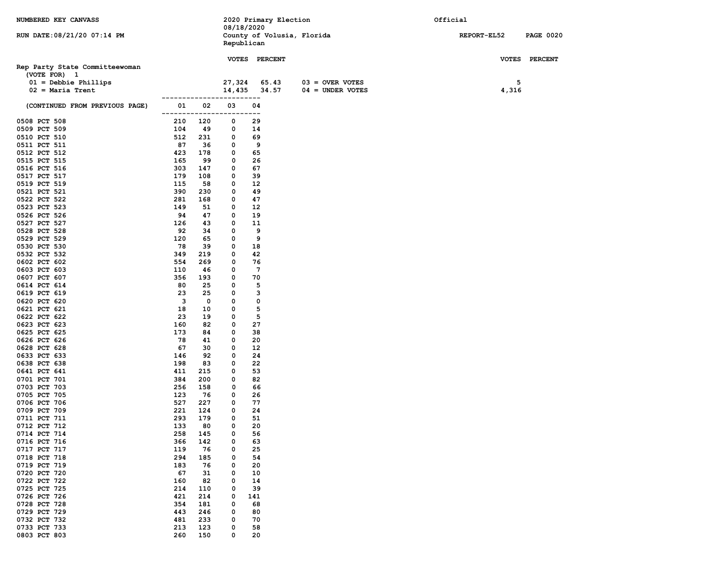| NUMBERED KEY CANVASS           |                   |            |            | 2020 Primary Election      |                    | Official    |                  |
|--------------------------------|-------------------|------------|------------|----------------------------|--------------------|-------------|------------------|
|                                |                   |            | 08/18/2020 |                            |                    |             |                  |
| RUN DATE: 08/21/20 07:14 PM    |                   |            |            | County of Volusia, Florida |                    | REPORT-EL52 | <b>PAGE 0020</b> |
|                                |                   |            | Republican |                            |                    |             |                  |
|                                |                   |            |            | VOTES PERCENT              |                    |             | VOTES PERCENT    |
| Rep Party State Committeewoman |                   |            |            |                            |                    |             |                  |
| (VOTE FOR) 1                   |                   |            |            |                            |                    |             |                  |
| $01 =$ Debbie Phillips         |                   |            | 27,324     | 65.43                      | $03 =$ OVER VOTES  | 5           |                  |
| $02$ = Maria Trent             |                   |            | 14,435     | 34.57                      | $04 = UNDER VOTES$ | 4,316       |                  |
|                                | ----------------- |            |            | -----                      |                    |             |                  |
| (CONTINUED FROM PREVIOUS PAGE) | 01                | 02         | 03         | 04                         |                    |             |                  |
|                                | -------           | -----      | .          | ---                        |                    |             |                  |
| 0508 PCT 508                   | 210               | 120        | 0          | 29                         |                    |             |                  |
| 0509 PCT 509                   | 104               | 49         | 0          | 14                         |                    |             |                  |
| 0510 PCT 510<br>0511 PCT 511   | 512<br>87         | 231<br>36  | 0<br>0     | 69<br>9                    |                    |             |                  |
| 0512 PCT 512                   | 423               | 178        | 0          | 65                         |                    |             |                  |
| 0515 PCT 515                   | 165               | 99         | 0          | 26                         |                    |             |                  |
| 0516 PCT 516                   | 303               | 147        | 0          | 67                         |                    |             |                  |
| 0517 PCT 517                   | 179               | 108        | 0          | 39                         |                    |             |                  |
| 0519 PCT 519                   | 115               | 58         | 0          | 12                         |                    |             |                  |
| 0521 PCT 521                   | 390               | 230        | 0          | 49                         |                    |             |                  |
| 0522 PCT 522                   | 281               | 168        | 0          | 47                         |                    |             |                  |
| 0523 PCT 523                   | 149               | 51         | 0          | 12                         |                    |             |                  |
| 0526 PCT 526                   | 94                | 47         | 0          | 19                         |                    |             |                  |
| 0527 PCT 527                   | 126               | 43         | 0          | 11                         |                    |             |                  |
| 0528 PCT 528                   | 92                | 34         | 0          | 9                          |                    |             |                  |
| 0529 PCT 529                   | 120<br>78         | 65<br>39   | 0<br>0     | 9<br>18                    |                    |             |                  |
| 0530 PCT 530<br>0532 PCT 532   | 349               | 219        | 0          | 42                         |                    |             |                  |
| 0602 PCT 602                   | 554               | 269        | 0          | 76                         |                    |             |                  |
| 0603 PCT 603                   | 110               | 46         | 0          | $7\phantom{.0}$            |                    |             |                  |
| 0607 PCT 607                   | 356               | 193        | 0          | 70                         |                    |             |                  |
| 0614 PCT 614                   | 80                | 25         | 0          | 5                          |                    |             |                  |
| 0619 PCT 619                   | 23                | 25         | 0          | 3                          |                    |             |                  |
| 0620 PCT 620                   | 3                 | 0          | 0          | 0                          |                    |             |                  |
| 0621 PCT 621                   | 18                | 10         | 0          | 5                          |                    |             |                  |
| 0622 PCT 622                   | 23                | 19         | 0          | 5                          |                    |             |                  |
| 0623 PCT 623                   | 160               | 82         | 0          | 27                         |                    |             |                  |
| 0625 PCT 625                   | 173               | 84         | 0          | 38                         |                    |             |                  |
| 0626 PCT 626<br>0628 PCT 628   | 78<br>67          | 41<br>30   | 0<br>0     | 20<br>12                   |                    |             |                  |
| 0633 PCT 633                   | 146               | 92         | 0          | 24                         |                    |             |                  |
| 0638 PCT 638                   | 198               | 83         | 0          | 22                         |                    |             |                  |
| 0641 PCT 641                   | 411               | 215        | 0          | 53                         |                    |             |                  |
| 0701 PCT 701                   | 384               | 200        | 0          | 82                         |                    |             |                  |
| 0703 PCT 703                   | 256               | 158        | 0          | 66                         |                    |             |                  |
| 0705 PCT 705                   | 123               | 76         | 0          | 26                         |                    |             |                  |
| 0706 PCT 706                   | 527               | 227        | 0          | 77                         |                    |             |                  |
| 0709 PCT 709                   | 221               | 124        | 0          | 24                         |                    |             |                  |
| 0711 PCT 711                   | 293               | 179        | 0          | 51                         |                    |             |                  |
| 0712 PCT 712                   | 133               | 80         | $\Omega$   | 20                         |                    |             |                  |
| 0714 PCT 714<br>0716 PCT 716   | 258<br>366        | 145<br>142 | 0<br>0     | 56<br>63                   |                    |             |                  |
| 0717 PCT 717                   | 119               | 76         | 0          | 25                         |                    |             |                  |
| 0718 PCT 718                   | 294               | 185        | 0          | 54                         |                    |             |                  |
| 0719 PCT 719                   | 183               | 76         | 0          | 20                         |                    |             |                  |
| 0720 PCT 720                   | 67                | 31         | 0          | 10                         |                    |             |                  |
| 0722 PCT 722                   | 160               | 82         | 0          | 14                         |                    |             |                  |
| 0725 PCT 725                   | 214               | 110        | 0          | 39                         |                    |             |                  |
| 0726 PCT 726                   | 421               | 214        | 0          | 141                        |                    |             |                  |
| 0728 PCT 728                   | 354               | 181        | 0          | 68                         |                    |             |                  |
| 0729 PCT 729                   | 443               | 246        | 0          | 80                         |                    |             |                  |
| 0732 PCT 732                   | 481               | 233        | 0          | 70                         |                    |             |                  |
| 0733 PCT 733                   | 213               | 123        | 0          | 58                         |                    |             |                  |
| 0803 PCT 803                   | 260               | 150        | 0          | 20                         |                    |             |                  |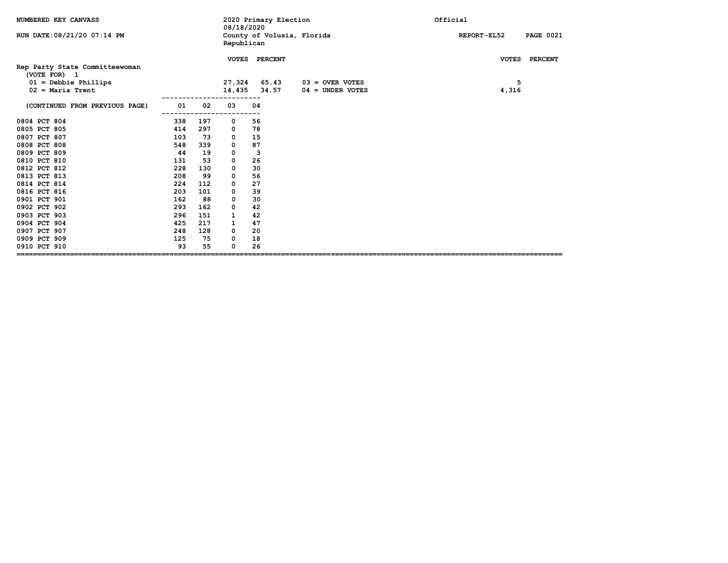| NUMBERED KEY CANVASS                           |     |     | 08/18/2020   |    | 2020 Primary Election      |                    | Official |                    |                  |
|------------------------------------------------|-----|-----|--------------|----|----------------------------|--------------------|----------|--------------------|------------------|
| RUN DATE: 08/21/20 07:14 PM                    |     |     | Republican   |    | County of Volusia, Florida |                    |          | <b>REPORT-EL52</b> | <b>PAGE 0021</b> |
| Rep Party State Committeewoman<br>(VOTE FOR) 1 |     |     | <b>VOTES</b> |    | <b>PERCENT</b>             |                    |          |                    | VOTES PERCENT    |
| $01 =$ Debbie Phillips                         |     |     | 27,324       |    | 65.43                      | $03 =$ OVER VOTES  |          | 5                  |                  |
| $02$ = Maria Trent                             |     |     | 14,435       |    | 34.57                      | $04 =$ UNDER VOTES |          | 4,316              |                  |
| (CONTINUED FROM PREVIOUS PAGE)                 | 01  | 02  | 03           | 04 |                            |                    |          |                    |                  |
| 0804 PCT 804                                   | 338 | 197 | 0            | 56 |                            |                    |          |                    |                  |
| 0805 PCT 805                                   | 414 | 297 | 0            | 78 |                            |                    |          |                    |                  |
| 0807 PCT 807                                   | 103 | 73  | 0            | 15 |                            |                    |          |                    |                  |
| 0808 PCT 808                                   | 548 | 339 | 0            | 87 |                            |                    |          |                    |                  |
| 0809 PCT 809                                   | 44  | 19  | 0            | 3  |                            |                    |          |                    |                  |
| 0810 PCT 810                                   | 131 | 53  | 0            | 26 |                            |                    |          |                    |                  |
| 0812 PCT 812                                   | 228 | 130 | 0            | 30 |                            |                    |          |                    |                  |
| 0813 PCT 813                                   | 208 | 99  | 0            | 56 |                            |                    |          |                    |                  |
| 0814 PCT 814                                   | 224 | 112 | 0            | 27 |                            |                    |          |                    |                  |
| 0816 PCT 816                                   | 203 | 101 | 0            | 39 |                            |                    |          |                    |                  |
| 0901 PCT 901                                   | 162 | 88  | 0            | 30 |                            |                    |          |                    |                  |
| 0902 PCT 902                                   | 293 | 162 | 0            | 42 |                            |                    |          |                    |                  |
| 0903 PCT 903                                   | 296 | 151 | 1            | 42 |                            |                    |          |                    |                  |
| 0904 PCT 904                                   | 425 | 217 | 1            | 47 |                            |                    |          |                    |                  |
| 0907 PCT 907                                   | 248 | 128 | 0            | 20 |                            |                    |          |                    |                  |
| 0909 PCT 909                                   | 125 | 75  | 0            | 18 |                            |                    |          |                    |                  |
| 0910 PCT 910                                   | 93  | 55  | 0            | 26 |                            |                    |          |                    |                  |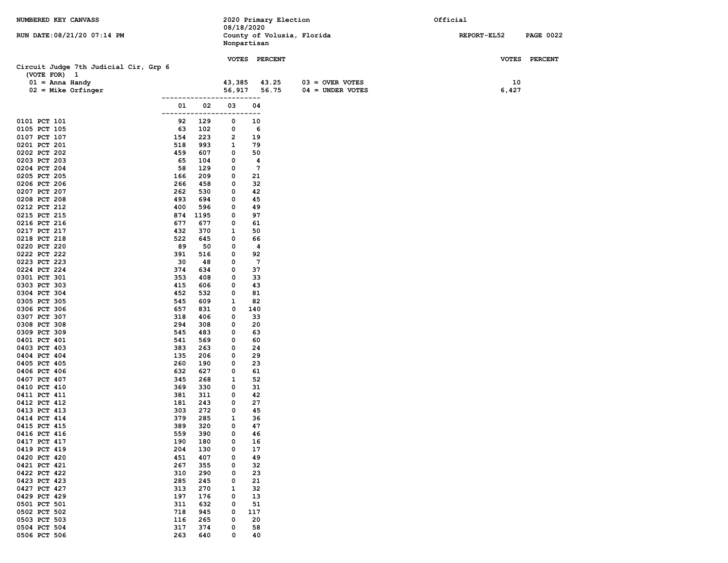| NUMBERED KEY CANVASS                                  |               |            |              | 08/18/2020      | 2020 Primary Election       | Official    |                  |
|-------------------------------------------------------|---------------|------------|--------------|-----------------|-----------------------------|-------------|------------------|
| RUN DATE: 08/21/20 07:14 PM                           |               |            |              | Nonpartisan     | County of Volusia, Florida  | REPORT-EL52 | <b>PAGE 0022</b> |
|                                                       |               |            | <b>VOTES</b> | <b>PERCENT</b>  |                             |             | VOTES PERCENT    |
| Circuit Judge 7th Judicial Cir, Grp 6<br>(VOTE FOR) 1 |               |            |              |                 |                             |             |                  |
| $01 =$ Anna Handy                                     |               |            | 43,385       | 43.25           | $03 =$ OVER VOTES           | 10          |                  |
| $02$ = Mike Orfinger                                  |               |            | 56,917       |                 | 56.75<br>$04 =$ UNDER VOTES | 6,427       |                  |
|                                                       |               | -----      |              | ----            |                             |             |                  |
|                                                       | 01<br>------- | 02         | 03<br>$- -$  | 04<br>$- -$     |                             |             |                  |
| 0101 PCT 101                                          | 92            | 129        | 0            | 10              |                             |             |                  |
| 0105 PCT 105                                          | 63            | 102        | 0            | 6               |                             |             |                  |
| 0107 PCT 107                                          | 154           | 223        | 2            | 19              |                             |             |                  |
| 0201 PCT 201<br>0202 PCT 202                          | 518<br>459    | 993<br>607 | 1<br>0       | 79<br>50        |                             |             |                  |
| 0203 PCT 203                                          | 65            | 104        | 0            | 4               |                             |             |                  |
| 0204 PCT 204                                          | 58            | 129        | 0            | $7\phantom{.0}$ |                             |             |                  |
| 0205 PCT 205                                          | 166           | 209        | 0            | 21              |                             |             |                  |
| 0206 PCT 206                                          | 266           | 458        | 0            | 32              |                             |             |                  |
| 0207 PCT 207                                          | 262           | 530        | 0            | 42              |                             |             |                  |
| 0208 PCT 208<br>0212 PCT 212                          | 493<br>400    | 694<br>596 | 0<br>0       | 45<br>49        |                             |             |                  |
| 0215 PCT 215                                          | 874           | 1195       | 0            | 97              |                             |             |                  |
| 0216 PCT 216                                          | 677           | 677        | 0            | 61              |                             |             |                  |
| 0217 PCT 217                                          | 432           | 370        | 1            | 50              |                             |             |                  |
| 0218 PCT 218                                          | 522           | 645        | 0            | 66              |                             |             |                  |
| 0220 PCT 220<br>0222 PCT 222                          | 89<br>391     | 50<br>516  | 0<br>0       | 4<br>92         |                             |             |                  |
| 0223 PCT 223                                          | 30            | 48         | 0            | $7\phantom{.0}$ |                             |             |                  |
| 0224 PCT 224                                          | 374           | 634        | 0            | 37              |                             |             |                  |
| 0301 PCT 301                                          | 353           | 408        | 0            | 33              |                             |             |                  |
| 0303 PCT 303                                          | 415           | 606        | 0            | 43              |                             |             |                  |
| 0304 PCT 304<br>0305 PCT 305                          | 452<br>545    | 532<br>609 | 0<br>1       | 81<br>82        |                             |             |                  |
| 0306 PCT 306                                          | 657           | 831        | 0            | 140             |                             |             |                  |
| 0307 PCT 307                                          | 318           | 406        | 0            | 33              |                             |             |                  |
| 0308 PCT 308                                          | 294           | 308        | 0            | 20              |                             |             |                  |
| 0309 PCT 309                                          | 545           | 483        | 0            | 63              |                             |             |                  |
| 0401 PCT 401<br>0403 PCT 403                          | 541<br>383    | 569<br>263 | 0<br>0       | 60<br>24        |                             |             |                  |
| 0404 PCT 404                                          | 135           | 206        | 0            | 29              |                             |             |                  |
| 0405 PCT 405                                          | 260           | 190        | 0            | 23              |                             |             |                  |
| 0406 PCT 406                                          | 632           | 627        | 0            | 61              |                             |             |                  |
| 0407 PCT 407                                          | 345           | 268        | 1            | 52              |                             |             |                  |
| 0410 PCT 410<br>0411 PCT 411                          | 369<br>381    | 330<br>311 | 0<br>0       | 31<br>42        |                             |             |                  |
| 0412 PCT 412                                          | 181           | 243        | 0            | 27              |                             |             |                  |
| 0413 PCT 413                                          | 303           | 272        | 0            | 45              |                             |             |                  |
| 0414 PCT 414                                          | 379           | 285        | 1            | 36              |                             |             |                  |
| 0415 PCT 415                                          | 389           | 320        | 0            | 47              |                             |             |                  |
| 0416 PCT 416<br>0417 PCT 417                          | 559<br>190    | 390<br>180 | 0<br>0       | 46<br>16        |                             |             |                  |
| 0419 PCT 419                                          | 204           | 130        | 0            | 17              |                             |             |                  |
| 0420 PCT 420                                          | 451           | 407        | 0            | 49              |                             |             |                  |
| 0421 PCT 421                                          | 267           | 355        | 0            | 32              |                             |             |                  |
| 0422 PCT 422                                          | 310           | 290        | 0            | 23              |                             |             |                  |
| 0423 PCT 423<br>0427 PCT 427                          | 285<br>313    | 245<br>270 | 0<br>1       | 21<br>32        |                             |             |                  |
| 0429 PCT 429                                          | 197           | 176        | 0            | 13              |                             |             |                  |
| 0501 PCT 501                                          | 311           | 632        | 0            | 51              |                             |             |                  |
| 0502 PCT 502                                          | 718           | 945        | 0            | 117             |                             |             |                  |
| 0503 PCT 503                                          | 116           | 265        | 0            | 20              |                             |             |                  |
| 0504 PCT 504<br>0506 PCT 506                          | 317<br>263    | 374<br>640 | 0<br>0       | 58<br>40        |                             |             |                  |
|                                                       |               |            |              |                 |                             |             |                  |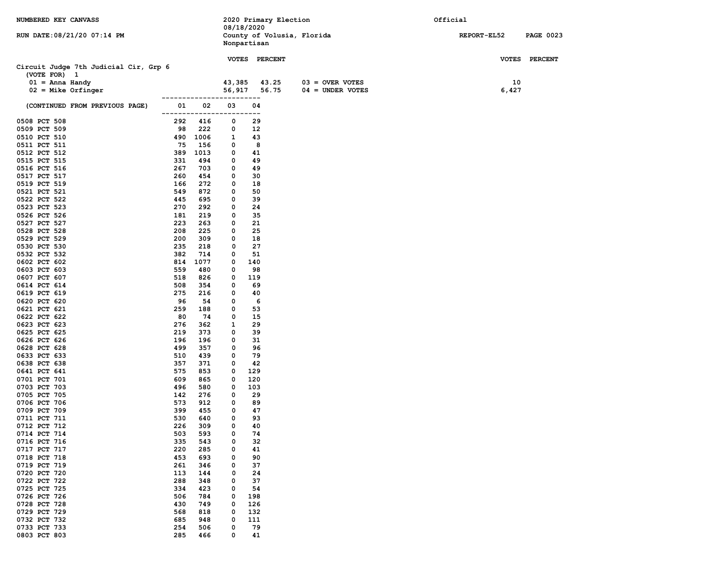| NUMBERED KEY CANVASS                  |            |                       |              | 2020 Primary Election<br>08/18/2020       |                    | Official    |                  |
|---------------------------------------|------------|-----------------------|--------------|-------------------------------------------|--------------------|-------------|------------------|
| RUN DATE: 08/21/20 07:14 PM           |            |                       |              | County of Volusia, Florida<br>Nonpartisan |                    | REPORT-EL52 | <b>PAGE 0023</b> |
|                                       |            |                       |              | VOTES PERCENT                             |                    |             | VOTES PERCENT    |
| Circuit Judge 7th Judicial Cir, Grp 6 |            |                       |              |                                           |                    |             |                  |
| (VOTE FOR) 1<br>$01 =$ Anna Handy     |            |                       | 43,385       | 43.25                                     | $03 =$ OVER VOTES  | 10          |                  |
| $02$ = Mike Orfinger                  |            |                       | 56,917       | 56.75                                     | $04 = UNDER VOTES$ | 6,427       |                  |
|                                       |            | --------------------- |              |                                           |                    |             |                  |
| (CONTINUED FROM PREVIOUS PAGE)        | 01         | 02<br>-------------   | 03<br>------ | 04<br>---                                 |                    |             |                  |
| 0508 PCT 508                          | 292        | 416                   | 0            | 29                                        |                    |             |                  |
| 0509 PCT 509                          | 98         | 222                   | 0            | 12                                        |                    |             |                  |
| 0510 PCT 510<br>0511 PCT 511          | 490<br>75  | 1006<br>156           | 1<br>0       | 43<br>8                                   |                    |             |                  |
| 0512 PCT 512                          | 389        | 1013                  | 0            | 41                                        |                    |             |                  |
| 0515 PCT 515                          | 331        | 494                   | 0            | 49                                        |                    |             |                  |
| 0516 PCT 516                          | 267        | 703                   | 0            | 49                                        |                    |             |                  |
| 0517 PCT 517                          | 260        | 454                   | 0            | 30                                        |                    |             |                  |
| 0519 PCT 519                          | 166        | 272                   | 0            | 18                                        |                    |             |                  |
| 0521 PCT 521                          | 549        | 872                   | 0            | 50                                        |                    |             |                  |
| 0522 PCT 522<br>0523 PCT 523          | 445<br>270 | 695<br>292            | 0<br>0       | 39<br>24                                  |                    |             |                  |
| 0526 PCT 526                          | 181        | 219                   | 0            | 35                                        |                    |             |                  |
| 0527 PCT 527                          | 223        | 263                   | 0            | 21                                        |                    |             |                  |
| 0528 PCT 528                          | 208        | 225                   | 0            | 25                                        |                    |             |                  |
| 0529 PCT 529                          | 200        | 309                   | 0            | 18                                        |                    |             |                  |
| 0530 PCT 530                          | 235        | 218                   | 0            | 27                                        |                    |             |                  |
| 0532 PCT 532                          | 382        | 714                   | 0            | 51                                        |                    |             |                  |
| 0602 PCT 602<br>0603 PCT 603          | 814<br>559 | 1077<br>480           | 0<br>0       | 140<br>98                                 |                    |             |                  |
| 0607 PCT 607                          | 518        | 826                   | 0            | 119                                       |                    |             |                  |
| 0614 PCT 614                          | 508        | 354                   | 0            | 69                                        |                    |             |                  |
| 0619 PCT 619                          | 275        | 216                   | 0            | 40                                        |                    |             |                  |
| 0620 PCT 620                          | 96         | 54                    | 0            | 6                                         |                    |             |                  |
| 0621 PCT 621                          | 259        | 188                   | 0            | 53                                        |                    |             |                  |
| 0622 PCT 622<br>0623 PCT 623          | 80<br>276  | 74<br>362             | 0<br>1       | 15<br>29                                  |                    |             |                  |
| 0625 PCT 625                          | 219        | 373                   | 0            | 39                                        |                    |             |                  |
| 0626 PCT 626                          | 196        | 196                   | 0            | 31                                        |                    |             |                  |
| 0628 PCT 628                          | 499        | 357                   | 0            | 96                                        |                    |             |                  |
| 0633 PCT 633                          | 510        | 439                   | 0            | 79                                        |                    |             |                  |
| 0638 PCT 638                          | 357        | 371                   | 0            | 42                                        |                    |             |                  |
| 0641 PCT 641                          | 575        | 853                   | 0            | 129                                       |                    |             |                  |
| 0701 PCT 701<br>0703 PCT 703          | 609<br>496 | 865<br>580            | 0<br>0       | 120<br>103                                |                    |             |                  |
| 0705 PCT 705                          | 142        | 276                   | 0            | 29                                        |                    |             |                  |
| 0706 PCT 706                          | 573        | 912                   | 0            | 89                                        |                    |             |                  |
| 0709 PCT 709                          | 399        | 455                   | 0            | 47                                        |                    |             |                  |
| 0711 PCT 711                          | 530        | 640                   | 0            | 93                                        |                    |             |                  |
| 0712 PCT 712                          | 226        | 309                   | 0            | 40                                        |                    |             |                  |
| 0714 PCT 714<br>0716 PCT 716          | 503<br>335 | 593<br>543            | 0<br>0       | 74<br>32                                  |                    |             |                  |
| 0717 PCT 717                          | 220        | 285                   | 0            | 41                                        |                    |             |                  |
| 0718 PCT 718                          | 453        | 693                   | 0            | 90                                        |                    |             |                  |
| 0719 PCT 719                          | 261        | 346                   | 0            | 37                                        |                    |             |                  |
| 0720 PCT 720                          | 113        | 144                   | 0            | 24                                        |                    |             |                  |
| 0722 PCT 722                          | 288        | 348                   | 0            | 37                                        |                    |             |                  |
| 0725 PCT 725                          | 334        | 423                   | 0            | 54                                        |                    |             |                  |
| 0726 PCT 726<br>0728 PCT 728          | 506<br>430 | 784<br>749            | 0<br>0       | 198<br>126                                |                    |             |                  |
| 0729 PCT 729                          | 568        | 818                   | 0            | 132                                       |                    |             |                  |
| 0732 PCT 732                          | 685        | 948                   | 0            | 111                                       |                    |             |                  |
| 0733 PCT 733                          | 254        | 506                   | 0            | 79                                        |                    |             |                  |
| 0803 PCT 803                          | 285        | 466                   | 0            | 41                                        |                    |             |                  |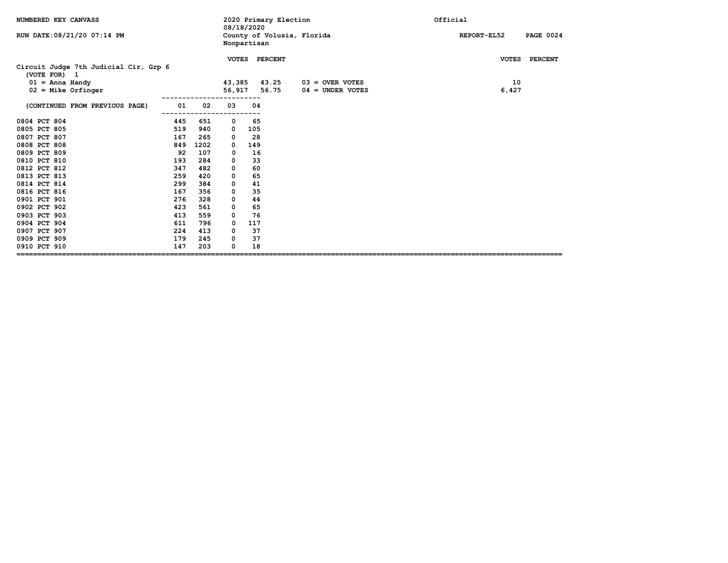| NUMBERED KEY CANVASS                                                                                                                                                                                                         |                                                                                               |                                                                                                 | 08/18/2020                                                                |                                                                                     | 2020 Primary Election           |                                         | Official                        |
|------------------------------------------------------------------------------------------------------------------------------------------------------------------------------------------------------------------------------|-----------------------------------------------------------------------------------------------|-------------------------------------------------------------------------------------------------|---------------------------------------------------------------------------|-------------------------------------------------------------------------------------|---------------------------------|-----------------------------------------|---------------------------------|
| RUN DATE: 08/21/20 07:14 PM                                                                                                                                                                                                  |                                                                                               |                                                                                                 | Nonpartisan                                                               |                                                                                     | County of Volusia, Florida      |                                         | REPORT-EL52<br><b>PAGE 0024</b> |
| Circuit Judge 7th Judicial Cir, Grp 6<br>(VOTE FOR) 1<br>$01 =$ Anna Handy<br>$02$ = Mike Orfinger                                                                                                                           |                                                                                               |                                                                                                 | 43,385<br>56,917                                                          |                                                                                     | VOTES PERCENT<br>43.25<br>56.75 | $03 =$ OVER VOTES<br>$04 =$ UNDER VOTES | VOTES PERCENT<br>10<br>6,427    |
| (CONTINUED FROM PREVIOUS PAGE)                                                                                                                                                                                               | 01                                                                                            | 02                                                                                              | 03                                                                        | 04                                                                                  |                                 |                                         |                                 |
| 0804 PCT 804<br>0805 PCT 805<br>0807 PCT 807<br>0808 PCT 808<br>0809 PCT 809<br>0810 PCT 810<br>0812 PCT 812<br>0813 PCT 813<br>0814 PCT 814<br>0816 PCT 816<br>0901 PCT 901<br>0902 PCT 902<br>0903 PCT 903<br>0904 PCT 904 | 445<br>519<br>167<br>849<br>92<br>193<br>347<br>259<br>299<br>167<br>276<br>423<br>413<br>611 | 651<br>940<br>265<br>1202<br>107<br>284<br>482<br>420<br>384<br>356<br>328<br>561<br>559<br>796 | 0<br>0<br>0<br>0<br>0<br>0<br>0<br>0<br>0<br>0<br>0<br>0<br>0<br>$\Omega$ | 65<br>105<br>28<br>149<br>16<br>33<br>60<br>65<br>41<br>35<br>44<br>65<br>76<br>117 |                                 |                                         |                                 |
| 0907 PCT 907<br>0909 PCT 909<br>0910 PCT 910                                                                                                                                                                                 | 224<br>179<br>147                                                                             | 413<br>245<br>203                                                                               | 0<br>0<br>0                                                               | 37<br>37<br>18                                                                      |                                 |                                         |                                 |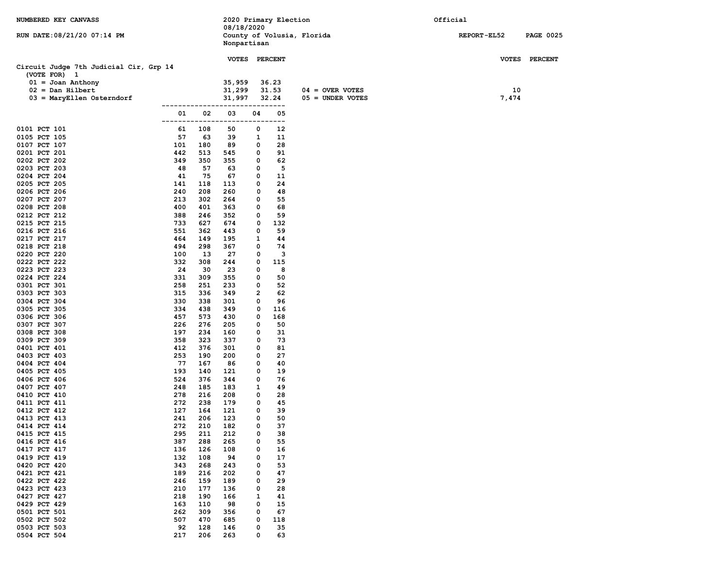| NUMBERED KEY CANVASS                                   |               |            | 2020 Primary Election |            |            |                            | Official           |                  |
|--------------------------------------------------------|---------------|------------|-----------------------|------------|------------|----------------------------|--------------------|------------------|
|                                                        |               |            | 08/18/2020            |            |            |                            |                    |                  |
| RUN DATE: 08/21/20 07:14 PM                            |               |            | Nonpartisan           |            |            | County of Volusia, Florida | <b>REPORT-EL52</b> | <b>PAGE 0025</b> |
|                                                        |               |            |                       |            |            |                            |                    |                  |
|                                                        |               |            | VOTES PERCENT         |            |            |                            |                    | VOTES PERCENT    |
| Circuit Judge 7th Judicial Cir, Grp 14<br>(VOTE FOR) 1 |               |            |                       |            |            |                            |                    |                  |
| $01 =$ Joan Anthony                                    |               |            | 35,959                |            | 36.23      |                            |                    |                  |
| $02 = Dan Hilbert$                                     |               |            | 31,299                |            | 31.53      | $04 =$ OVER VOTES          | 10                 |                  |
| $03$ = MaryEllen Osterndorf                            |               |            | 31,997                |            | 32.24      | $05 =$ UNDER VOTES         | 7,474              |                  |
|                                                        |               |            |                       |            |            |                            |                    |                  |
|                                                        | 01<br>------- | 02         | 03                    | 04<br>---- | 05<br>---  |                            |                    |                  |
| 0101 PCT 101                                           | 61            | 108        | 50                    | 0          | 12         |                            |                    |                  |
| 0105 PCT 105                                           | 57            | 63         | 39                    | 1          | 11         |                            |                    |                  |
| 0107 PCT 107                                           | 101           | 180        | 89                    | 0          | 28         |                            |                    |                  |
| 0201 PCT 201                                           | 442           | 513        | 545                   | 0          | 91         |                            |                    |                  |
| 0202 PCT 202<br>0203 PCT 203                           | 349<br>48     | 350<br>57  | 355<br>63             | 0<br>0     | 62<br>5    |                            |                    |                  |
| 0204 PCT 204                                           | 41            | 75         | 67                    | 0          | 11         |                            |                    |                  |
| 0205 PCT 205                                           | 141           | 118        | 113                   | 0          | 24         |                            |                    |                  |
| 0206 PCT 206                                           | 240           | 208        | 260                   | 0          | 48         |                            |                    |                  |
| 0207 PCT 207                                           | 213           | 302        | 264                   | 0          | 55         |                            |                    |                  |
| 0208 PCT 208                                           | 400           | 401<br>246 | 363                   | 0          | 68<br>59   |                            |                    |                  |
| 0212 PCT 212<br>0215 PCT 215                           | 388<br>733    | 627        | 352<br>674            | 0<br>0     | 132        |                            |                    |                  |
| 0216 PCT 216                                           | 551           | 362        | 443                   | 0          | 59         |                            |                    |                  |
| 0217 PCT 217                                           | 464           | 149        | 195                   | 1          | 44         |                            |                    |                  |
| 0218 PCT 218                                           | 494           | 298        | 367                   | 0          | 74         |                            |                    |                  |
| 0220 PCT 220                                           | 100           | 13         | 27                    | 0          | 3          |                            |                    |                  |
| 0222 PCT 222<br>0223 PCT 223                           | 332<br>24     | 308<br>30  | 244<br>23             | 0<br>0     | 115<br>8   |                            |                    |                  |
| 0224 PCT 224                                           | 331           | 309        | 355                   | 0          | 50         |                            |                    |                  |
| 0301 PCT 301                                           | 258           | 251        | 233                   | 0          | 52         |                            |                    |                  |
| 0303 PCT 303                                           | 315           | 336        | 349                   | 2          | 62         |                            |                    |                  |
| 0304 PCT 304                                           | 330           | 338        | 301                   | 0          | 96         |                            |                    |                  |
| 0305 PCT 305<br>0306 PCT 306                           | 334<br>457    | 438<br>573 | 349<br>430            | 0<br>0     | 116<br>168 |                            |                    |                  |
| 0307 PCT 307                                           | 226           | 276        | 205                   | 0          | 50         |                            |                    |                  |
| 0308 PCT 308                                           | 197           | 234        | 160                   | 0          | 31         |                            |                    |                  |
| 0309 PCT 309                                           | 358           | 323        | 337                   | 0          | 73         |                            |                    |                  |
| 0401 PCT 401                                           | 412           | 376        | 301                   | 0          | 81         |                            |                    |                  |
| 0403 PCT 403<br>0404 PCT 404                           | 253<br>77     | 190<br>167 | 200<br>86             | 0<br>0     | 27<br>40   |                            |                    |                  |
| 0405 PCT 405                                           | 193           | 140        | 121                   | 0          | 19         |                            |                    |                  |
| 0406 PCT 406                                           | 524           | 376        | 344                   | 0          | 76         |                            |                    |                  |
| 0407 PCT 407                                           | 248           | 185        | 183                   | 1          | 49         |                            |                    |                  |
| 0410 PCT 410                                           | 278           | 216        | 208                   | 0          | 28         |                            |                    |                  |
| 0411 PCT 411<br>0412 PCT 412                           | 272<br>127    | 238<br>164 | 179<br>121            | 0<br>0     | 45<br>39   |                            |                    |                  |
| 0413 PCT 413                                           | 241           | 206        | 123                   | 0          | 50         |                            |                    |                  |
| 0414 PCT 414                                           | 272           | 210        | 182                   | 0          | 37         |                            |                    |                  |
| 0415 PCT 415                                           | 295           | 211        | 212                   | 0          | 38         |                            |                    |                  |
| 0416 PCT 416                                           | 387           | 288        | 265                   | 0          | 55         |                            |                    |                  |
| 0417 PCT 417                                           | 136           | 126        | 108                   | 0          | 16         |                            |                    |                  |
| 0419 PCT 419<br>0420 PCT 420                           | 132<br>343    | 108<br>268 | 94<br>243             | 0<br>0     | 17<br>53   |                            |                    |                  |
| 0421 PCT 421                                           | 189           | 216        | 202                   | 0          | 47         |                            |                    |                  |
| 0422 PCT 422                                           | 246           | 159        | 189                   | 0          | 29         |                            |                    |                  |
| 0423 PCT 423                                           | 210           | 177        | 136                   | 0          | 28         |                            |                    |                  |
| 0427 PCT 427                                           | 218           | 190        | 166                   | 1          | 41         |                            |                    |                  |
| 0429 PCT 429<br>0501 PCT 501                           | 163<br>262    | 110<br>309 | 98<br>356             | 0<br>0     | 15<br>67   |                            |                    |                  |
| 0502 PCT 502                                           | 507           | 470        | 685                   | 0          | 118        |                            |                    |                  |
| 0503 PCT 503                                           | 92            | 128        | 146                   | 0          | 35         |                            |                    |                  |
| 0504 PCT 504                                           | 217           | 206        | 263                   | 0          | 63         |                            |                    |                  |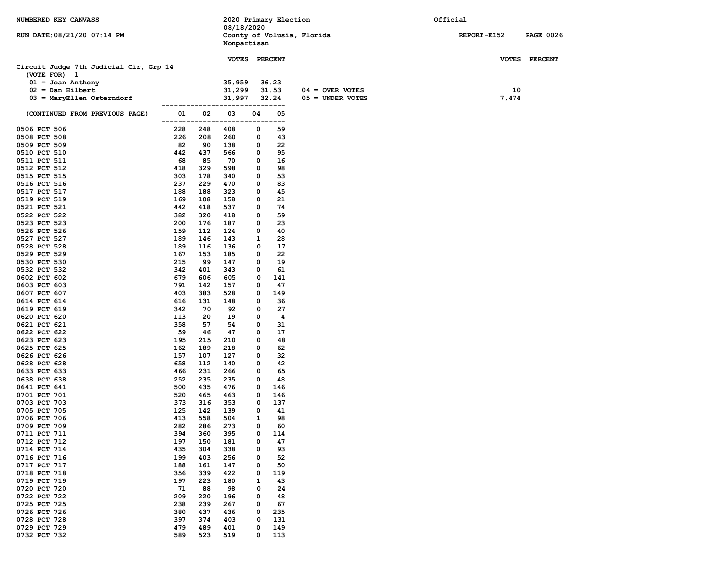| NUMBERED KEY CANVASS                   |            |            | 2020 Primary Election<br>08/18/2020 |        |             |                            | Official    |                  |
|----------------------------------------|------------|------------|-------------------------------------|--------|-------------|----------------------------|-------------|------------------|
| RUN DATE: 08/21/20 07:14 PM            |            |            | Nonpartisan                         |        |             | County of Volusia, Florida | REPORT-EL52 | <b>PAGE 0026</b> |
|                                        |            |            | VOTES PERCENT                       |        |             |                            |             | VOTES PERCENT    |
| Circuit Judge 7th Judicial Cir, Grp 14 |            |            |                                     |        |             |                            |             |                  |
| (VOTE FOR) 1<br>$01 =$ Joan Anthony    |            |            | 35,959                              |        | 36.23       |                            |             |                  |
| $02 = Dan Hilbert$                     |            |            | 31,299                              |        | 31.53       | $04 =$ OVER VOTES          | 10          |                  |
| $03$ = MaryEllen Osterndorf            |            |            | 31,997                              |        | 32.24       | $05 =$ UNDER VOTES         | 7,474       |                  |
| (CONTINUED FROM PREVIOUS PAGE)         | 01         | 02         | 03                                  | 04     | $---$<br>05 |                            |             |                  |
|                                        |            |            |                                     |        | ——          |                            |             |                  |
| 0506 PCT 506<br>0508 PCT 508           | 228<br>226 | 248<br>208 | 408<br>260                          | 0<br>0 | 59<br>43    |                            |             |                  |
| 0509 PCT 509                           | 82         | 90         | 138                                 | 0      | 22          |                            |             |                  |
| 0510 PCT 510                           | 442        | 437        | 566                                 | 0      | 95          |                            |             |                  |
| 0511 PCT 511                           | 68         | 85         | 70                                  | 0      | 16          |                            |             |                  |
| 0512 PCT 512                           | 418        | 329        | 598                                 | 0      | 98          |                            |             |                  |
| 0515 PCT 515                           | 303        | 178        | 340                                 | 0      | 53          |                            |             |                  |
| 0516 PCT 516                           | 237        | 229        | 470                                 | 0      | 83          |                            |             |                  |
| 0517 PCT 517                           | 188        | 188        | 323                                 | 0      | 45          |                            |             |                  |
| 0519 PCT 519<br>0521 PCT 521           | 169<br>442 | 108<br>418 | 158<br>537                          | 0<br>0 | 21<br>74    |                            |             |                  |
| 0522 PCT 522                           | 382        | 320        | 418                                 | 0      | 59          |                            |             |                  |
| 0523 PCT 523                           | 200        | 176        | 187                                 | 0      | 23          |                            |             |                  |
| 0526 PCT 526                           | 159        | 112        | 124                                 | 0      | 40          |                            |             |                  |
| 0527 PCT 527                           | 189        | 146        | 143                                 | 1      | 28          |                            |             |                  |
| 0528 PCT 528                           | 189        | 116        | 136                                 | 0      | 17          |                            |             |                  |
| 0529 PCT 529                           | 167        | 153        | 185                                 | 0      | 22          |                            |             |                  |
| 0530 PCT 530                           | 215        | 99         | 147                                 | 0      | 19          |                            |             |                  |
| 0532 PCT 532<br>0602 PCT 602           | 342<br>679 | 401<br>606 | 343<br>605                          | 0<br>0 | 61<br>141   |                            |             |                  |
| 0603 PCT 603                           | 791        | 142        | 157                                 | 0      | 47          |                            |             |                  |
| 0607 PCT 607                           | 403        | 383        | 528                                 | 0      | 149         |                            |             |                  |
| 0614 PCT 614                           | 616        | 131        | 148                                 | 0      | 36          |                            |             |                  |
| 0619 PCT 619                           | 342        | 70         | 92                                  | 0      | 27          |                            |             |                  |
| 0620 PCT 620                           | 113        | 20         | 19                                  | 0      | 4           |                            |             |                  |
| 0621 PCT 621                           | 358        | 57         | 54                                  | 0      | 31          |                            |             |                  |
| 0622 PCT 622                           | 59         | 46         | 47                                  | 0      | 17          |                            |             |                  |
| 0623 PCT 623<br>0625 PCT 625           | 195<br>162 | 215<br>189 | 210<br>218                          | 0<br>0 | 48<br>62    |                            |             |                  |
| 0626 PCT 626                           | 157        | 107        | 127                                 | 0      | 32          |                            |             |                  |
| 0628 PCT 628                           | 658        | 112        | 140                                 | 0      | 42          |                            |             |                  |
| 0633 PCT 633                           | 466        | 231        | 266                                 | 0      | 65          |                            |             |                  |
| 0638 PCT 638                           | 252        | 235        | 235                                 | 0      | 48          |                            |             |                  |
| 0641 PCT 641                           | 500        | 435        | 476                                 | 0      | 146         |                            |             |                  |
| 0701 PCT 701                           | 520        | 465        | 463                                 | 0      | 146         |                            |             |                  |
| 0703 PCT 703                           | 373        | 316        | 353                                 | 0      | 137         |                            |             |                  |
| 0705 PCT 705<br>0706 PCT 706           | 125<br>413 | 142<br>558 | 139<br>504                          | 0<br>1 | 41<br>98    |                            |             |                  |
| 0709 PCT 709                           | 282        | 286        | 273                                 | 0      | 60          |                            |             |                  |
| 0711 PCT 711                           | 394        | 360        | 395                                 | 0      | 114         |                            |             |                  |
| 0712 PCT 712                           | 197        | 150        | 181                                 | 0      | 47          |                            |             |                  |
| 0714 PCT 714                           | 435        | 304        | 338                                 | 0      | 93          |                            |             |                  |
| 0716 PCT 716                           | 199        | 403        | 256                                 | 0      | 52          |                            |             |                  |
| 0717 PCT 717                           | 188        | 161        | 147                                 | 0      | 50          |                            |             |                  |
| 0718 PCT 718                           | 356        | 339        | 422                                 | 0      | 119         |                            |             |                  |
| 0719 PCT 719                           | 197        | 223        | 180                                 | 1      | 43          |                            |             |                  |
| 0720 PCT 720<br>0722 PCT 722           | 71<br>209  | 88<br>220  | 98<br>196                           | 0<br>0 | 24<br>48    |                            |             |                  |
| 0725 PCT 725                           | 238        | 239        | 267                                 | 0      | 67          |                            |             |                  |
| 0726 PCT 726                           | 380        | 437        | 436                                 | 0      | 235         |                            |             |                  |
| 0728 PCT 728                           | 397        | 374        | 403                                 | 0      | 131         |                            |             |                  |
| 0729 PCT 729                           | 479        | 489        | 401                                 | 0      | 149         |                            |             |                  |
| 0732 PCT 732                           | 589        | 523        | 519                                 | 0      | 113         |                            |             |                  |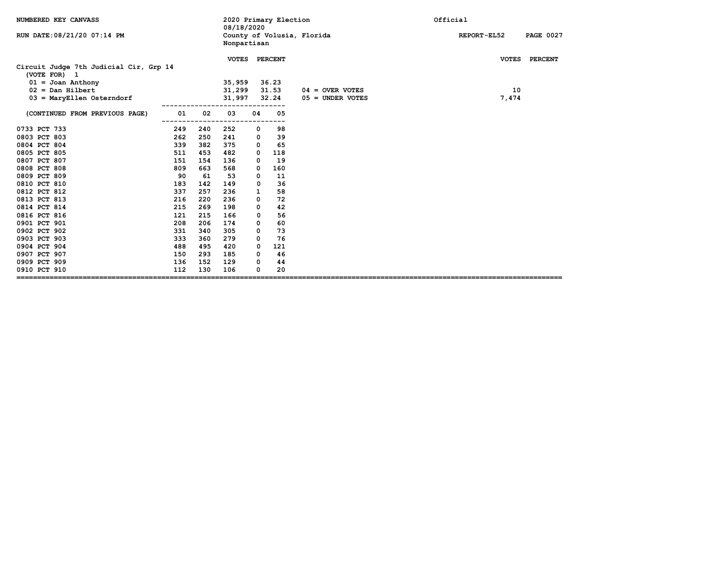| NUMBERED KEY CANVASS                                                          |                    |     | 08/18/2020              |              | 2020 Primary Election |                            | Official                               |
|-------------------------------------------------------------------------------|--------------------|-----|-------------------------|--------------|-----------------------|----------------------------|----------------------------------------|
| RUN DATE: 08/21/20 07:14 PM                                                   |                    |     | Nonpartisan             |              |                       | County of Volusia, Florida | <b>REPORT-EL52</b><br><b>PAGE 0027</b> |
| Circuit Judge 7th Judicial Cir, Grp 14<br>(VOTE FOR) 1<br>$01 =$ Joan Anthony |                    |     | VOTES PERCENT<br>35,959 |              | 36.23                 |                            | VOTES PERCENT                          |
| $02 = Dan Hilbert$                                                            |                    |     | 31,299                  |              | 31.53                 | $04 =$ OVER VOTES          | 10                                     |
| $03$ = MaryEllen Osterndorf                                                   |                    |     | 31,997                  |              | 32.24                 | $05 =$ UNDER VOTES         | 7,474                                  |
| (CONTINUED FROM PREVIOUS PAGE)                                                | 01                 | 02  | 03                      | 04           | 05                    |                            |                                        |
| 0733 PCT 733                                                                  | 249                | 240 | -----<br>252            | 0            | 98                    |                            |                                        |
| 0803 PCT 803                                                                  | 262                | 250 | 241                     | 0            | 39                    |                            |                                        |
| 0804 PCT 804                                                                  | 339                | 382 | 375                     | $\mathbf{o}$ | 65                    |                            |                                        |
| 0805 PCT 805                                                                  | 511                | 453 | 482                     | $\mathbf{o}$ | 118                   |                            |                                        |
| 0807 PCT 807                                                                  | 151                | 154 | 136                     | 0            | 19                    |                            |                                        |
| 0808 PCT 808                                                                  | 809                | 663 | 568                     | 0            | 160                   |                            |                                        |
| 0809 PCT 809                                                                  | 90                 | 61  | 53                      | $\mathbf 0$  | 11                    |                            |                                        |
| 0810 PCT 810                                                                  | 183                | 142 | 149                     | 0            | 36                    |                            |                                        |
| 0812 PCT 812                                                                  | 337                | 257 | 236                     | 1            | 58                    |                            |                                        |
| 0813 PCT 813                                                                  | 216                | 220 | 236                     | 0            | 72                    |                            |                                        |
| 0814 PCT 814                                                                  | 215                | 269 | 198                     | 0            | 42                    |                            |                                        |
| 0816 PCT 816                                                                  | 121                | 215 | 166                     | 0            | 56                    |                            |                                        |
| 0901 PCT 901                                                                  | 208                | 206 | 174                     | 0            | 60                    |                            |                                        |
| 0902 PCT 902                                                                  | 331                | 340 | 305                     | 0            | 73                    |                            |                                        |
| 0903 PCT 903                                                                  | 333                | 360 | 279                     | 0            | 76                    |                            |                                        |
| 0904 PCT 904                                                                  | 488                | 495 | 420                     | 0            | 121                   |                            |                                        |
| 0907 PCT 907                                                                  | 150                | 293 | 185                     | 0            | 46                    |                            |                                        |
| 0909 PCT 909                                                                  | 136                | 152 | 129                     | 0            | 44                    |                            |                                        |
| 0910 PCT 910<br>==============================                                | 112<br>=========== | 130 | 106                     | 0            | 20                    |                            |                                        |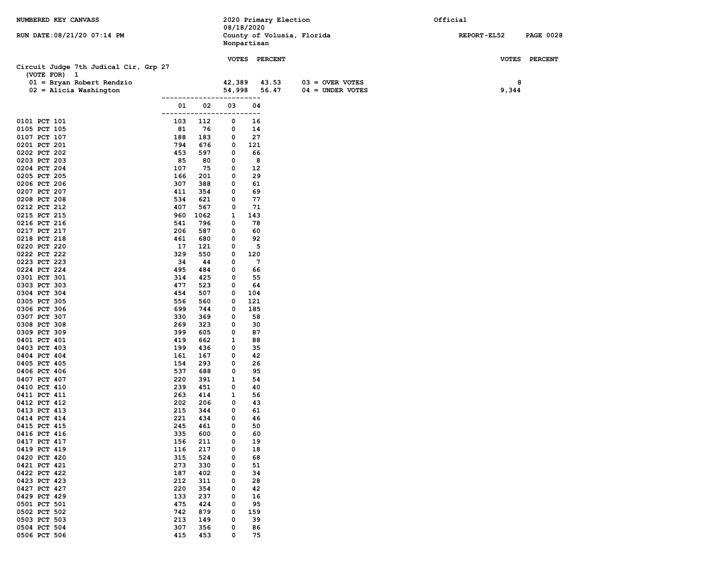| NUMBERED KEY CANVASS                                  |              |            |           | 08/18/2020  | 2020 Primary Election |                            | Official |             |                  |
|-------------------------------------------------------|--------------|------------|-----------|-------------|-----------------------|----------------------------|----------|-------------|------------------|
| RUN DATE: 08/21/20 07:14 PM                           |              |            |           | Nonpartisan |                       | County of Volusia, Florida |          | REPORT-EL52 | <b>PAGE 0028</b> |
|                                                       |              |            |           |             | VOTES PERCENT         |                            |          |             | VOTES PERCENT    |
| Circuit Judge 7th Judical Cir, Grp 27<br>(VOTE FOR) 1 |              |            |           |             |                       |                            |          |             |                  |
| $01 = Bryan Robert Rendzio$                           |              |            | 42,389    |             | 43.53                 | $03 =$ OVER VOTES          |          | 8           |                  |
| $02$ = Alicia Washington                              |              |            | 54,998    |             | 56.47                 | $04 =$ UNDER VOTES         |          | 9,344       |                  |
|                                                       |              | -----      | -----     | ----        |                       |                            |          |             |                  |
|                                                       | 01<br>------ | 02         | 03<br>--- | 04<br>.     |                       |                            |          |             |                  |
| 0101 PCT 101                                          | 103          | 112        | 0         | 16          |                       |                            |          |             |                  |
| 0105 PCT 105                                          | 81           | 76         | 0         | 14          |                       |                            |          |             |                  |
| 0107 PCT 107                                          | 188<br>794   | 183        | 0         | 27<br>121   |                       |                            |          |             |                  |
| 0201 PCT 201<br>0202 PCT 202                          | 453          | 676<br>597 | 0<br>0    | 66          |                       |                            |          |             |                  |
| 0203 PCT 203                                          | 85           | 80         | 0         | 8           |                       |                            |          |             |                  |
| 0204 PCT 204                                          | 107          | 75         | 0         | 12          |                       |                            |          |             |                  |
| 0205 PCT 205                                          | 166          | 201        | 0         | 29          |                       |                            |          |             |                  |
| 0206 PCT 206                                          | 307          | 388        | 0         | 61          |                       |                            |          |             |                  |
| 0207 PCT 207<br>0208 PCT 208                          | 411<br>534   | 354<br>621 | 0<br>0    | 69<br>77    |                       |                            |          |             |                  |
| 0212 PCT 212                                          | 407          | 567        | 0         | 71          |                       |                            |          |             |                  |
| 0215 PCT 215                                          | 960          | 1062       | 1         | 143         |                       |                            |          |             |                  |
| 0216 PCT 216                                          | 541          | 796        | 0         | 78          |                       |                            |          |             |                  |
| 0217 PCT 217                                          | 206          | 587        | 0         | 60          |                       |                            |          |             |                  |
| 0218 PCT 218                                          | 461          | 680        | 0         | 92          |                       |                            |          |             |                  |
| 0220 PCT 220<br>0222 PCT 222                          | 17<br>329    | 121<br>550 | 0<br>0    | 5<br>120    |                       |                            |          |             |                  |
| 0223 PCT 223                                          | 34           | 44         | 0         | 7           |                       |                            |          |             |                  |
| 0224 PCT 224                                          | 495          | 484        | 0         | 66          |                       |                            |          |             |                  |
| 0301 PCT 301                                          | 314          | 425        | 0         | 55          |                       |                            |          |             |                  |
| 0303 PCT 303                                          | 477          | 523        | 0         | 64          |                       |                            |          |             |                  |
| 0304 PCT 304<br>0305 PCT 305                          | 454<br>556   | 507<br>560 | 0<br>0    | 104<br>121  |                       |                            |          |             |                  |
| 0306 PCT 306                                          | 699          | 744        | 0         | 185         |                       |                            |          |             |                  |
| 0307 PCT 307                                          | 330          | 369        | 0         | 58          |                       |                            |          |             |                  |
| 0308 PCT 308                                          | 269          | 323        | 0         | 30          |                       |                            |          |             |                  |
| 0309 PCT 309                                          | 399          | 605        | 0         | 87          |                       |                            |          |             |                  |
| 0401 PCT 401                                          | 419<br>199   | 662        | 1         | 88<br>35    |                       |                            |          |             |                  |
| 0403 PCT 403<br>0404 PCT 404                          | 161          | 436<br>167 | 0<br>0    | 42          |                       |                            |          |             |                  |
| 0405 PCT 405                                          | 154          | 293        | 0         | 26          |                       |                            |          |             |                  |
| 0406 PCT 406                                          | 537          | 688        | 0         | 95          |                       |                            |          |             |                  |
| 0407 PCT 407                                          | 220          | 391        | 1         | 54          |                       |                            |          |             |                  |
| 0410 PCT 410                                          | 239          | 451        | 0         | 40          |                       |                            |          |             |                  |
| 0411 PCT 411<br>0412 PCT 412                          | 263<br>202   | 414<br>206 | 1<br>0    | 56<br>43    |                       |                            |          |             |                  |
| 0413 PCT 413                                          | 215          | 344        | 0         | 61          |                       |                            |          |             |                  |
| 0414 PCT 414                                          | 221          | 434        | 0         | 46          |                       |                            |          |             |                  |
| 0415 PCT 415                                          | 245          | 461        | 0         | 50          |                       |                            |          |             |                  |
| 0416 PCT 416                                          | 335          | 600        | 0         | 60          |                       |                            |          |             |                  |
| 0417 PCT 417<br>0419 PCT 419                          | 156<br>116   | 211<br>217 | 0<br>0    | 19<br>18    |                       |                            |          |             |                  |
| 0420 PCT 420                                          | 315          | 524        | 0         | 68          |                       |                            |          |             |                  |
| 0421 PCT 421                                          | 273          | 330        | 0         | 51          |                       |                            |          |             |                  |
| 0422 PCT 422                                          | 187          | 402        | 0         | 34          |                       |                            |          |             |                  |
| 0423 PCT 423                                          | 212          | 311        | 0         | 28          |                       |                            |          |             |                  |
| 0427 PCT 427                                          | 220          | 354        | 0         | 42          |                       |                            |          |             |                  |
| 0429 PCT 429<br>0501 PCT 501                          | 133<br>475   | 237<br>424 | 0<br>0    | 16<br>95    |                       |                            |          |             |                  |
| 0502 PCT 502                                          | 742          | 879        | 0         | 159         |                       |                            |          |             |                  |
| 0503 PCT 503                                          | 213          | 149        | 0         | 39          |                       |                            |          |             |                  |
| 0504 PCT 504                                          | 307          | 356        | 0         | 86          |                       |                            |          |             |                  |
| 0506 PCT 506                                          | 415          | 453        | 0         | 75          |                       |                            |          |             |                  |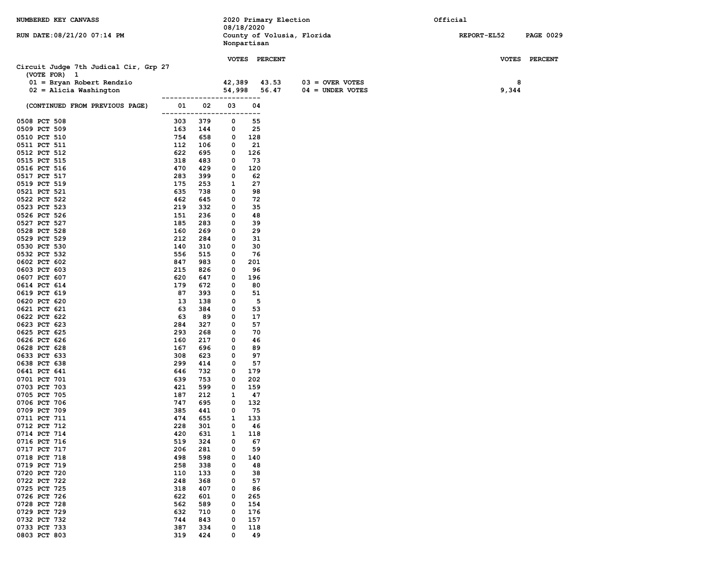| NUMBERED KEY CANVASS                        |                         |            | 08/18/2020  |            | 2020 Primary Election |                            | Official     |                  |
|---------------------------------------------|-------------------------|------------|-------------|------------|-----------------------|----------------------------|--------------|------------------|
| RUN DATE: 08/21/20 07:14 PM                 |                         |            | Nonpartisan |            |                       | County of Volusia, Florida | REPORT-EL52  | <b>PAGE 0029</b> |
|                                             |                         |            |             |            | VOTES PERCENT         |                            | <b>VOTES</b> | <b>PERCENT</b>   |
| Circuit Judge 7th Judical Cir, Grp 27       |                         |            |             |            |                       |                            |              |                  |
| (VOTE FOR) 1<br>$01 = Bryan Robert Rendzio$ |                         |            | 42,389      |            | 43.53                 | $03 =$ OVER VOTES          | 8            |                  |
| $02 =$ Alicia Washington                    |                         |            | 54,998      |            | 56.47                 | $04 = UNDER VOTES$         | 9,344        |                  |
|                                             | ----------------------- |            |             |            |                       |                            |              |                  |
| (CONTINUED FROM PREVIOUS PAGE)              | 01<br>------            | 02         | 03<br>.     | 04<br>---  |                       |                            |              |                  |
| 0508 PCT 508                                | 303                     | 379        | 0           | 55         |                       |                            |              |                  |
| 0509 PCT 509<br>0510 PCT 510                | 163<br>754              | 144<br>658 | 0<br>0      | 25<br>128  |                       |                            |              |                  |
| 0511 PCT 511                                | 112                     | 106        | 0           | 21         |                       |                            |              |                  |
| 0512 PCT 512                                | 622                     | 695        | 0           | 126        |                       |                            |              |                  |
| 0515 PCT 515                                | 318                     | 483        | 0           | 73         |                       |                            |              |                  |
| 0516 PCT 516                                | 470                     | 429        | 0           | 120        |                       |                            |              |                  |
| 0517 PCT 517                                | 283                     | 399        | 0           | 62         |                       |                            |              |                  |
| 0519 PCT 519                                | 175                     | 253        | 1           | 27         |                       |                            |              |                  |
| 0521 PCT 521<br>0522 PCT 522                | 635<br>462              | 738<br>645 | 0<br>0      | 98<br>72   |                       |                            |              |                  |
| 0523 PCT 523                                | 219                     | 332        | 0           | 35         |                       |                            |              |                  |
| 0526 PCT 526                                | 151                     | 236        | 0           | 48         |                       |                            |              |                  |
| 0527 PCT 527                                | 185                     | 283        | 0           | 39         |                       |                            |              |                  |
| 0528 PCT 528                                | 160                     | 269        | 0           | 29         |                       |                            |              |                  |
| 0529 PCT 529                                | 212                     | 284        | 0           | 31         |                       |                            |              |                  |
| 0530 PCT 530<br>0532 PCT 532                | 140<br>556              | 310<br>515 | 0<br>0      | 30<br>76   |                       |                            |              |                  |
| 0602 PCT 602                                | 847                     | 983        | 0           | 201        |                       |                            |              |                  |
| 0603 PCT 603                                | 215                     | 826        | 0           | 96         |                       |                            |              |                  |
| 0607 PCT 607                                | 620                     | 647        | 0           | 196        |                       |                            |              |                  |
| 0614 PCT 614                                | 179                     | 672        | 0           | 80         |                       |                            |              |                  |
| 0619 PCT 619<br>0620 PCT 620                | 87<br>13                | 393<br>138 | 0<br>0      | 51<br>5    |                       |                            |              |                  |
| 0621 PCT 621                                | 63                      | 384        | 0           | 53         |                       |                            |              |                  |
| 0622 PCT 622                                | 63                      | 89         | 0           | 17         |                       |                            |              |                  |
| 0623 PCT 623                                | 284                     | 327        | 0           | 57         |                       |                            |              |                  |
| 0625 PCT 625                                | 293                     | 268        | 0           | 70         |                       |                            |              |                  |
| 0626 PCT 626<br>0628 PCT 628                | 160<br>167              | 217<br>696 | 0<br>0      | 46<br>89   |                       |                            |              |                  |
| 0633 PCT 633                                | 308                     | 623        | 0           | 97         |                       |                            |              |                  |
| 0638 PCT 638                                | 299                     | 414        | 0           | 57         |                       |                            |              |                  |
| 0641 PCT 641                                | 646                     | 732        | 0           | 179        |                       |                            |              |                  |
| 0701 PCT 701                                | 639                     | 753        | 0           | 202        |                       |                            |              |                  |
| 0703 PCT 703                                | 421                     | 599        | 0           | 159        |                       |                            |              |                  |
| 0705 PCT 705<br>0706 PCT 706                | 187<br>747              | 212<br>695 | 1<br>0      | 47<br>132  |                       |                            |              |                  |
| 0709 PCT 709                                | 385                     | 441        | 0           | 75         |                       |                            |              |                  |
| 0711 PCT 711                                | 474                     | 655        | 1           | 133        |                       |                            |              |                  |
| 0712 PCT 712                                | 228                     | 301        | $\mathbf 0$ | 46         |                       |                            |              |                  |
| 0714 PCT 714                                | 420                     | 631        | 1           | 118        |                       |                            |              |                  |
| 0716 PCT 716                                | 519                     | 324        | 0           | 67         |                       |                            |              |                  |
| 0717 PCT 717<br>0718 PCT 718                | 206<br>498              | 281<br>598 | 0<br>0      | 59<br>140  |                       |                            |              |                  |
| 0719 PCT 719                                | 258                     | 338        | 0           | 48         |                       |                            |              |                  |
| 0720 PCT 720                                | 110                     | 133        | 0           | 38         |                       |                            |              |                  |
| 0722 PCT 722                                | 248                     | 368        | 0           | 57         |                       |                            |              |                  |
| 0725 PCT 725                                | 318                     | 407        | 0           | 86         |                       |                            |              |                  |
| 0726 PCT 726                                | 622                     | 601        | 0           | 265        |                       |                            |              |                  |
| 0728 PCT 728<br>0729 PCT 729                | 562<br>632              | 589<br>710 | 0<br>0      | 154<br>176 |                       |                            |              |                  |
| 0732 PCT 732                                | 744                     | 843        | 0           | 157        |                       |                            |              |                  |
| 0733 PCT 733                                | 387                     | 334        | 0           | 118        |                       |                            |              |                  |
| 0803 PCT 803                                | 319                     | 424        | 0           | 49         |                       |                            |              |                  |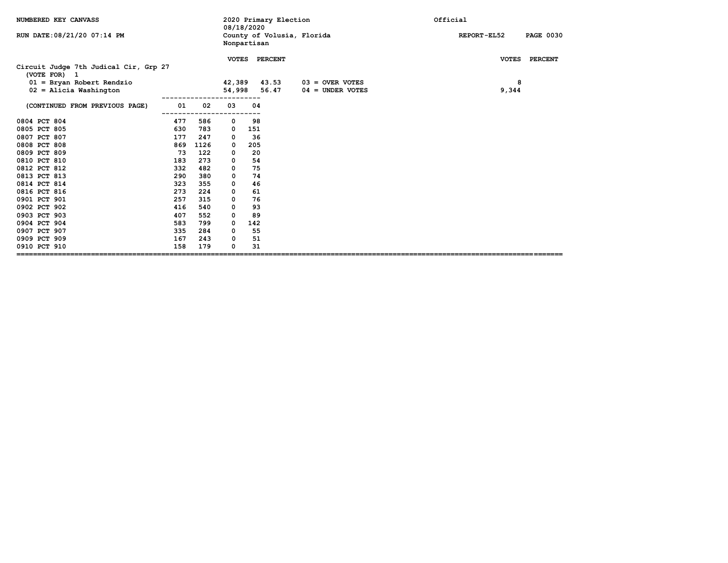| NUMBERED KEY CANVASS                                                                                             |     |      | 08/18/2020                       |     | 2020 Primary Election      | Official                                |                                 |  |
|------------------------------------------------------------------------------------------------------------------|-----|------|----------------------------------|-----|----------------------------|-----------------------------------------|---------------------------------|--|
| RUN DATE: 08/21/20 07:14 PM                                                                                      |     |      | Nonpartisan                      |     | County of Volusia, Florida |                                         | <b>PAGE 0030</b><br>REPORT-EL52 |  |
| Circuit Judge 7th Judical Cir, Grp 27<br>(VOTE FOR) 1<br>$01 =$ Bryan Robert Rendzio<br>$02$ = Alicia Washington |     |      | <b>VOTES</b><br>42,389<br>54,998 |     | PERCENT<br>43.53<br>56.47  | $03 =$ OVER VOTES<br>$04 =$ UNDER VOTES | VOTES PERCENT<br>8<br>9,344     |  |
| (CONTINUED FROM PREVIOUS PAGE)                                                                                   | 01  | 02   | 03                               | 04  |                            |                                         |                                 |  |
| 0804 PCT 804                                                                                                     | 477 | 586  | 0                                | 98  |                            |                                         |                                 |  |
| 0805 PCT 805                                                                                                     | 630 | 783  | 0                                | 151 |                            |                                         |                                 |  |
| 0807 PCT 807                                                                                                     | 177 | 247  | 0                                | 36  |                            |                                         |                                 |  |
| 0808 PCT 808                                                                                                     | 869 | 1126 | 0                                | 205 |                            |                                         |                                 |  |
| 0809 PCT 809                                                                                                     | 73  | 122  | 0                                | 20  |                            |                                         |                                 |  |
| 0810 PCT 810                                                                                                     | 183 | 273  | 0                                | 54  |                            |                                         |                                 |  |
| 0812 PCT 812                                                                                                     | 332 | 482  | 0                                | 75  |                            |                                         |                                 |  |
| 0813 PCT 813                                                                                                     | 290 | 380  | 0                                | 74  |                            |                                         |                                 |  |
| 0814 PCT 814                                                                                                     | 323 | 355  | 0                                | 46  |                            |                                         |                                 |  |
| 0816 PCT 816                                                                                                     | 273 | 224  | 0                                | 61  |                            |                                         |                                 |  |
| 0901 PCT 901                                                                                                     | 257 | 315  | 0                                | 76  |                            |                                         |                                 |  |
| 0902 PCT 902                                                                                                     | 416 | 540  | 0                                | 93  |                            |                                         |                                 |  |
| 0903 PCT 903                                                                                                     | 407 | 552  | 0                                | 89  |                            |                                         |                                 |  |
| 0904 PCT 904                                                                                                     | 583 | 799  | 0                                | 142 |                            |                                         |                                 |  |
| 0907 PCT 907                                                                                                     | 335 | 284  | 0                                | 55  |                            |                                         |                                 |  |
| 0909 PCT 909                                                                                                     | 167 | 243  | 0                                | 51  |                            |                                         |                                 |  |
| 0910 PCT 910                                                                                                     | 158 | 179  | 0                                | 31  |                            |                                         |                                 |  |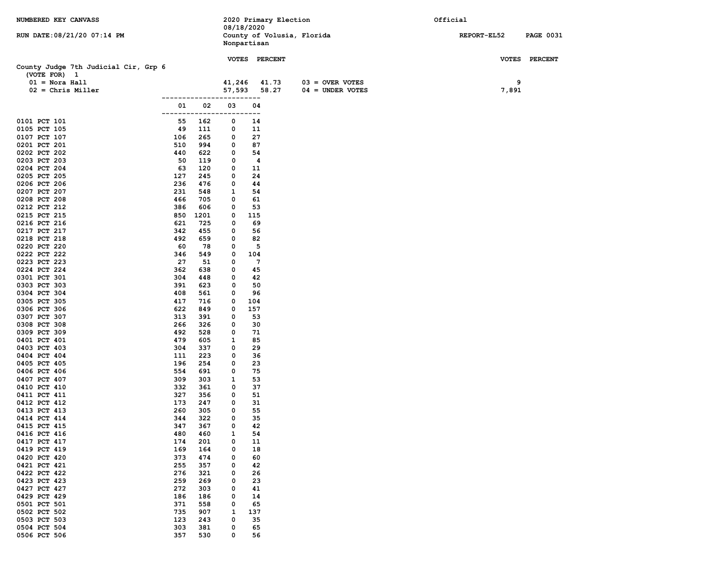| NUMBERED KEY CANVASS                                 |            |             |             |           | 2020 Primary Election      |                    | Official |             |                  |
|------------------------------------------------------|------------|-------------|-------------|-----------|----------------------------|--------------------|----------|-------------|------------------|
|                                                      |            |             | 08/18/2020  |           |                            |                    |          |             |                  |
| RUN DATE: 08/21/20 07:14 PM                          |            |             | Nonpartisan |           | County of Volusia, Florida |                    |          | REPORT-EL52 | <b>PAGE 0031</b> |
|                                                      |            |             |             |           |                            |                    |          |             |                  |
|                                                      |            |             |             |           | VOTES PERCENT              |                    |          |             | VOTES PERCENT    |
| County Judge 7th Judicial Cir, Grp 6<br>(VOTE FOR) 1 |            |             |             |           |                            |                    |          |             |                  |
| $01 =$ Nora Hall                                     |            |             | 41,246      |           | 41.73                      | $03 =$ OVER VOTES  |          | 9           |                  |
| $02 =$ Chris Miller                                  |            |             | 57,593      |           | 58.27                      | $04 =$ UNDER VOTES |          | 7,891       |                  |
|                                                      |            | ----------- |             | $---$     |                            |                    |          |             |                  |
|                                                      | 01         | 02          | 03          | 04        |                            |                    |          |             |                  |
|                                                      | ------     |             | .           | .         |                            |                    |          |             |                  |
| 0101 PCT 101                                         | 55         | 162         | 0           | 14        |                            |                    |          |             |                  |
| 0105 PCT 105                                         | 49         | 111         | 0           | 11        |                            |                    |          |             |                  |
| 0107 PCT 107                                         | 106        | 265         | 0           | 27        |                            |                    |          |             |                  |
| 0201 PCT 201                                         | 510        | 994         | 0           | 87        |                            |                    |          |             |                  |
| 0202 PCT 202                                         | 440        | 622         | 0           | 54        |                            |                    |          |             |                  |
| 0203 PCT 203<br>0204 PCT 204                         | 50<br>63   | 119<br>120  | 0<br>0      | 4<br>11   |                            |                    |          |             |                  |
| 0205 PCT 205                                         | 127        | 245         | 0           | 24        |                            |                    |          |             |                  |
| 0206 PCT 206                                         | 236        | 476         | 0           | 44        |                            |                    |          |             |                  |
| 0207 PCT 207                                         | 231        | 548         | 1           | 54        |                            |                    |          |             |                  |
| 0208 PCT 208                                         | 466        | 705         | 0           | 61        |                            |                    |          |             |                  |
| 0212 PCT 212                                         | 386        | 606         | 0           | 53        |                            |                    |          |             |                  |
| 0215 PCT 215                                         | 850        | 1201        | 0           | 115       |                            |                    |          |             |                  |
| 0216 PCT 216                                         | 621        | 725         | 0           | 69        |                            |                    |          |             |                  |
| 0217 PCT 217                                         | 342        | 455         | 0           | 56        |                            |                    |          |             |                  |
| 0218 PCT 218                                         | 492        | 659         | 0           | 82        |                            |                    |          |             |                  |
| 0220 PCT 220                                         | 60         | 78          | 0           | 5         |                            |                    |          |             |                  |
| 0222 PCT 222                                         | 346        | 549         | 0           | 104       |                            |                    |          |             |                  |
| 0223 PCT 223                                         | 27         | 51          | 0           | 7         |                            |                    |          |             |                  |
| 0224 PCT 224                                         | 362        | 638         | 0           | 45        |                            |                    |          |             |                  |
| 0301 PCT 301                                         | 304        | 448         | 0           | 42        |                            |                    |          |             |                  |
| 0303 PCT 303                                         | 391        | 623         | 0           | 50        |                            |                    |          |             |                  |
| 0304 PCT 304                                         | 408        | 561         | 0           | 96        |                            |                    |          |             |                  |
| 0305 PCT 305                                         | 417        | 716         | 0           | 104       |                            |                    |          |             |                  |
| 0306 PCT 306<br>0307 PCT 307                         | 622<br>313 | 849<br>391  | 0<br>0      | 157<br>53 |                            |                    |          |             |                  |
| 0308 PCT 308                                         | 266        | 326         | 0           | 30        |                            |                    |          |             |                  |
| 0309 PCT 309                                         | 492        | 528         | 0           | 71        |                            |                    |          |             |                  |
| 0401 PCT 401                                         | 479        | 605         | 1           | 85        |                            |                    |          |             |                  |
| 0403 PCT 403                                         | 304        | 337         | 0           | 29        |                            |                    |          |             |                  |
| 0404 PCT 404                                         | 111        | 223         | 0           | 36        |                            |                    |          |             |                  |
| 0405 PCT 405                                         | 196        | 254         | 0           | 23        |                            |                    |          |             |                  |
| 0406 PCT 406                                         | 554        | 691         | 0           | 75        |                            |                    |          |             |                  |
| 0407 PCT 407                                         | 309        | 303         | 1           | 53        |                            |                    |          |             |                  |
| 0410 PCT 410                                         | 332        | 361         | 0           | 37        |                            |                    |          |             |                  |
| 0411 PCT 411                                         | 327        | 356         | 0           | 51        |                            |                    |          |             |                  |
| 0412 PCT 412                                         | 173        | 247         | 0           | 31        |                            |                    |          |             |                  |
| 0413 PCT 413                                         | 260        | 305         | 0           | 55        |                            |                    |          |             |                  |
| 0414 PCT 414                                         | 344        | 322         | 0           | 35        |                            |                    |          |             |                  |
| 0415 PCT 415                                         | 347        | 367         | 0           | 42        |                            |                    |          |             |                  |
| 0416 PCT 416                                         | 480        | 460         | 1           | 54        |                            |                    |          |             |                  |
| 0417 PCT 417<br>0419 PCT 419                         | 174<br>169 | 201         | 0<br>0      | 11<br>18  |                            |                    |          |             |                  |
| 0420 PCT 420                                         | 373        | 164<br>474  | 0           | 60        |                            |                    |          |             |                  |
| 0421 PCT 421                                         | 255        | 357         | 0           | 42        |                            |                    |          |             |                  |
| 0422 PCT 422                                         | 276        | 321         | 0           | 26        |                            |                    |          |             |                  |
| 0423 PCT 423                                         | 259        | 269         | 0           | 23        |                            |                    |          |             |                  |
| 0427 PCT 427                                         | 272        | 303         | 0           | 41        |                            |                    |          |             |                  |
| 0429 PCT 429                                         | 186        | 186         | 0           | 14        |                            |                    |          |             |                  |
| 0501 PCT 501                                         | 371        | 558         | 0           | 65        |                            |                    |          |             |                  |
| 0502 PCT 502                                         | 735        | 907         | 1           | 137       |                            |                    |          |             |                  |
| 0503 PCT 503                                         | 123        | 243         | 0           | 35        |                            |                    |          |             |                  |
| 0504 PCT 504                                         | 303        | 381         | 0           | 65        |                            |                    |          |             |                  |
| 0506 PCT 506                                         | 357        | 530         | 0           | 56        |                            |                    |          |             |                  |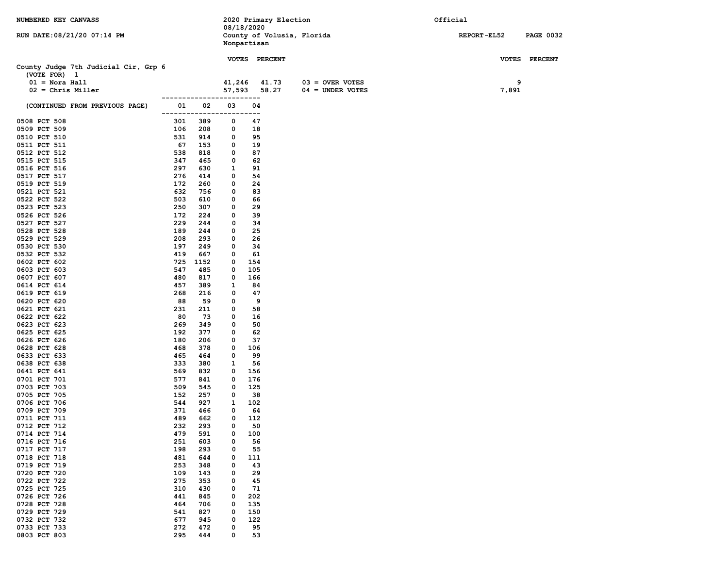| NUMBERED KEY CANVASS                                 |              |                             |              | 08/18/2020    | 2020 Primary Election |                            | Official           |                  |
|------------------------------------------------------|--------------|-----------------------------|--------------|---------------|-----------------------|----------------------------|--------------------|------------------|
| RUN DATE: 08/21/20 07:14 PM                          |              |                             |              | Nonpartisan   |                       | County of Volusia, Florida | <b>REPORT-EL52</b> | <b>PAGE 0032</b> |
|                                                      |              |                             |              | VOTES PERCENT |                       |                            |                    | VOTES PERCENT    |
| County Judge 7th Judicial Cir, Grp 6<br>(VOTE FOR) 1 |              |                             |              |               |                       |                            |                    |                  |
| $01 =$ Nora Hall                                     |              |                             | 41,246       |               | 41.73                 | $03 =$ OVER VOTES          | 9                  |                  |
| $02 =$ Chris Miller                                  |              |                             | 57,593       |               | 58.27                 | $04 =$ UNDER VOTES         | 7,891              |                  |
| (CONTINUED FROM PREVIOUS PAGE)                       | 01<br>------ | ---------------------<br>02 | 03           | 04<br>---     |                       |                            |                    |                  |
| 0508 PCT 508                                         | 301          | 389                         | 0            | 47            |                       |                            |                    |                  |
| 0509 PCT 509                                         | 106          | 208                         | 0            | 18            |                       |                            |                    |                  |
| 0510 PCT 510                                         | 531          | 914                         | 0            | 95            |                       |                            |                    |                  |
| 0511 PCT 511                                         | 67           | 153                         | 0            | 19            |                       |                            |                    |                  |
| 0512 PCT 512                                         | 538          | 818                         | 0            | 87            |                       |                            |                    |                  |
| 0515 PCT 515                                         | 347          | 465                         | 0            | 62            |                       |                            |                    |                  |
| 0516 PCT 516<br>0517 PCT 517                         | 297<br>276   | 630<br>414                  | 1<br>0       | 91<br>54      |                       |                            |                    |                  |
| 0519 PCT 519                                         | 172          | 260                         | 0            | 24            |                       |                            |                    |                  |
| 0521 PCT 521                                         | 632          | 756                         | 0            | 83            |                       |                            |                    |                  |
| 0522 PCT 522                                         | 503          | 610                         | 0            | 66            |                       |                            |                    |                  |
| 0523 PCT 523                                         | 250          | 307                         | 0            | 29            |                       |                            |                    |                  |
| 0526 PCT 526                                         | 172          | 224                         | 0            | 39            |                       |                            |                    |                  |
| 0527 PCT 527                                         | 229          | 244                         | 0            | 34            |                       |                            |                    |                  |
| 0528 PCT 528                                         | 189          | 244                         | 0            | 25            |                       |                            |                    |                  |
| 0529 PCT 529                                         | 208          | 293                         | 0            | 26            |                       |                            |                    |                  |
| 0530 PCT 530                                         | 197          | 249                         | 0            | 34            |                       |                            |                    |                  |
| 0532 PCT 532                                         | 419          | 667                         | 0            | 61            |                       |                            |                    |                  |
| 0602 PCT 602<br>0603 PCT 603                         | 725          | 1152                        | 0            | 154           |                       |                            |                    |                  |
| 0607 PCT 607                                         | 547<br>480   | 485<br>817                  | 0<br>0       | 105<br>166    |                       |                            |                    |                  |
| 0614 PCT 614                                         | 457          | 389                         | 1            | 84            |                       |                            |                    |                  |
| 0619 PCT 619                                         | 268          | 216                         | 0            | 47            |                       |                            |                    |                  |
| 0620 PCT 620                                         | 88           | 59                          | 0            | 9             |                       |                            |                    |                  |
| 0621 PCT 621                                         | 231          | 211                         | 0            | 58            |                       |                            |                    |                  |
| 0622 PCT 622                                         | 80           | 73                          | 0            | 16            |                       |                            |                    |                  |
| 0623 PCT 623                                         | 269          | 349                         | 0            | 50            |                       |                            |                    |                  |
| 0625 PCT 625                                         | 192          | 377                         | 0            | 62            |                       |                            |                    |                  |
| 0626 PCT 626<br>0628 PCT 628                         | 180<br>468   | 206<br>378                  | 0<br>0       | 37<br>106     |                       |                            |                    |                  |
| 0633 PCT 633                                         | 465          | 464                         | 0            | 99            |                       |                            |                    |                  |
| 0638 PCT 638                                         | 333          | 380                         | 1            | 56            |                       |                            |                    |                  |
| 0641 PCT 641                                         | 569          | 832                         | 0            | 156           |                       |                            |                    |                  |
| 0701 PCT 701                                         | 577          | 841                         | 0            | 176           |                       |                            |                    |                  |
| 0703 PCT 703                                         | 509          | 545                         | $\mathbf{o}$ | 125           |                       |                            |                    |                  |
| 0705 PCT 705                                         | 152          | 257                         | 0            | 38            |                       |                            |                    |                  |
| 0706 PCT 706                                         | 544          | 927                         | 1            | 102           |                       |                            |                    |                  |
| 0709 PCT 709                                         | 371          | 466                         | 0            | 64            |                       |                            |                    |                  |
| 0711 PCT 711<br>0712 PCT 712                         | 489<br>232   | 662<br>293                  | 0<br>0       | 112<br>50     |                       |                            |                    |                  |
| 0714 PCT 714                                         | 479          | 591                         | 0            | 100           |                       |                            |                    |                  |
| 0716 PCT 716                                         | 251          | 603                         | 0            | 56            |                       |                            |                    |                  |
| 0717 PCT 717                                         | 198          | 293                         | 0            | 55            |                       |                            |                    |                  |
| 0718 PCT 718                                         | 481          | 644                         | 0            | 111           |                       |                            |                    |                  |
| 0719 PCT 719                                         | 253          | 348                         | 0            | 43            |                       |                            |                    |                  |
| 0720 PCT 720                                         | 109          | 143                         | 0            | 29            |                       |                            |                    |                  |
| 0722 PCT 722                                         | 275          | 353                         | 0            | 45            |                       |                            |                    |                  |
| 0725 PCT 725                                         | 310          | 430                         | 0            | 71            |                       |                            |                    |                  |
| 0726 PCT 726<br>0728 PCT 728                         | 441<br>464   | 845<br>706                  | 0<br>0       | 202<br>135    |                       |                            |                    |                  |
| 0729 PCT 729                                         | 541          | 827                         | 0            | 150           |                       |                            |                    |                  |
| 0732 PCT 732                                         | 677          | 945                         | 0            | 122           |                       |                            |                    |                  |
| 0733 PCT 733                                         | 272          | 472                         | 0            | 95            |                       |                            |                    |                  |
| 0803 PCT 803                                         | 295          | 444                         | 0            | 53            |                       |                            |                    |                  |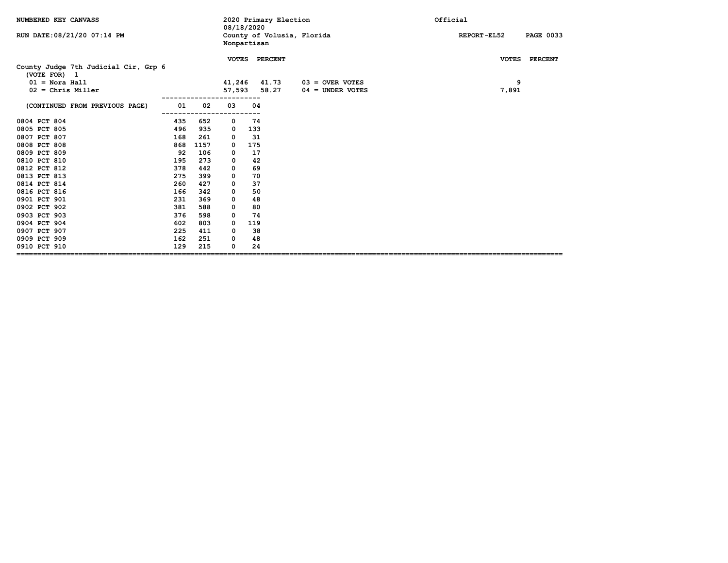| NUMBERED KEY CANVASS                                                     |     |      | 2020 Primary Election<br>08/18/2020 |     |                            |                    | Official                        |
|--------------------------------------------------------------------------|-----|------|-------------------------------------|-----|----------------------------|--------------------|---------------------------------|
| RUN DATE: 08/21/20 07:14 PM                                              |     |      | Nonpartisan                         |     | County of Volusia, Florida |                    | REPORT-EL52<br><b>PAGE 0033</b> |
| County Judge 7th Judicial Cir, Grp 6<br>(VOTE FOR) 1<br>$01 =$ Nora Hall |     |      | 41,246                              |     | VOTES PERCENT<br>41.73     | $03 =$ OVER VOTES  | VOTES PERCENT<br>9              |
| $02$ = Chris Miller                                                      |     |      | 57,593                              |     | 58.27                      | $04 =$ UNDER VOTES | 7,891                           |
| (CONTINUED FROM PREVIOUS PAGE)                                           | 01  | 02   | 03                                  | 04  |                            |                    |                                 |
| 0804 PCT 804                                                             | 435 | 652  | 0                                   | 74  |                            |                    |                                 |
| 0805 PCT 805                                                             | 496 | 935  | 0                                   | 133 |                            |                    |                                 |
| 0807 PCT 807                                                             | 168 | 261  | 0                                   | 31  |                            |                    |                                 |
| 0808 PCT 808                                                             | 868 | 1157 | 0                                   | 175 |                            |                    |                                 |
| 0809 PCT 809                                                             | 92  | 106  | 0                                   | 17  |                            |                    |                                 |
| 0810 PCT 810                                                             | 195 | 273  | $\Omega$                            | 42  |                            |                    |                                 |
| 0812 PCT 812                                                             | 378 | 442  | 0                                   | 69  |                            |                    |                                 |
| 0813 PCT 813                                                             | 275 | 399  | 0                                   | 70  |                            |                    |                                 |
| 0814 PCT 814                                                             | 260 | 427  | 0                                   | 37  |                            |                    |                                 |
| 0816 PCT 816                                                             | 166 | 342  | 0                                   | 50  |                            |                    |                                 |
| 0901 PCT 901                                                             | 231 | 369  | 0                                   | 48  |                            |                    |                                 |
| 0902 PCT 902                                                             | 381 | 588  | 0                                   | 80  |                            |                    |                                 |
| 0903 PCT 903                                                             | 376 | 598  | 0                                   | 74  |                            |                    |                                 |
| 0904 PCT 904                                                             | 602 | 803  | 0                                   | 119 |                            |                    |                                 |
| 0907 PCT 907                                                             | 225 | 411  | 0                                   | 38  |                            |                    |                                 |
| 0909 PCT 909                                                             | 162 | 251  | 0                                   | 48  |                            |                    |                                 |
| 0910 PCT 910                                                             | 129 | 215  | 0                                   | 24  |                            |                    |                                 |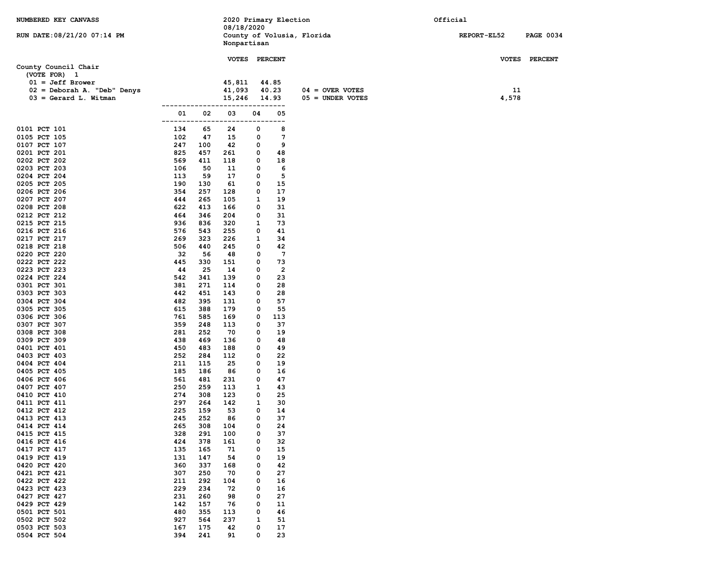| NUMBERED KEY CANVASS                 |                             | 08/18/2020  | 2020 Primary Election                   |                    | Official    |                  |
|--------------------------------------|-----------------------------|-------------|-----------------------------------------|--------------------|-------------|------------------|
| RUN DATE: 08/21/20 07:14 PM          |                             |             | County of Volusia, Florida              |                    | REPORT-EL52 | <b>PAGE 0034</b> |
|                                      |                             | Nonpartisan |                                         |                    |             |                  |
|                                      |                             |             |                                         |                    |             |                  |
|                                      |                             |             | VOTES PERCENT                           |                    |             | VOTES PERCENT    |
| County Council Chair<br>(VOTE FOR) 1 |                             |             |                                         |                    |             |                  |
| $01 = Jeff Brower$                   |                             | 45,811      | 44.85                                   |                    |             |                  |
| 02 = Deborah A. "Deb" Denys          |                             | 41,093      | 40.23                                   | $04 =$ OVER VOTES  | 11          |                  |
| $03 =$ Gerard L. Witman              |                             | 15,246      | 14.93                                   | $05 =$ UNDER VOTES | 4,578       |                  |
|                                      |                             |             | $---$                                   |                    |             |                  |
|                                      | 02<br>01<br>-------<br>---- | 03<br>----  | 04<br>05<br>.                           |                    |             |                  |
| 0101 PCT 101                         | 134<br>65                   | 24          | 8<br>0                                  |                    |             |                  |
| 0105 PCT 105                         | 102<br>47                   | 15          | 7<br>0                                  |                    |             |                  |
| 0107 PCT 107                         | 247<br>100                  | 42          | 9<br>0                                  |                    |             |                  |
| 0201 PCT 201<br>0202 PCT 202         | 825<br>457<br>569<br>411    | 261<br>118  | 0<br>48<br>0<br>18                      |                    |             |                  |
| 0203 PCT 203                         | 106<br>50                   | 11          | 0<br>6                                  |                    |             |                  |
| 0204 PCT 204                         | 113<br>59                   | 17          | 5<br>0                                  |                    |             |                  |
| 0205 PCT 205                         | 190<br>130                  | 61          | 15<br>0                                 |                    |             |                  |
| 0206 PCT 206                         | 354<br>257                  | 128         | 17<br>0                                 |                    |             |                  |
| 0207 PCT 207                         | 444<br>265                  | 105         | 1<br>19                                 |                    |             |                  |
| 0208 PCT 208                         | 622<br>413                  | 166         | 31<br>0                                 |                    |             |                  |
| 0212 PCT 212<br>0215 PCT 215         | 464<br>346<br>936<br>836    | 204<br>320  | 31<br>0<br>1<br>73                      |                    |             |                  |
| 0216 PCT 216                         | 576<br>543                  | 255         | 0<br>41                                 |                    |             |                  |
| 0217 PCT 217                         | 269<br>323                  | 226         | 1<br>34                                 |                    |             |                  |
| 0218 PCT 218                         | 506<br>440                  | 245         | 0<br>42                                 |                    |             |                  |
| 0220 PCT 220                         | 32<br>56                    | 48          | $7\phantom{.0}$<br>0                    |                    |             |                  |
| 0222 PCT 222                         | 445<br>330                  | 151         | 73<br>0                                 |                    |             |                  |
| 0223 PCT 223<br>0224 PCT 224         | 44<br>25<br>542             | 14<br>139   | $\overline{\mathbf{2}}$<br>0<br>23<br>0 |                    |             |                  |
| 0301 PCT 301                         | 341<br>381<br>271           | 114         | 0<br>28                                 |                    |             |                  |
| 0303 PCT 303                         | 442<br>451                  | 143         | 0<br>28                                 |                    |             |                  |
| 0304 PCT 304                         | 482<br>395                  | 131         | 57<br>0                                 |                    |             |                  |
| 0305 PCT 305                         | 615<br>388                  | 179         | 55<br>0                                 |                    |             |                  |
| 0306 PCT 306                         | 761<br>585                  | 169         | 0<br>113                                |                    |             |                  |
| 0307 PCT 307                         | 359<br>248                  | 113         | 37<br>0                                 |                    |             |                  |
| 0308 PCT 308<br>0309 PCT 309         | 281<br>252<br>438<br>469    | 70<br>136   | 0<br>19<br>48<br>0                      |                    |             |                  |
| 0401 PCT 401                         | 450<br>483                  | 188         | 49<br>0                                 |                    |             |                  |
| 0403 PCT 403                         | 252<br>284                  | 112         | 22<br>0                                 |                    |             |                  |
| 0404 PCT 404                         | 211<br>115                  | 25          | 0<br>19                                 |                    |             |                  |
| 0405 PCT 405                         | 185<br>186                  | 86          | 16<br>0                                 |                    |             |                  |
| 0406 PCT 406                         | 561<br>481                  | 231         | 0<br>47                                 |                    |             |                  |
| 0407 PCT 407<br>0410 PCT 410         | 250<br>259<br>274<br>308    | 113<br>123  | 1<br>43<br>25<br>0                      |                    |             |                  |
| 0411 PCT 411                         | 297<br>264                  | 142         | 1<br>30                                 |                    |             |                  |
| 0412 PCT 412                         | 225<br>159                  | 53          | 0<br>14                                 |                    |             |                  |
| 0413 PCT 413                         | 245<br>252                  | 86          | 0<br>37                                 |                    |             |                  |
| 0414 PCT 414                         | 265<br>308                  | 104         | 0<br>24                                 |                    |             |                  |
| 0415 PCT 415                         | 328<br>291                  | 100         | 37<br>0                                 |                    |             |                  |
| 0416 PCT 416                         | 424<br>378                  | 161         | 0<br>32                                 |                    |             |                  |
| 0417 PCT 417<br>0419 PCT 419         | 135<br>165<br>131<br>147    | 71<br>54    | 15<br>0<br>0<br>19                      |                    |             |                  |
| 0420 PCT 420                         | 360<br>337                  | 168         | 0<br>42                                 |                    |             |                  |
| 0421 PCT 421                         | 250<br>307                  | 70          | 0<br>27                                 |                    |             |                  |
| 0422 PCT 422                         | 211<br>292                  | 104         | 0<br>16                                 |                    |             |                  |
| 0423 PCT 423                         | 229<br>234                  | 72          | 16<br>0                                 |                    |             |                  |
| 0427 PCT 427                         | 231<br>260                  | 98          | 0<br>27                                 |                    |             |                  |
| 0429 PCT 429<br>0501 PCT 501         | 142<br>157<br>480<br>355    | 76<br>113   | 0<br>11<br>0<br>46                      |                    |             |                  |
| 0502 PCT 502                         | 927<br>564                  | 237         | 1<br>51                                 |                    |             |                  |
| 0503 PCT 503                         | 167<br>175                  | 42          | 0<br>17                                 |                    |             |                  |
| 0504 PCT 504                         | 394<br>241                  | 91          | 23<br>0                                 |                    |             |                  |
|                                      |                             |             |                                         |                    |             |                  |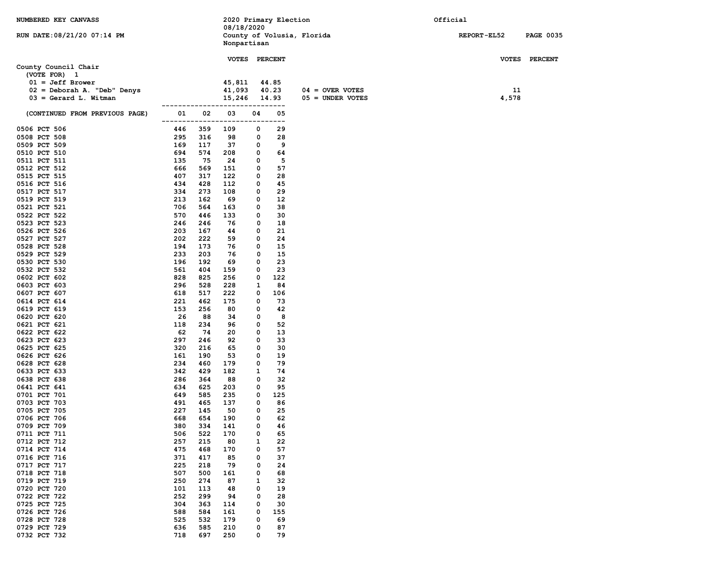| NUMBERED KEY CANVASS           |                           | 08/18/2020   | 2020 Primary Election    |                            | Official           |                  |
|--------------------------------|---------------------------|--------------|--------------------------|----------------------------|--------------------|------------------|
| RUN DATE: 08/21/20 07:14 PM    |                           | Nonpartisan  |                          | County of Volusia, Florida | <b>REPORT-EL52</b> | <b>PAGE 0035</b> |
|                                |                           |              |                          |                            |                    |                  |
| County Council Chair           |                           |              | VOTES PERCENT            |                            |                    | VOTES PERCENT    |
| (VOTE FOR) 1                   |                           |              |                          |                            |                    |                  |
| $01 = Jeff Brower$             |                           | 45,811       | 44.85                    |                            |                    |                  |
| 02 = Deborah A. "Deb" Denys    |                           | 41,093       | 40.23                    | $04 =$ OVER VOTES          | 11                 |                  |
| $03 =$ Gerard L. Witman        |                           | 15,246       | 14.93<br>----            | $05 =$ UNDER VOTES         | 4,578              |                  |
| (CONTINUED FROM PREVIOUS PAGE) | 02<br>01<br>------------- | 03<br>------ | 04<br>05<br>---<br>----- |                            |                    |                  |
| 0506 PCT 506                   | 446<br>359                | 109          | 29<br>0                  |                            |                    |                  |
| 0508 PCT 508                   | 295<br>316                | 98           | 0<br>28                  |                            |                    |                  |
| 0509 PCT 509                   | 169<br>117                | 37           | 9<br>0                   |                            |                    |                  |
| 0510 PCT 510                   | 694<br>574                | 208          | 0<br>64                  |                            |                    |                  |
| 0511 PCT 511                   | 135<br>75                 | 24           | 5<br>0                   |                            |                    |                  |
| 0512 PCT 512<br>0515 PCT 515   | 666<br>569<br>407<br>317  | 151<br>122   | 57<br>0<br>0<br>28       |                            |                    |                  |
| 0516 PCT 516                   | 434<br>428                | 112          | 45<br>0                  |                            |                    |                  |
| 0517 PCT 517                   | 334<br>273                | 108          | 29<br>0                  |                            |                    |                  |
| 0519 PCT 519                   | 213<br>162                | 69           | 0<br>12                  |                            |                    |                  |
| 0521 PCT 521                   | 706<br>564                | 163          | 38<br>0                  |                            |                    |                  |
| 0522 PCT 522                   | 570<br>446                | 133          | 0<br>30                  |                            |                    |                  |
| 0523 PCT 523                   | 246<br>246                | 76           | 0<br>18                  |                            |                    |                  |
| 0526 PCT 526                   | 203<br>167                | 44           | 0<br>21                  |                            |                    |                  |
| 0527 PCT 527<br>0528 PCT 528   | 202<br>222<br>194<br>173  | 59<br>76     | 0<br>24<br>0<br>15       |                            |                    |                  |
| 0529 PCT 529                   | 233<br>203                | 76           | 15<br>0                  |                            |                    |                  |
| 0530 PCT 530                   | 196<br>192                | 69           | 23<br>0                  |                            |                    |                  |
| 0532 PCT 532                   | 561<br>404                | 159          | 23<br>0                  |                            |                    |                  |
| 0602 PCT 602                   | 828<br>825                | 256          | 122<br>0                 |                            |                    |                  |
| 0603 PCT 603                   | 296<br>528                | 228          | 1<br>84                  |                            |                    |                  |
| 0607 PCT 607                   | 618<br>517                | 222          | 0<br>106                 |                            |                    |                  |
| 0614 PCT 614                   | 221<br>462                | 175          | 0<br>73                  |                            |                    |                  |
| 0619 PCT 619                   | 153<br>256                | 80           | 0<br>42<br>0             |                            |                    |                  |
| 0620 PCT 620<br>0621 PCT 621   | 26<br>88<br>118<br>234    | 34<br>96     | 8<br>52<br>0             |                            |                    |                  |
| 0622 PCT 622                   | 62<br>74                  | 20           | 0<br>13                  |                            |                    |                  |
| 0623 PCT 623                   | 297<br>246                | 92           | 33<br>0                  |                            |                    |                  |
| 0625 PCT 625                   | 320<br>216                | 65           | 30<br>0                  |                            |                    |                  |
| 0626 PCT 626                   | 161<br>190                | 53           | 19<br>0                  |                            |                    |                  |
| 0628 PCT 628                   | 234<br>460                | 179          | 0<br>79                  |                            |                    |                  |
| 0633 PCT 633                   | 342<br>429                | 182          | 1<br>74                  |                            |                    |                  |
| 0638 PCT 638                   | 286<br>364<br>634<br>625  | 88           | 32<br>0<br>95<br>0       |                            |                    |                  |
| 0641 PCT 641<br>0701 PCT 701   | 649<br>585                | 203<br>235   | 125<br>0                 |                            |                    |                  |
| 0703 PCT 703                   | 491<br>465                | 137          | 0<br>86                  |                            |                    |                  |
| 0705 PCT 705                   | 227<br>145                | 50           | 0<br>25                  |                            |                    |                  |
| 0706 PCT 706                   | 668<br>654                | 190          | 62<br>0                  |                            |                    |                  |
| 0709 PCT 709                   | 380<br>334                | 141          | 0<br>46                  |                            |                    |                  |
| 0711 PCT 711                   | 506<br>522                | 170          | 0<br>65                  |                            |                    |                  |
| 0712 PCT 712                   | 257<br>215                | 80           | 22<br>1                  |                            |                    |                  |
| 0714 PCT 714<br>0716 PCT 716   | 475<br>468<br>371<br>417  | 170<br>85    | 57<br>0<br>37<br>0       |                            |                    |                  |
| 0717 PCT 717                   | 225<br>218                | 79           | 24<br>0                  |                            |                    |                  |
| 0718 PCT 718                   | 507<br>500                | 161          | 0<br>68                  |                            |                    |                  |
| 0719 PCT 719                   | 250<br>274                | 87           | 32<br>1                  |                            |                    |                  |
| 0720 PCT 720                   | 101<br>113                | 48           | 19<br>0                  |                            |                    |                  |
| 0722 PCT 722                   | 252<br>299                | 94           | 28<br>0                  |                            |                    |                  |
| 0725 PCT 725                   | 304<br>363                | 114          | 0<br>30                  |                            |                    |                  |
| 0726 PCT 726                   | 588<br>584                | 161          | 0<br>155                 |                            |                    |                  |
| 0728 PCT 728                   | 525<br>532                | 179          | 0<br>69                  |                            |                    |                  |
| 0729 PCT 729<br>0732 PCT 732   | 636<br>585<br>718<br>697  | 210<br>250   | 0<br>87<br>0<br>79       |                            |                    |                  |
|                                |                           |              |                          |                            |                    |                  |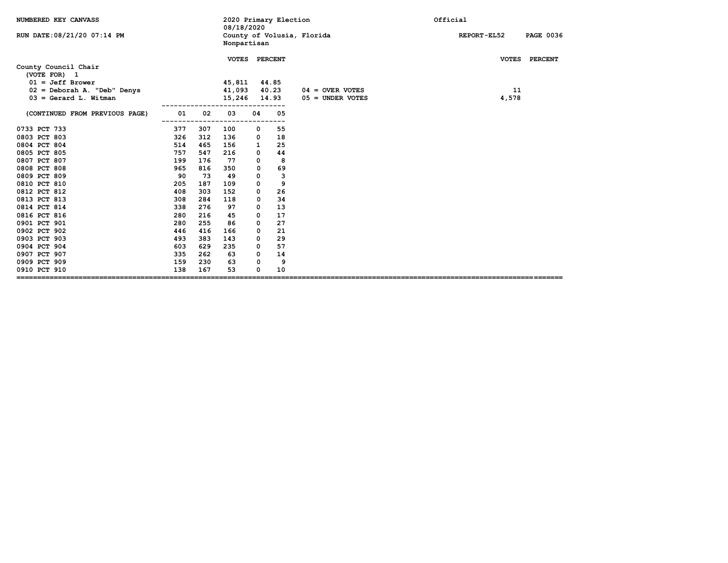| NUMBERED KEY CANVASS                                                                      |                   |     | 08/18/2020                       |          | 2020 Primary Election     |                            | Official                        |
|-------------------------------------------------------------------------------------------|-------------------|-----|----------------------------------|----------|---------------------------|----------------------------|---------------------------------|
| RUN DATE: 08/21/20 07:14 PM                                                               |                   |     | Nonpartisan                      |          |                           | County of Volusia, Florida | REPORT-EL52<br><b>PAGE 0036</b> |
| County Council Chair<br>(VOTE FOR) 1<br>$01 = Jeff Brower$<br>02 = Deborah A. "Deb" Denys |                   |     | <b>VOTES</b><br>45,811<br>41,093 |          | PERCENT<br>44.85<br>40.23 | $04 =$ OVER VOTES          | VOTES PERCENT<br>11             |
| $03 =$ Gerard L. Witman                                                                   |                   |     | 15,246                           |          | 14.93                     | $05 =$ UNDER VOTES         | 4,578                           |
| (CONTINUED FROM PREVIOUS PAGE)                                                            | 01                | 02  | 03                               | 04       | 05                        |                            |                                 |
| 0733 PCT 733                                                                              | 377               | 307 | 100                              | 0        | 55                        |                            |                                 |
| 0803 PCT 803                                                                              | 326               | 312 | 136                              | 0        | 18                        |                            |                                 |
| 0804 PCT 804                                                                              | 514               | 465 | 156                              | 1        | 25                        |                            |                                 |
| 0805 PCT 805                                                                              | 757               | 547 | 216                              | 0        | 44                        |                            |                                 |
| 0807 PCT 807                                                                              | 199               | 176 | 77                               | 0        | 8                         |                            |                                 |
| 0808 PCT 808                                                                              | 965               | 816 | 350                              | 0        | 69                        |                            |                                 |
| 0809 PCT 809                                                                              | 90                | 73  | 49                               | 0        | 3                         |                            |                                 |
| 0810 PCT 810                                                                              | 205               | 187 | 109                              | 0        | 9                         |                            |                                 |
| 0812 PCT 812                                                                              | 408               | 303 | 152                              | 0        | 26                        |                            |                                 |
| 0813 PCT 813                                                                              | 308               | 284 | 118                              | 0        | 34                        |                            |                                 |
| 0814 PCT 814                                                                              | 338               | 276 | 97                               | 0        | 13                        |                            |                                 |
| 0816 PCT 816                                                                              | 280               | 216 | 45                               | 0        | 17                        |                            |                                 |
| 0901 PCT 901                                                                              | 280               | 255 | 86                               | 0        | 27                        |                            |                                 |
| 0902 PCT 902                                                                              | 446               | 416 | 166                              | 0        | 21                        |                            |                                 |
| 0903 PCT 903                                                                              | 493               | 383 | 143                              | 0        | 29                        |                            |                                 |
| 0904 PCT 904                                                                              | 603               | 629 | 235                              | 0        | 57                        |                            |                                 |
| 0907 PCT 907                                                                              | 335               | 262 | 63                               | 0        | 14                        |                            |                                 |
| 0909 PCT 909                                                                              | 159               | 230 | 63                               | $\Omega$ | 9                         |                            |                                 |
| 0910 PCT 910<br>==============================                                            | 138<br>========== | 167 | 53                               | 0        | 10                        |                            |                                 |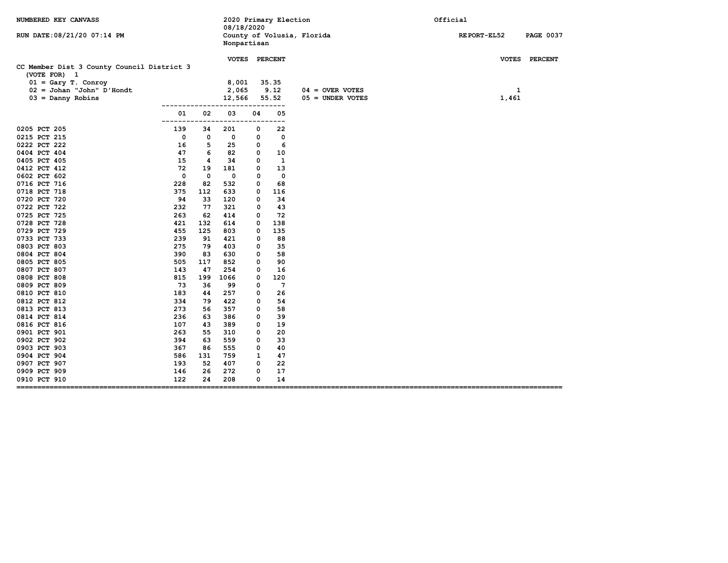| NUMBERED KEY CANVASS                                                                                                                                                                                                                                                                                                                                                                                                                                         |                                                                                                                                                                                                            |                                                                                                                                                                                | 2020 Primary Election<br>08/18/2020                                                                                                                                                       |                                                                                                                                          |                                                                                                                                                                                                              | Official                                |  |                    |                  |
|--------------------------------------------------------------------------------------------------------------------------------------------------------------------------------------------------------------------------------------------------------------------------------------------------------------------------------------------------------------------------------------------------------------------------------------------------------------|------------------------------------------------------------------------------------------------------------------------------------------------------------------------------------------------------------|--------------------------------------------------------------------------------------------------------------------------------------------------------------------------------|-------------------------------------------------------------------------------------------------------------------------------------------------------------------------------------------|------------------------------------------------------------------------------------------------------------------------------------------|--------------------------------------------------------------------------------------------------------------------------------------------------------------------------------------------------------------|-----------------------------------------|--|--------------------|------------------|
| RUN DATE: 08/21/20 07:14 PM                                                                                                                                                                                                                                                                                                                                                                                                                                  |                                                                                                                                                                                                            |                                                                                                                                                                                | Nonpartisan                                                                                                                                                                               |                                                                                                                                          | County of Volusia, Florida                                                                                                                                                                                   |                                         |  | <b>REPORT-EL52</b> | <b>PAGE 0037</b> |
|                                                                                                                                                                                                                                                                                                                                                                                                                                                              |                                                                                                                                                                                                            |                                                                                                                                                                                |                                                                                                                                                                                           |                                                                                                                                          | VOTES PERCENT                                                                                                                                                                                                |                                         |  |                    | VOTES PERCENT    |
| CC Member Dist 3 County Council District 3<br>(VOTE FOR) 1<br>$01 = Gary T. Conroy$<br>$02 =$ Johan "John" D'Hondt<br>$03 =$ Danny Robins                                                                                                                                                                                                                                                                                                                    |                                                                                                                                                                                                            |                                                                                                                                                                                | 8,001<br>2,065<br>12,566                                                                                                                                                                  |                                                                                                                                          | 35.35<br>9.12<br>55.52                                                                                                                                                                                       | $04 =$ OVER VOTES<br>$05 =$ UNDER VOTES |  | 1<br>1,461         |                  |
|                                                                                                                                                                                                                                                                                                                                                                                                                                                              | ------------<br>01                                                                                                                                                                                         | 02                                                                                                                                                                             | 03                                                                                                                                                                                        | 04                                                                                                                                       | ---<br>05                                                                                                                                                                                                    |                                         |  |                    |                  |
| 0205 PCT 205<br>0215 PCT 215<br>0222 PCT 222<br>0404 PCT 404<br>0405 PCT 405<br>0412 PCT 412<br>0602 PCT 602<br>0716 PCT 716<br>0718 PCT 718<br>0720 PCT 720<br>0722 PCT 722<br>0725 PCT 725<br>0728 PCT 728<br>0729 PCT 729<br>0733 PCT 733<br>0803 PCT 803<br>0804 PCT 804<br>0805 PCT 805<br>0807 PCT 807<br>0808 PCT 808<br>0809 PCT 809<br>0810 PCT 810<br>0812 PCT 812<br>0813 PCT 813<br>0814 PCT 814<br>0816 PCT 816<br>0901 PCT 901<br>0902 PCT 902 | ------<br>139<br>$\mathbf 0$<br>16<br>47<br>15<br>72<br>0<br>228<br>375<br>94<br>232<br>263<br>421<br>455<br>239<br>275<br>390<br>505<br>143<br>815<br>73<br>183<br>334<br>273<br>236<br>107<br>263<br>394 | 34<br>0<br>5<br>6<br>4<br>19<br>$\mathbf 0$<br>82<br>112<br>33<br>77<br>62<br>132<br>125<br>91<br>79<br>83<br>117<br>47<br>199<br>36<br>44<br>79<br>56<br>63<br>43<br>55<br>63 | 201<br>0<br>25<br>82<br>34<br>181<br>0<br>532<br>633<br>120<br>321<br>414<br>614<br>803<br>421<br>403<br>630<br>852<br>254<br>1066<br>99<br>257<br>422<br>357<br>386<br>389<br>310<br>559 | 0<br>0<br>0<br>0<br>0<br>0<br>0<br>0<br>0<br>0<br>0<br>0<br>0<br>0<br>0<br>0<br>0<br>0<br>0<br>0<br>0<br>0<br>0<br>0<br>0<br>0<br>0<br>0 | ---<br>22<br>$\mathbf 0$<br>6<br>10<br>1<br>13<br>$\mathbf 0$<br>68<br>116<br>34<br>43<br>72<br>138<br>135<br>88<br>35<br>58<br>90<br>16<br>120<br>$7\phantom{.0}$<br>26<br>54<br>58<br>39<br>19<br>20<br>33 |                                         |  |                    |                  |
| 0903 PCT 903<br>0904 PCT 904                                                                                                                                                                                                                                                                                                                                                                                                                                 | 367<br>586                                                                                                                                                                                                 | 86<br>131                                                                                                                                                                      | 555<br>759                                                                                                                                                                                | 0<br>1                                                                                                                                   | 40<br>47                                                                                                                                                                                                     |                                         |  |                    |                  |
| 0907 PCT 907<br>0909 PCT 909<br>0910 PCT 910<br>=====                                                                                                                                                                                                                                                                                                                                                                                                        | 193<br>146<br>122                                                                                                                                                                                          | 52<br>26<br>24                                                                                                                                                                 | 407<br>272<br>208                                                                                                                                                                         | 0<br>0<br>0                                                                                                                              | 22<br>17<br>14                                                                                                                                                                                               |                                         |  |                    |                  |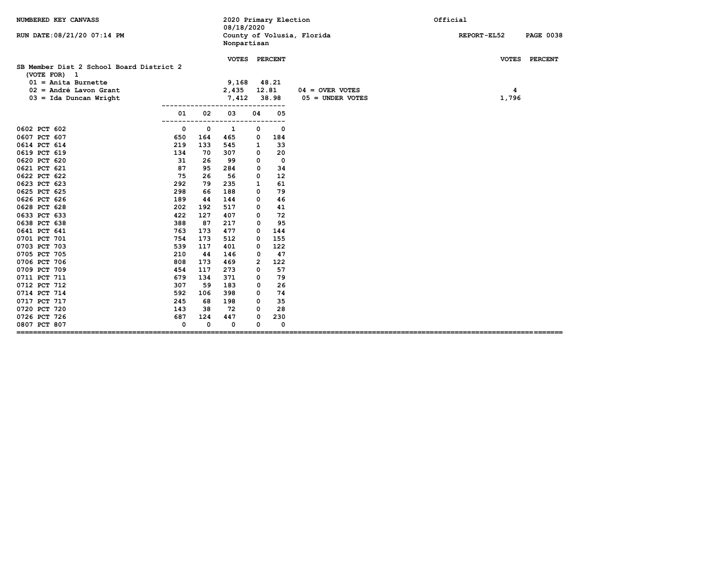| NUMBERED KEY CANVASS                                     |             |     | 2020 Primary Election<br>08/18/2020<br>County of Volusia, Florida<br>Nonpartisan |          |             | Official           |  |                    |                  |
|----------------------------------------------------------|-------------|-----|----------------------------------------------------------------------------------|----------|-------------|--------------------|--|--------------------|------------------|
| RUN DATE: 08/21/20 07:14 PM                              |             |     |                                                                                  |          |             |                    |  | <b>REPORT-EL52</b> | <b>PAGE 0038</b> |
| SB Member Dist 2 School Board District 2<br>(VOTE FOR) 1 |             |     | VOTES PERCENT                                                                    |          |             |                    |  |                    | VOTES PERCENT    |
| $01$ = Anita Burnette                                    |             |     | 9,168                                                                            |          | 48.21       |                    |  |                    |                  |
| 02 = André Lavon Grant                                   |             |     | 2,435                                                                            | 12.81    |             | $04 =$ OVER VOTES  |  | 4                  |                  |
| $03 = Ida$ Duncan Wright                                 |             |     | 7,412                                                                            |          | 38.98       | $05 =$ UNDER VOTES |  | 1,796              |                  |
|                                                          | 01<br>---   | 02  | 03                                                                               | 04       | 05          |                    |  |                    |                  |
| 0602 PCT 602                                             | 0           | 0   | 1                                                                                | 0        | $\mathbf 0$ |                    |  |                    |                  |
| 0607 PCT 607                                             | 650         | 164 | 465                                                                              | 0        | 184         |                    |  |                    |                  |
| 0614 PCT 614                                             | 219         | 133 | 545                                                                              | 1        | 33          |                    |  |                    |                  |
| 0619 PCT 619                                             | 134         | 70  | 307                                                                              | 0        | 20          |                    |  |                    |                  |
| 0620 PCT 620                                             | 31          | 26  | 99                                                                               | 0        | $\mathbf 0$ |                    |  |                    |                  |
| 0621 PCT 621                                             | 87          | 95  | 284                                                                              | 0        | 34          |                    |  |                    |                  |
| 0622 PCT 622                                             | 75          | 26  | 56                                                                               | 0        | 12          |                    |  |                    |                  |
| 0623 PCT 623                                             | 292         | 79  | 235                                                                              | 1        | 61          |                    |  |                    |                  |
| 0625 PCT 625                                             | 298         | 66  | 188                                                                              | 0        | 79          |                    |  |                    |                  |
| 0626 PCT 626                                             | 189         | 44  | 144                                                                              | $\Omega$ | 46          |                    |  |                    |                  |
| 0628 PCT 628                                             | 202         | 192 | 517                                                                              | 0        | 41          |                    |  |                    |                  |
| 0633 PCT 633                                             | 422         | 127 | 407                                                                              | 0        | 72          |                    |  |                    |                  |
| 0638 PCT 638                                             | 388         | 87  | 217                                                                              | 0        | 95          |                    |  |                    |                  |
| 0641 PCT 641                                             | 763         | 173 | 477                                                                              | 0        | 144         |                    |  |                    |                  |
| 0701 PCT 701                                             | 754         | 173 | 512                                                                              | 0        | 155         |                    |  |                    |                  |
| 0703 PCT 703                                             | 539         | 117 | 401                                                                              | 0        | 122         |                    |  |                    |                  |
| 0705 PCT 705                                             | 210         | 44  | 146                                                                              | 0        | 47          |                    |  |                    |                  |
| 0706 PCT 706                                             | 808         | 173 | 469                                                                              | 2        | 122         |                    |  |                    |                  |
| 0709 PCT 709                                             | 454         | 117 | 273                                                                              | 0        | 57          |                    |  |                    |                  |
| 0711 PCT 711                                             | 679         | 134 | 371                                                                              | 0        | 79          |                    |  |                    |                  |
| 0712 PCT 712                                             | 307         | 59  | 183                                                                              | 0        | 26          |                    |  |                    |                  |
| 0714 PCT 714                                             | 592         | 106 | 398                                                                              | 0        | 74          |                    |  |                    |                  |
| 0717 PCT 717                                             | 245         | 68  | 198                                                                              | 0        | 35          |                    |  |                    |                  |
| 0720 PCT 720                                             | 143         | 38  | 72                                                                               | 0        | 28          |                    |  |                    |                  |
| 0726 PCT 726                                             | 687         | 124 | 447                                                                              | 0        | 230         |                    |  |                    |                  |
| 0807 PCT 807<br>==========================               | $\mathbf 0$ | O   | 0                                                                                | 0        | 0           |                    |  |                    |                  |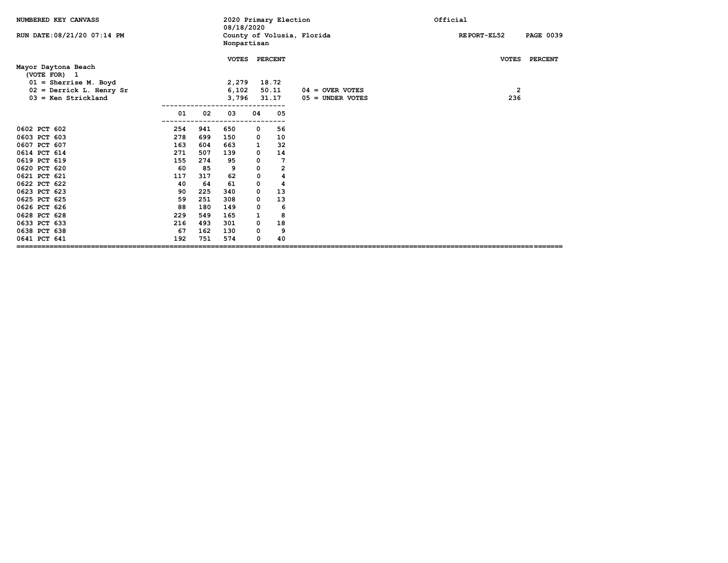| NUMBERED KEY CANVASS                                                                                                                                                                                                                         |                                                                                                 |                                                                                                     | 08/18/2020                                                                                       |                                                                                                                                    | 2020 Primary Election                                                                                 |                                         | Official                                                |  |  |
|----------------------------------------------------------------------------------------------------------------------------------------------------------------------------------------------------------------------------------------------|-------------------------------------------------------------------------------------------------|-----------------------------------------------------------------------------------------------------|--------------------------------------------------------------------------------------------------|------------------------------------------------------------------------------------------------------------------------------------|-------------------------------------------------------------------------------------------------------|-----------------------------------------|---------------------------------------------------------|--|--|
| RUN DATE: 08/21/20 07:14 PM                                                                                                                                                                                                                  |                                                                                                 |                                                                                                     | County of Volusia, Florida<br>Nonpartisan                                                        |                                                                                                                                    |                                                                                                       |                                         | REPORT-EL52<br><b>PAGE 0039</b>                         |  |  |
| Mayor Daytona Beach<br>(VOTE FOR) 1<br>$01 =$ Sherrise M. Boyd<br>$02$ = Derrick L. Henry Sr<br>$03$ = Ken Strickland                                                                                                                        |                                                                                                 |                                                                                                     | <b>VOTES</b><br>2,279<br>6,102<br>3,796                                                          |                                                                                                                                    | <b>PERCENT</b><br>18.72<br>50.11<br>31.17                                                             | $04 =$ OVER VOTES<br>$05 =$ UNDER VOTES | <b>VOTES</b><br><b>PERCENT</b><br>$\overline{2}$<br>236 |  |  |
|                                                                                                                                                                                                                                              | 01                                                                                              | 02                                                                                                  | 03                                                                                               | 04                                                                                                                                 | 05                                                                                                    |                                         |                                                         |  |  |
| 0602 PCT 602<br>0603 PCT 603<br>0607 PCT 607<br>0614 PCT 614<br>0619 PCT 619<br>0620 PCT 620<br>0621 PCT 621<br>0622 PCT 622<br>0623 PCT 623<br>0625 PCT 625<br>0626 PCT 626<br>0628 PCT 628<br>0633 PCT 633<br>0638 PCT 638<br>0641 PCT 641 | 254<br>278<br>163<br>271<br>155<br>60<br>117<br>40<br>90<br>59<br>88<br>229<br>216<br>67<br>192 | 941<br>699<br>604<br>507<br>274<br>85<br>317<br>64<br>225<br>251<br>180<br>549<br>493<br>162<br>751 | 650<br>150<br>663<br>139<br>95<br>9<br>62<br>61<br>340<br>308<br>149<br>165<br>301<br>130<br>574 | 0<br>0<br>${\bf 1}$<br>$\mathbf 0$<br>$\mathbf 0$<br>$\mathsf{o}$<br>$\mathbf 0$<br>0<br>0<br>0<br>0<br>1<br>$\mathbf 0$<br>0<br>0 | 56<br>10<br>32<br>14<br>7<br>$\overline{\mathbf{2}}$<br>4<br>4<br>13<br>13<br>6<br>8<br>18<br>9<br>40 |                                         |                                                         |  |  |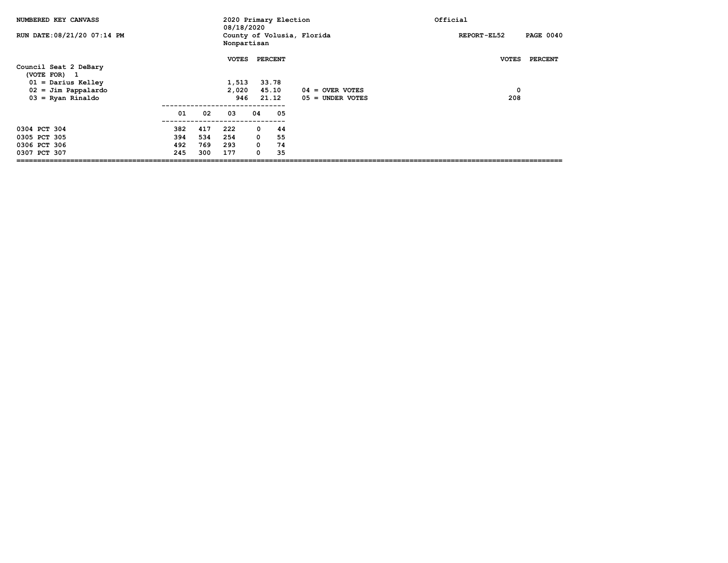| NUMBERED KEY CANVASS                  |     |     | 08/18/2020   |             | 2020 Primary Election |                            | Official     |                  |  |
|---------------------------------------|-----|-----|--------------|-------------|-----------------------|----------------------------|--------------|------------------|--|
| RUN DATE: 08/21/20 07:14 PM           |     |     | Nonpartisan  |             |                       | County of Volusia, Florida | REPORT-EL52  | <b>PAGE 0040</b> |  |
| Council Seat 2 DeBary<br>(VOTE FOR) 1 |     |     | <b>VOTES</b> |             | <b>PERCENT</b>        |                            | <b>VOTES</b> | <b>PERCENT</b>   |  |
| $01 =$ Darius Kelley                  |     |     | 1,513        |             | 33.78                 |                            |              |                  |  |
| $02 =$ Jim Pappalardo                 |     |     | 2,020        |             | 45.10                 | 04 = OVER VOTES            | $\mathbf 0$  |                  |  |
| $03 =$ Ryan Rinaldo                   |     |     | 946          |             | 21.12                 | $05 =$ UNDER VOTES         | 208          |                  |  |
|                                       | 01  | 02  | 03           | 04          | 05                    |                            |              |                  |  |
| 0304 PCT 304                          | 382 | 417 | 222          | 0           | 44                    |                            |              |                  |  |
| 0305 PCT 305                          | 394 | 534 | 254          |             | $\overline{0}$<br>55  |                            |              |                  |  |
| 0306 PCT 306                          | 492 | 769 | 293          | $\mathbf 0$ | 74                    |                            |              |                  |  |
| 0307 PCT 307                          | 245 | 300 | 177          | $\mathbf 0$ | 35                    |                            |              |                  |  |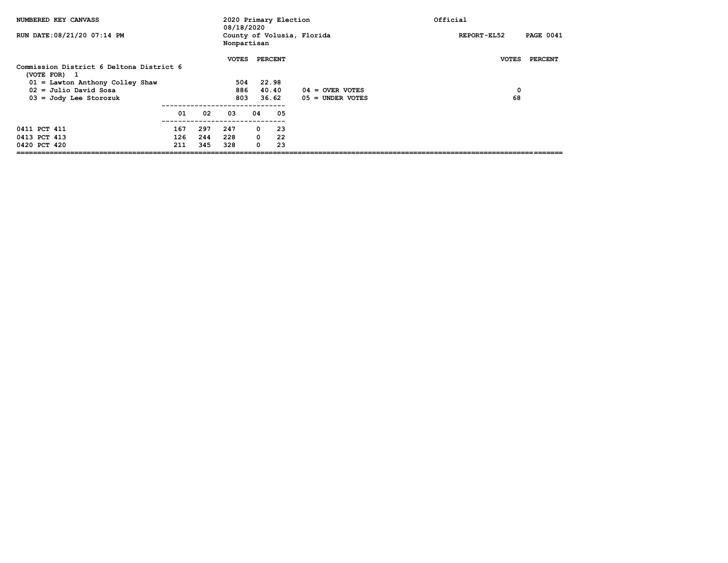| NUMBERED KEY CANVASS                                                                                                     |                   |                   | 08/18/2020                 |    | 2020 Primary Election                                |                    | Official                            |
|--------------------------------------------------------------------------------------------------------------------------|-------------------|-------------------|----------------------------|----|------------------------------------------------------|--------------------|-------------------------------------|
| RUN DATE: 08/21/20 07:14 PM                                                                                              |                   |                   | Nonpartisan                |    | County of Volusia, Florida                           |                    | <b>PAGE 0041</b><br>REPORT-EL52     |
| Commission District 6 Deltona District 6<br>(VOTE FOR) 1<br>$01 =$ Lawton Anthony Colley Shaw<br>$02 =$ Julio David Sosa |                   |                   | <b>VOTES</b><br>504<br>886 |    | <b>PERCENT</b><br>22.98<br>40.40                     | $04 =$ OVER VOTES  | <b>VOTES</b><br><b>PERCENT</b><br>0 |
| $03 =$ Jody Lee Storozuk                                                                                                 |                   |                   | 803                        |    | 36.62                                                | $05 =$ UNDER VOTES | 68                                  |
|                                                                                                                          | 01                | 02                | 03                         | 04 | 05                                                   |                    |                                     |
| 0411 PCT 411<br>0413 PCT 413<br>0420 PCT 420                                                                             | 167<br>126<br>211 | 297<br>244<br>345 | 247<br>228<br>328          |    | $^{\circ}$<br>23<br>$\Omega$<br>22<br>$\Omega$<br>23 |                    |                                     |
|                                                                                                                          |                   |                   |                            |    |                                                      |                    |                                     |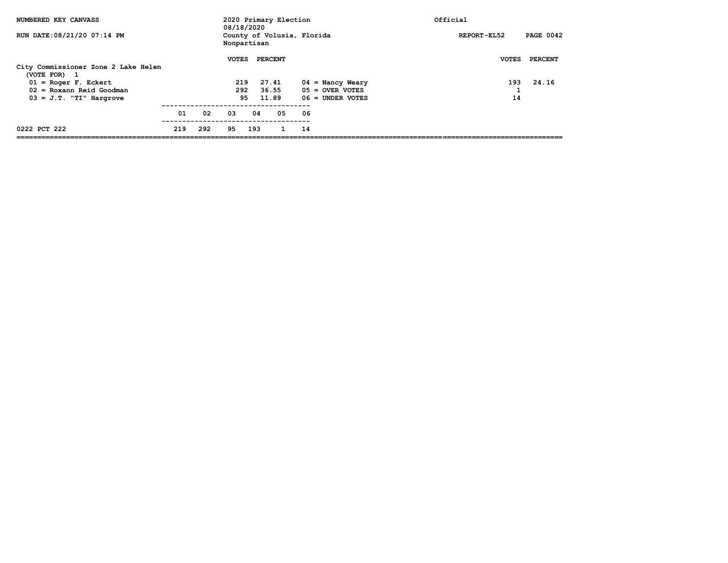| NUMBERED KEY CANVASS                        |     |     | 08/18/2020   |     | 2020 Primary Election      |                    | Official     |                  |
|---------------------------------------------|-----|-----|--------------|-----|----------------------------|--------------------|--------------|------------------|
| RUN DATE: 08/21/20 07:14 PM                 |     |     | Nonpartisan  |     | County of Volusia, Florida |                    | REPORT-EL52  | <b>PAGE 0042</b> |
|                                             |     |     | <b>VOTES</b> |     | PERCENT                    |                    | <b>VOTES</b> | PERCENT          |
| City Commissioner Zone 2 Lake Helen         |     |     |              |     |                            |                    |              |                  |
| (VOTE FOR)<br>- 1<br>$01 = Roger F. Eckert$ |     |     | 219          |     | 27.41                      | 04 = Nancy Weary   | 193          | 24.16            |
| $02 = Rosann Reid Goodman$                  |     |     | 292          |     | 36.55                      | $05 =$ OVER VOTES  |              |                  |
| $03 = J.T.$ "TI" Hargrove                   |     |     | 95           |     | 11.89                      | $06 =$ UNDER VOTES | 14           |                  |
|                                             | 01  | 02  | 03           | 04  | 05                         | 06                 |              |                  |
| 0222 PCT 222                                | 219 | 292 | 95           | 193 | 1                          | 14                 |              |                  |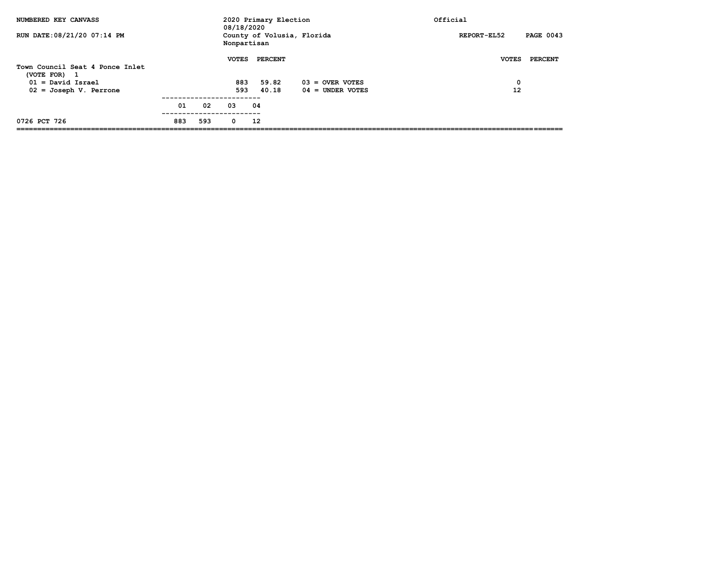| NUMBERED KEY CANVASS                              |     |     | 08/18/2020   | 2020 Primary Election      |                    | Official                        |
|---------------------------------------------------|-----|-----|--------------|----------------------------|--------------------|---------------------------------|
| RUN DATE: 08/21/20 07:14 PM                       |     |     | Nonpartisan  | County of Volusia, Florida |                    | <b>PAGE 0043</b><br>REPORT-EL52 |
|                                                   |     |     | <b>VOTES</b> | <b>PERCENT</b>             |                    | PERCENT<br><b>VOTES</b>         |
| Town Council Seat 4 Ponce Inlet                   |     |     |              |                            |                    |                                 |
| (VOTE FOR)<br>$\mathbf{1}$<br>$01 = David Israel$ |     |     | 883          | 59.82                      | $03 =$ OVER VOTES  | 0                               |
| $02 = Joseph V.$ Perrone                          |     |     | 593          | 40.18                      | $04 =$ UNDER VOTES | 12                              |
|                                                   |     |     |              |                            |                    |                                 |
|                                                   | 01  | 02  | 03           | 04                         |                    |                                 |
| 0726 PCT 726                                      | 883 | 593 | 0            | 12                         |                    |                                 |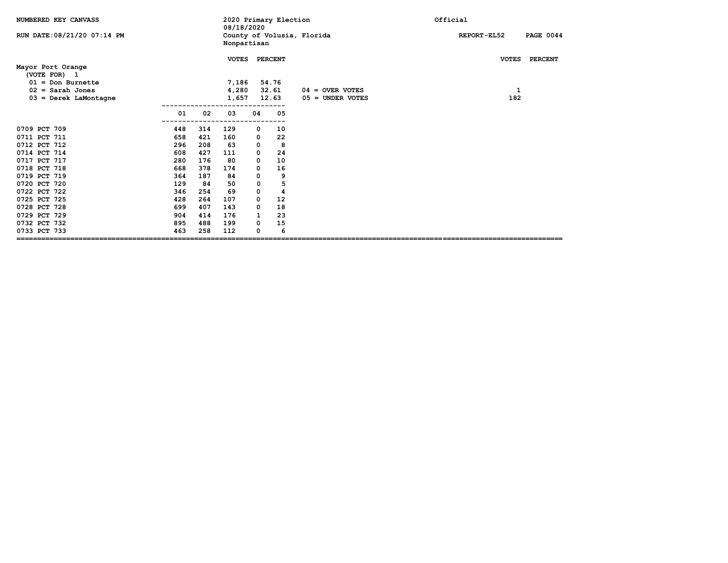| NUMBERED KEY CANVASS              |     |     | 08/18/2020   |                | 2020 Primary Election |                            | Official |              |                  |
|-----------------------------------|-----|-----|--------------|----------------|-----------------------|----------------------------|----------|--------------|------------------|
| RUN DATE: 08/21/20 07:14 PM       |     |     | Nonpartisan  |                |                       | County of Volusia, Florida |          | REPORT-EL52  | <b>PAGE 0044</b> |
| Mayor Port Orange<br>(VOTE FOR) 1 |     |     | <b>VOTES</b> |                | <b>PERCENT</b>        |                            |          | <b>VOTES</b> | <b>PERCENT</b>   |
| $01 = Don Burnette$               |     |     | 7,186        |                | 54.76                 |                            |          |              |                  |
| $02 =$ Sarah Jones                |     |     | 4,280        |                | 32.61                 | $04 =$ OVER VOTES          |          | 1            |                  |
| $03 = \text{Derek}$ LaMontagne    |     |     | 1,657        |                | 12.63                 | $05 =$ UNDER VOTES         |          | 182          |                  |
|                                   | 01  | 02  | 03           | 04             | 05                    |                            |          |              |                  |
| 0709 PCT 709                      | 448 | 314 | 129          | 0              | 10                    |                            |          |              |                  |
| 0711 PCT 711                      | 658 | 421 | 160          | 0              | 22                    |                            |          |              |                  |
| 0712 PCT 712                      | 296 | 208 | 63           | 0              | 8                     |                            |          |              |                  |
| 0714 PCT 714                      | 608 | 427 | 111          | 0              | 24                    |                            |          |              |                  |
| 0717 PCT 717                      | 280 | 176 | 80           | $\mathbf 0$    | 10                    |                            |          |              |                  |
| 0718 PCT 718                      | 668 | 378 | 174          | 0              | 16                    |                            |          |              |                  |
| 0719 PCT 719                      | 364 | 187 | 84           | $\mathsf{o}\,$ | 9                     |                            |          |              |                  |
| 0720 PCT 720                      | 129 | 84  | 50           | 0              | 5                     |                            |          |              |                  |
| 0722 PCT 722                      | 346 | 254 | 69           | 0              | 4                     |                            |          |              |                  |
| 0725 PCT 725                      | 428 | 264 | 107          | 0              | 12                    |                            |          |              |                  |
| 0728 PCT 728                      | 699 | 407 | 143          | 0              | 18                    |                            |          |              |                  |
| 0729 PCT 729                      | 904 | 414 | 176          | $\mathbf{1}$   | 23                    |                            |          |              |                  |
| 0732 PCT 732                      | 895 | 488 | 199          | 0              | 15                    |                            |          |              |                  |
| 0733 PCT 733                      | 463 | 258 | 112          | 0              | 6                     |                            |          |              |                  |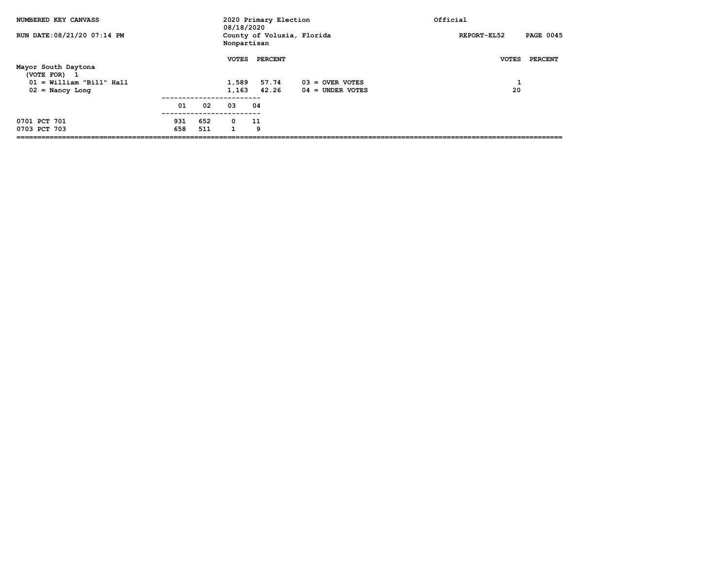| NUMBERED KEY CANVASS                              |     |     | 08/18/2020      | 2020 Primary Election |                            | Official                        |
|---------------------------------------------------|-----|-----|-----------------|-----------------------|----------------------------|---------------------------------|
| RUN DATE: 08/21/20 07:14 PM                       |     |     | Nonpartisan     |                       | County of Volusia, Florida | <b>PAGE 0045</b><br>REPORT-EL52 |
| Mayor South Daytona<br>(VOTE FOR)<br>$\mathbf{1}$ |     |     | <b>VOTES</b>    | PERCENT               |                            | <b>VOTES</b><br>PERCENT         |
| $01 =$ William "Bill" Hall                        |     |     | 1,589           | 57.74                 | $03 =$ OVER VOTES          | л.                              |
| $02 =$ Nancy Long                                 |     |     | 1,163           | 42.26                 | $04 =$ UNDER VOTES         | 20                              |
|                                                   | 01  | 02  | ---------<br>03 | 04                    |                            |                                 |
|                                                   |     |     |                 |                       |                            |                                 |
| 0701 PCT 701                                      | 931 | 652 | $\mathbf 0$     | 11                    |                            |                                 |
| 0703 PCT 703                                      | 658 | 511 | 1               | 9                     |                            |                                 |